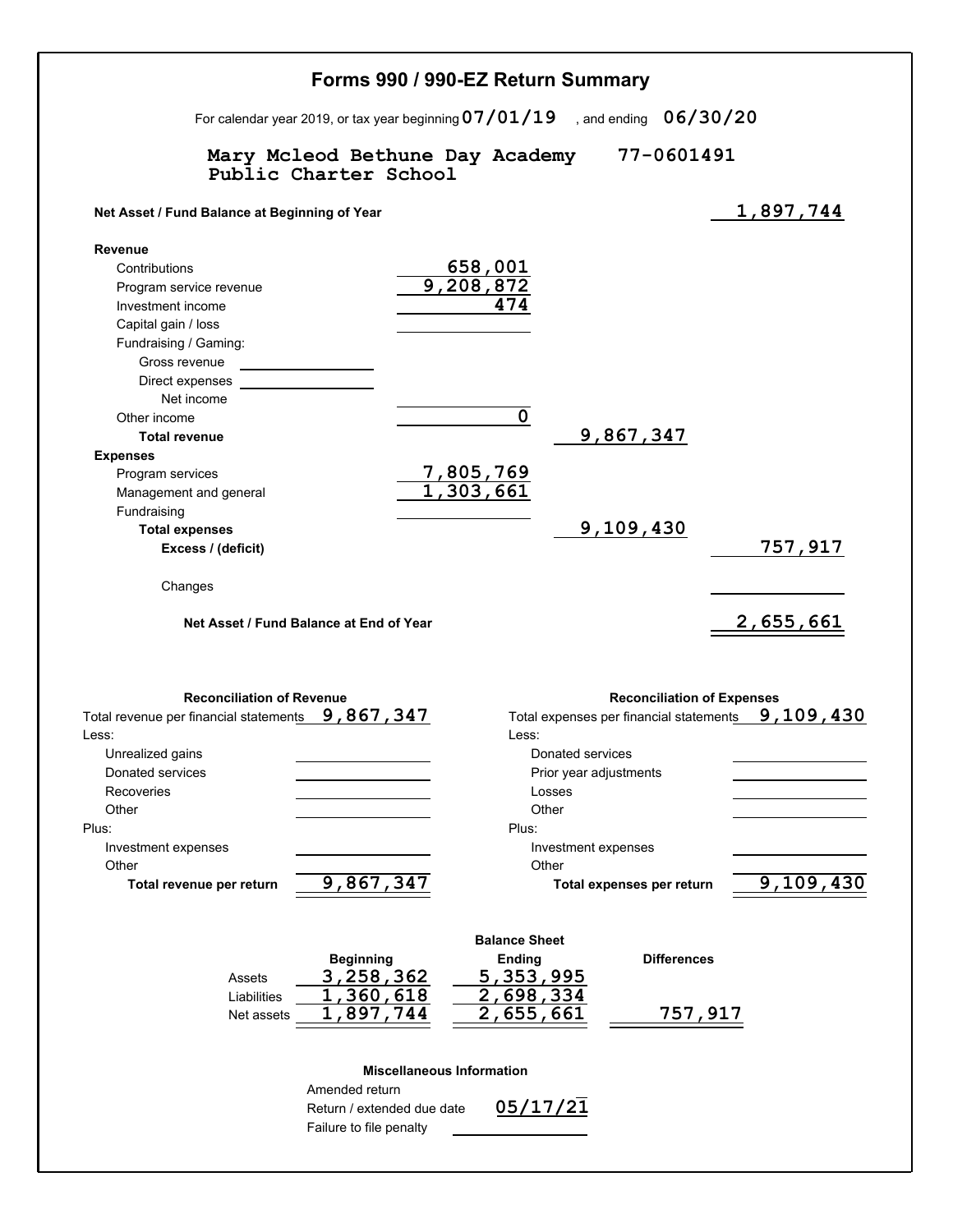|                                                                                                                                                                                                                                                  | Forms 990 / 990-EZ Return Summary                                                                                                                                                                                                                             |
|--------------------------------------------------------------------------------------------------------------------------------------------------------------------------------------------------------------------------------------------------|---------------------------------------------------------------------------------------------------------------------------------------------------------------------------------------------------------------------------------------------------------------|
|                                                                                                                                                                                                                                                  | For calendar year 2019, or tax year beginning $07/01/19$ , and ending $06/30/20$                                                                                                                                                                              |
| Public Charter School                                                                                                                                                                                                                            | Mary Mcleod Bethune Day Academy 77-0601491                                                                                                                                                                                                                    |
| Net Asset / Fund Balance at Beginning of Year                                                                                                                                                                                                    | 1,897,744                                                                                                                                                                                                                                                     |
| <b>Revenue</b><br>Contributions<br>Program service revenue<br>Investment income<br>Capital gain / loss<br>Fundraising / Gaming:<br>Gross revenue<br>Direct expenses<br>Net income<br>Other income<br><b>Total revenue</b><br><b>Expenses</b>     | 658,001<br>9,208,872<br>474<br>$\pmb{0}$<br>9,867,347                                                                                                                                                                                                         |
| Program services<br>Management and general<br>Fundraising<br><b>Total expenses</b><br>Excess / (deficit)<br>Changes<br>Net Asset / Fund Balance at End of Year                                                                                   | <u>7,805,769</u><br>1,303,661<br>9,109,430<br>757,917<br>2,655,661                                                                                                                                                                                            |
| <b>Reconciliation of Revenue</b><br>Total revenue per financial statements 9, 867, 347<br>Less:<br>Unrealized gains<br>Donated services<br>Recoveries<br>Other<br>Plus:<br>Investment expenses<br>Other<br>9,867,347<br>Total revenue per return | <b>Reconciliation of Expenses</b><br>9,109,430<br>Total expenses per financial statements<br>Less:<br>Donated services<br>Prior year adjustments<br>Losses<br>Other<br>Plus:<br>Investment expenses<br>Other<br>9,109,430<br><b>Total expenses per return</b> |
| <b>Beginning</b><br>3,258,362<br>Assets<br>1,360,618<br>Liabilities<br>1,897,744<br>Net assets                                                                                                                                                   | <b>Balance Sheet</b><br>Ending<br><b>Differences</b><br>5,353,995<br>2,698,334<br>2,655,661<br>757,917                                                                                                                                                        |
| Amended return<br>Return / extended due date<br>Failure to file penalty                                                                                                                                                                          | <b>Miscellaneous Information</b><br>05/17/21                                                                                                                                                                                                                  |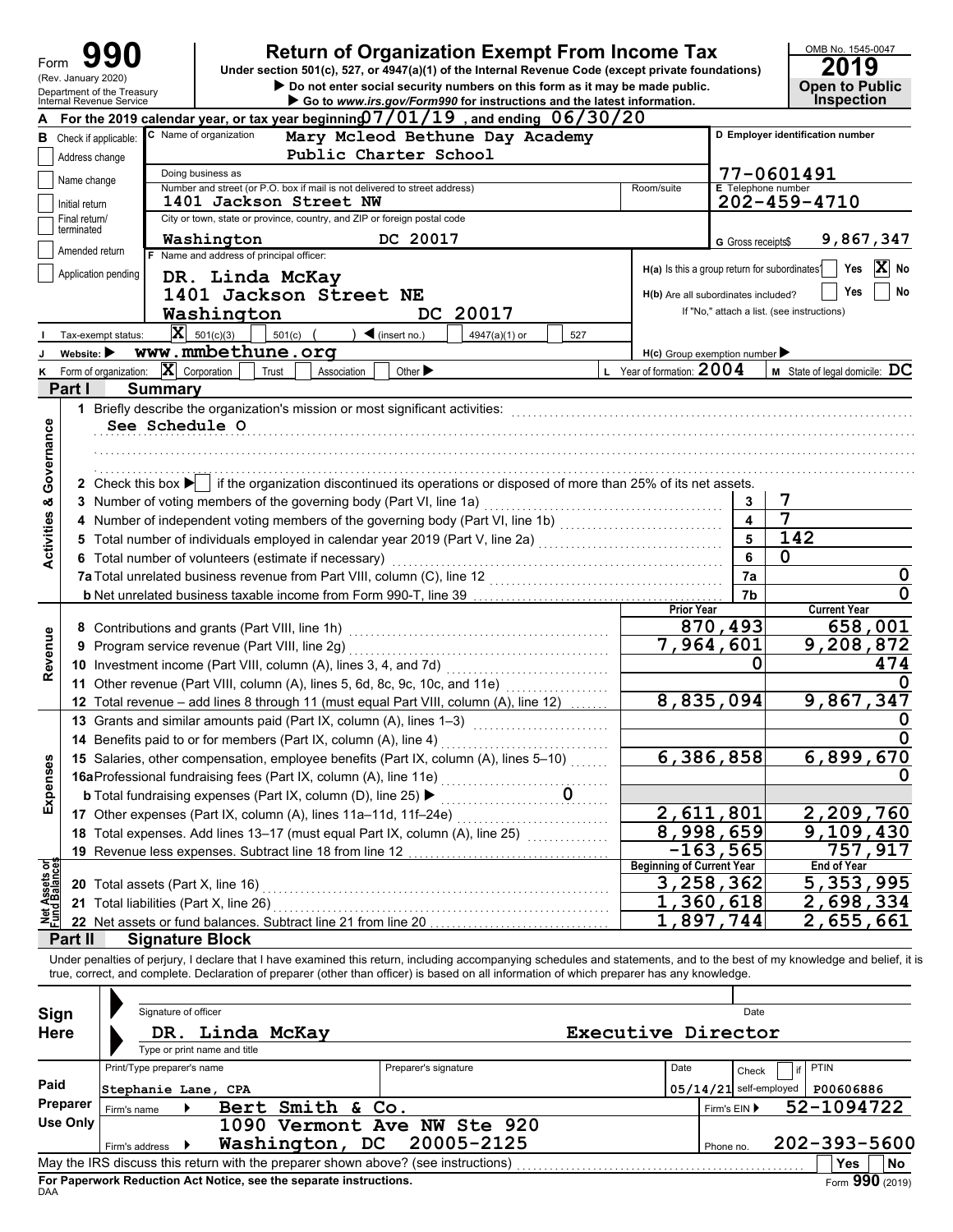| Form                           |                                |                                                        | <b>Return of Organization Exempt From Income Tax</b><br>Under section 501(c), 527, or 4947(a)(1) of the Internal Revenue Code (except private foundations)                                  |                           | OMB No. 1545-0047<br>Ю                     |
|--------------------------------|--------------------------------|--------------------------------------------------------|---------------------------------------------------------------------------------------------------------------------------------------------------------------------------------------------|---------------------------|--------------------------------------------|
|                                | (Rev. January 2020)            |                                                        | Do not enter social security numbers on this form as it may be made public.                                                                                                                 |                           | <b>Open to Public</b>                      |
|                                |                                | Department of the Treasury<br>Internal Revenue Service | Go to www.irs.gov/Form990 for instructions and the latest information.                                                                                                                      |                           | <b>Inspection</b>                          |
|                                |                                |                                                        | For the 2019 calendar year, or tax year beginning $7/01/19$ , and ending $06/30/20$                                                                                                         |                           |                                            |
| в                              |                                | Check if applicable:                                   | C Name of organization<br>Mary Mcleod Bethune Day Academy                                                                                                                                   |                           | D Employer identification number           |
|                                | Address change                 |                                                        | Public Charter School                                                                                                                                                                       |                           |                                            |
|                                | Name change                    |                                                        | Doing business as                                                                                                                                                                           |                           | 77-0601491                                 |
|                                | Initial return                 |                                                        | Number and street (or P.O. box if mail is not delivered to street address)<br>Room/suite<br>1401 Jackson Street NW                                                                          | <b>E</b> Telephone number | 202-459-4710                               |
|                                | Final return/                  |                                                        | City or town, state or province, country, and ZIP or foreign postal code                                                                                                                    |                           |                                            |
|                                | terminated                     |                                                        | DC 20017<br>Washington                                                                                                                                                                      | G Gross receipts\$        | 9,867,347                                  |
|                                | Amended return                 |                                                        | F Name and address of principal officer:                                                                                                                                                    |                           |                                            |
|                                |                                | Application pending                                    | H(a) Is this a group return for subordinates?<br>DR. Linda McKay                                                                                                                            |                           | X<br>No<br>Yes                             |
|                                |                                |                                                        | 1401 Jackson Street NE<br>H(b) Are all subordinates included?                                                                                                                               |                           | No<br>Yes                                  |
|                                |                                |                                                        | DC 20017<br>Washington                                                                                                                                                                      |                           | If "No," attach a list. (see instructions) |
|                                |                                | Tax-exempt status:                                     | $ \mathbf{X} $ 501(c)(3)<br>$501(c)$ (<br>$\triangleleft$ (insert no.)<br>4947(a)(1) or<br>527                                                                                              |                           |                                            |
|                                | Website: $\blacktriangleright$ |                                                        | www.mmbethune.org                                                                                                                                                                           |                           |                                            |
| Κ                              |                                | Form of organization:                                  | $H(c)$ Group exemption number<br>$ \mathbf{X} $ Corporation<br>L Year of formation: 2004<br>Trust<br>Other $\blacktriangleright$<br>Association                                             |                           | $M$ State of legal domicile: $DC$          |
|                                | Part I                         | <b>Summary</b>                                         |                                                                                                                                                                                             |                           |                                            |
|                                |                                |                                                        | 1 Briefly describe the organization's mission or most significant activities:                                                                                                               |                           |                                            |
|                                |                                | See Schedule O                                         |                                                                                                                                                                                             |                           |                                            |
|                                |                                |                                                        |                                                                                                                                                                                             |                           |                                            |
| Governance                     |                                |                                                        |                                                                                                                                                                                             |                           |                                            |
|                                |                                |                                                        |                                                                                                                                                                                             |                           |                                            |
|                                |                                |                                                        | 2 Check this box $\blacktriangleright$ if the organization discontinued its operations or disposed of more than 25% of its net assets.                                                      |                           |                                            |
| <b>Activities &amp;</b>        |                                |                                                        | 3 Number of voting members of the governing body (Part VI, line 1a)                                                                                                                         | 3                         | $\boldsymbol{7}$                           |
|                                |                                |                                                        | 4 Number of independent voting members of the governing body (Part VI, line 1b)                                                                                                             | 4                         | 7                                          |
|                                |                                |                                                        |                                                                                                                                                                                             | 5                         | $\overline{1}$ 42                          |
|                                |                                |                                                        | 6 Total number of volunteers (estimate if necessary)                                                                                                                                        | 6                         | 0                                          |
|                                |                                |                                                        | 7a Total unrelated business revenue from Part VIII, column (C), line 12<br><u> 1986 - Jan Berlin Stadt, fransk politik fotograf (d. 1986)</u>                                               | 7a                        | 0                                          |
|                                |                                |                                                        |                                                                                                                                                                                             | 7b                        |                                            |
|                                |                                |                                                        | <b>Prior Year</b>                                                                                                                                                                           |                           | <b>Current Year</b>                        |
|                                |                                |                                                        | 8 Contributions and grants (Part VIII, line 1h)                                                                                                                                             | 870,493                   | 658,001                                    |
| Revenue                        |                                |                                                        | $\overline{7}$ , 964, 601<br>9 Program service revenue (Part VIII, line 2g)                                                                                                                 |                           | 9,208,872                                  |
|                                |                                |                                                        | 10 Investment income (Part VIII, column (A), lines 3, 4, and 7d)                                                                                                                            | O                         | 474                                        |
|                                |                                |                                                        | 11 Other revenue (Part VIII, column (A), lines 5, 6d, 8c, 9c, 10c, and 11e)                                                                                                                 |                           |                                            |
|                                |                                |                                                        | 8,835,094<br>12 Total revenue - add lines 8 through 11 (must equal Part VIII, column (A), line 12)                                                                                          |                           | 9,867,347                                  |
|                                |                                |                                                        | 13 Grants and similar amounts paid (Part IX, column (A), lines 1-3)                                                                                                                         |                           | O                                          |
|                                |                                |                                                        | 14 Benefits paid to or for members (Part IX, column (A), line 4)                                                                                                                            |                           |                                            |
|                                |                                |                                                        | 6,386,858<br>15 Salaries, other compensation, employee benefits (Part IX, column (A), lines 5-10)                                                                                           |                           | 6,899,670                                  |
| Expenses                       |                                |                                                        | 15 Salaries, outer components<br><b>16a</b> Professional fundraising fees (Part IX, column (A), line 11e)<br><b>h</b> Total fundraising expenses (Part IX, column (D), line 25) <b>&gt;</b> |                           |                                            |
|                                |                                |                                                        |                                                                                                                                                                                             |                           |                                            |
|                                |                                |                                                        | 2,611,801<br>17 Other expenses (Part IX, column (A), lines 11a-11d, 11f-24e)                                                                                                                |                           | 2,209,760                                  |
|                                |                                |                                                        | 8,998,659<br>18 Total expenses. Add lines 13-17 (must equal Part IX, column (A), line 25)                                                                                                   |                           | 9,109,430                                  |
|                                |                                |                                                        | $-163,565$<br>19 Revenue less expenses. Subtract line 18 from line 12                                                                                                                       |                           | 757,917                                    |
| Net Assets or<br>Fund Balances |                                |                                                        | <b>Beginning of Current Year</b>                                                                                                                                                            |                           | <b>End of Year</b>                         |
|                                |                                | 20 Total assets (Part X, line 16)                      | 3,258,362                                                                                                                                                                                   |                           | $\overline{5,}$ 353, 995                   |
|                                |                                | 21 Total liabilities (Part X, line 26)                 | 1,360,618                                                                                                                                                                                   |                           | 2,698,334                                  |
|                                |                                |                                                        | 1,897,744<br>22 Net assets or fund balances. Subtract line 21 from line 20                                                                                                                  |                           | 2,655,661                                  |
|                                | Part II                        |                                                        | <b>Signature Block</b>                                                                                                                                                                      |                           |                                            |
|                                |                                |                                                        | Under penalties of perjury, I declare that I have examined this return, including accompanying schedules and statements, and to the best of my knowledge and belief, it is                  |                           |                                            |
|                                |                                |                                                        | true, correct, and complete. Declaration of preparer (other than officer) is based on all information of which preparer has any knowledge.                                                  |                           |                                            |
|                                |                                |                                                        |                                                                                                                                                                                             |                           |                                            |
| Sign                           |                                | Signature of officer                                   |                                                                                                                                                                                             | Date                      |                                            |
| <b>Here</b>                    |                                |                                                        | Executive Director<br>DR. Linda McKay                                                                                                                                                       |                           |                                            |
|                                |                                |                                                        | Type or print name and title                                                                                                                                                                |                           |                                            |
|                                |                                | Print/Type preparer's name                             | Preparer's signature<br>Date                                                                                                                                                                | Check                     | <b>PTIN</b><br>if                          |
| Paid                           |                                | Stephanie Lane, CPA                                    | $05/14/21$ self-employed                                                                                                                                                                    |                           | P00606886                                  |
|                                | Preparer                       | Firm's name                                            | Bert Smith & Co.                                                                                                                                                                            | Firm's EIN ▶              | 52-1094722                                 |
|                                | <b>Use Only</b>                |                                                        | 1090 Vermont Ave NW Ste 920                                                                                                                                                                 |                           |                                            |
|                                |                                | Firm's address                                         | 20005-2125<br>Washington, DC                                                                                                                                                                | Phone no.                 | 202-393-5600                               |
|                                |                                |                                                        | May the IRS discuss this return with the preparer shown above? (see instructions)                                                                                                           |                           | <b>Yes</b><br>No                           |

| Sign        |                            | Signature of officer |                              |                                                                    |                                                                                   |                    |      |              | Date                     |                   |                             |
|-------------|----------------------------|----------------------|------------------------------|--------------------------------------------------------------------|-----------------------------------------------------------------------------------|--------------------|------|--------------|--------------------------|-------------------|-----------------------------|
| <b>Here</b> |                            |                      | Type or print name and title | DR. Linda McKay                                                    |                                                                                   | Executive Director |      |              |                          |                   |                             |
|             | Print/Type preparer's name |                      |                              |                                                                    | Preparer's signature                                                              |                    | Date |              | Check                    | <b>PTIN</b><br>if |                             |
| Paid        |                            |                      | Stephanie Lane, CPA          |                                                                    |                                                                                   |                    |      |              | $05/14/21$ self-employed | P00606886         |                             |
| Preparer    | Firm's name                |                      |                              | Bert Smith & Co.                                                   |                                                                                   |                    |      | Firm's $EIN$ |                          | 52-1094722        |                             |
| Use Only    |                            |                      |                              |                                                                    | 1090 Vermont Ave NW Ste 920                                                       |                    |      |              |                          |                   |                             |
|             | Firm's address             |                      |                              |                                                                    | Washington, DC 20005-2125                                                         |                    |      | Phone no.    |                          |                   | 202-393-5600                |
|             |                            |                      |                              |                                                                    | May the IRS discuss this return with the preparer shown above? (see instructions) |                    |      |              |                          | Yes               | No                          |
|             |                            |                      |                              | For Paperwork Reduction Act Notice, see the separate instructions. |                                                                                   |                    |      |              |                          |                   | $F_{\text{OCD}}$ 990 (2019) |

ror r<br>DAA **For Paperwork Reduction Act Notice, see the separate instructions.**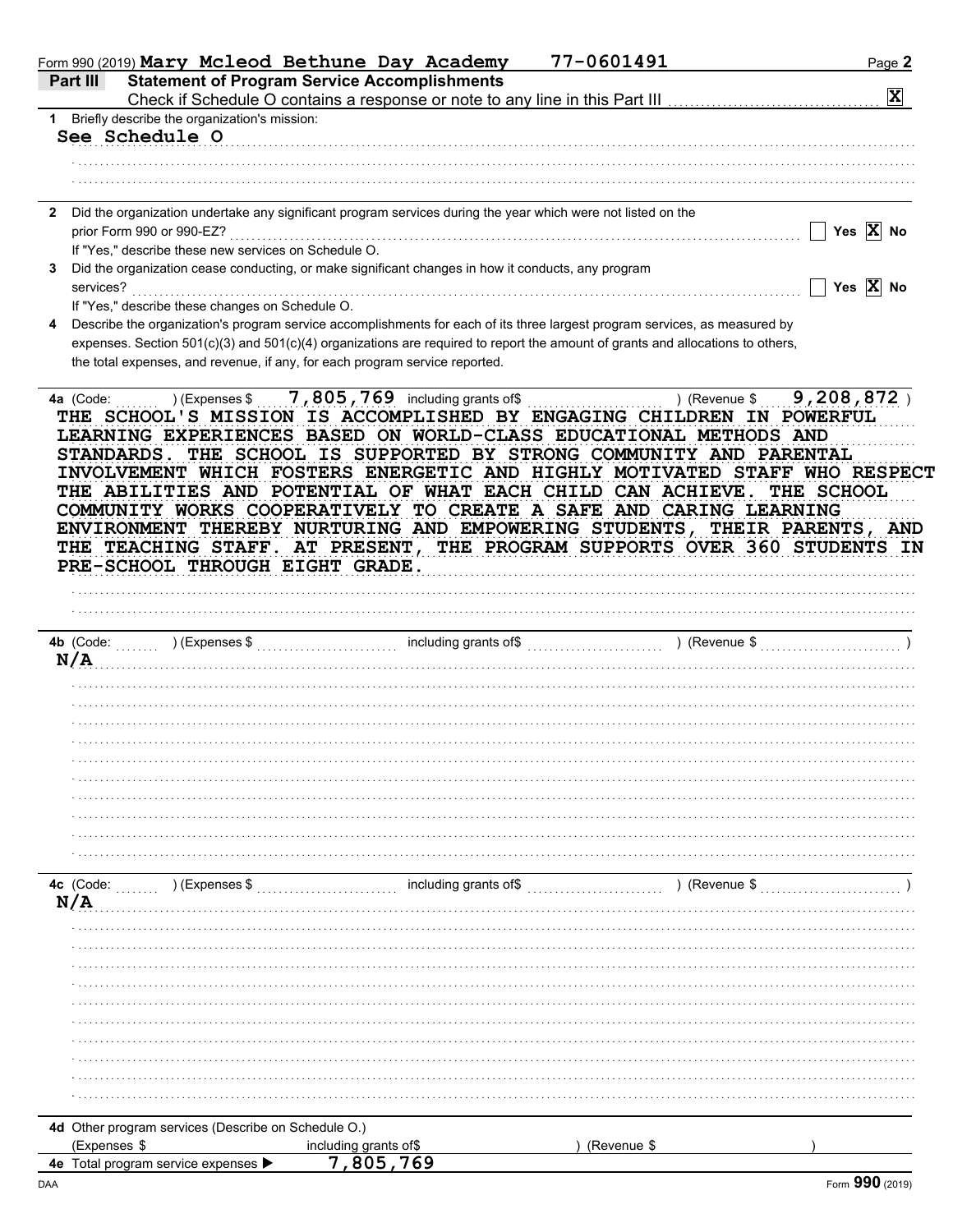| Form 990 (2019) Mary Mcleod Bethune Day Academy                                                                                                                                                                                                                 |                                 | 77-0601491    | Page 2                |
|-----------------------------------------------------------------------------------------------------------------------------------------------------------------------------------------------------------------------------------------------------------------|---------------------------------|---------------|-----------------------|
| <b>Statement of Program Service Accomplishments</b><br>Part III                                                                                                                                                                                                 |                                 |               |                       |
|                                                                                                                                                                                                                                                                 |                                 |               | $\mathbf{x}$          |
| 1 Briefly describe the organization's mission:                                                                                                                                                                                                                  |                                 |               |                       |
| See Schedule O                                                                                                                                                                                                                                                  |                                 |               |                       |
|                                                                                                                                                                                                                                                                 |                                 |               |                       |
|                                                                                                                                                                                                                                                                 |                                 |               |                       |
| Did the organization undertake any significant program services during the year which were not listed on the                                                                                                                                                    |                                 |               |                       |
| prior Form 990 or 990-EZ?                                                                                                                                                                                                                                       |                                 |               | Yes $\overline{X}$ No |
| If "Yes," describe these new services on Schedule O.                                                                                                                                                                                                            |                                 |               |                       |
| Did the organization cease conducting, or make significant changes in how it conducts, any program                                                                                                                                                              |                                 |               |                       |
| services?                                                                                                                                                                                                                                                       |                                 |               | Yes $\overline{X}$ No |
| If "Yes," describe these changes on Schedule O.                                                                                                                                                                                                                 |                                 |               |                       |
| Describe the organization's program service accomplishments for each of its three largest program services, as measured by                                                                                                                                      |                                 |               |                       |
| expenses. Section 501(c)(3) and 501(c)(4) organizations are required to report the amount of grants and allocations to others,                                                                                                                                  |                                 |               |                       |
| the total expenses, and revenue, if any, for each program service reported.                                                                                                                                                                                     |                                 |               |                       |
|                                                                                                                                                                                                                                                                 | 7,805,769 including grants of\$ |               | 9,208,872             |
| COMMUNITY WORKS COOPERATIVELY TO CREATE A SAFE AND CARING LEARNING<br>ENVIRONMENT THEREBY NURTURING AND EMPOWERING STUDENTS, THEIR PARENTS, AND<br>THE TEACHING STAFF. AT PRESENT, THE PROGRAM SUPPORTS OVER 360 STUDENTS IN<br>PRE-SCHOOL THROUGH EIGHT GRADE. |                                 |               |                       |
| 4b (Code:<br>N/A                                                                                                                                                                                                                                                |                                 |               |                       |
|                                                                                                                                                                                                                                                                 |                                 |               |                       |
|                                                                                                                                                                                                                                                                 |                                 |               |                       |
|                                                                                                                                                                                                                                                                 |                                 |               |                       |
|                                                                                                                                                                                                                                                                 |                                 |               |                       |
|                                                                                                                                                                                                                                                                 |                                 |               |                       |
|                                                                                                                                                                                                                                                                 |                                 |               |                       |
|                                                                                                                                                                                                                                                                 |                                 |               |                       |
|                                                                                                                                                                                                                                                                 |                                 |               |                       |
|                                                                                                                                                                                                                                                                 |                                 |               |                       |
|                                                                                                                                                                                                                                                                 |                                 |               |                       |
| 4c (Code:<br>) (Expenses \$                                                                                                                                                                                                                                     | including grants of\$           | ) (Revenue \$ |                       |
| N/A                                                                                                                                                                                                                                                             |                                 |               |                       |
|                                                                                                                                                                                                                                                                 |                                 |               |                       |
|                                                                                                                                                                                                                                                                 |                                 |               |                       |
|                                                                                                                                                                                                                                                                 |                                 |               |                       |
|                                                                                                                                                                                                                                                                 |                                 |               |                       |
|                                                                                                                                                                                                                                                                 |                                 |               |                       |
|                                                                                                                                                                                                                                                                 |                                 |               |                       |
|                                                                                                                                                                                                                                                                 |                                 |               |                       |
|                                                                                                                                                                                                                                                                 |                                 |               |                       |
|                                                                                                                                                                                                                                                                 |                                 |               |                       |
|                                                                                                                                                                                                                                                                 |                                 |               |                       |
| 4d Other program services (Describe on Schedule O.)                                                                                                                                                                                                             |                                 |               |                       |
| (Expenses \$                                                                                                                                                                                                                                                    | including grants of\$           | (Revenue \$   |                       |
| 4e Total program service expenses                                                                                                                                                                                                                               | 7.805.769                       |               |                       |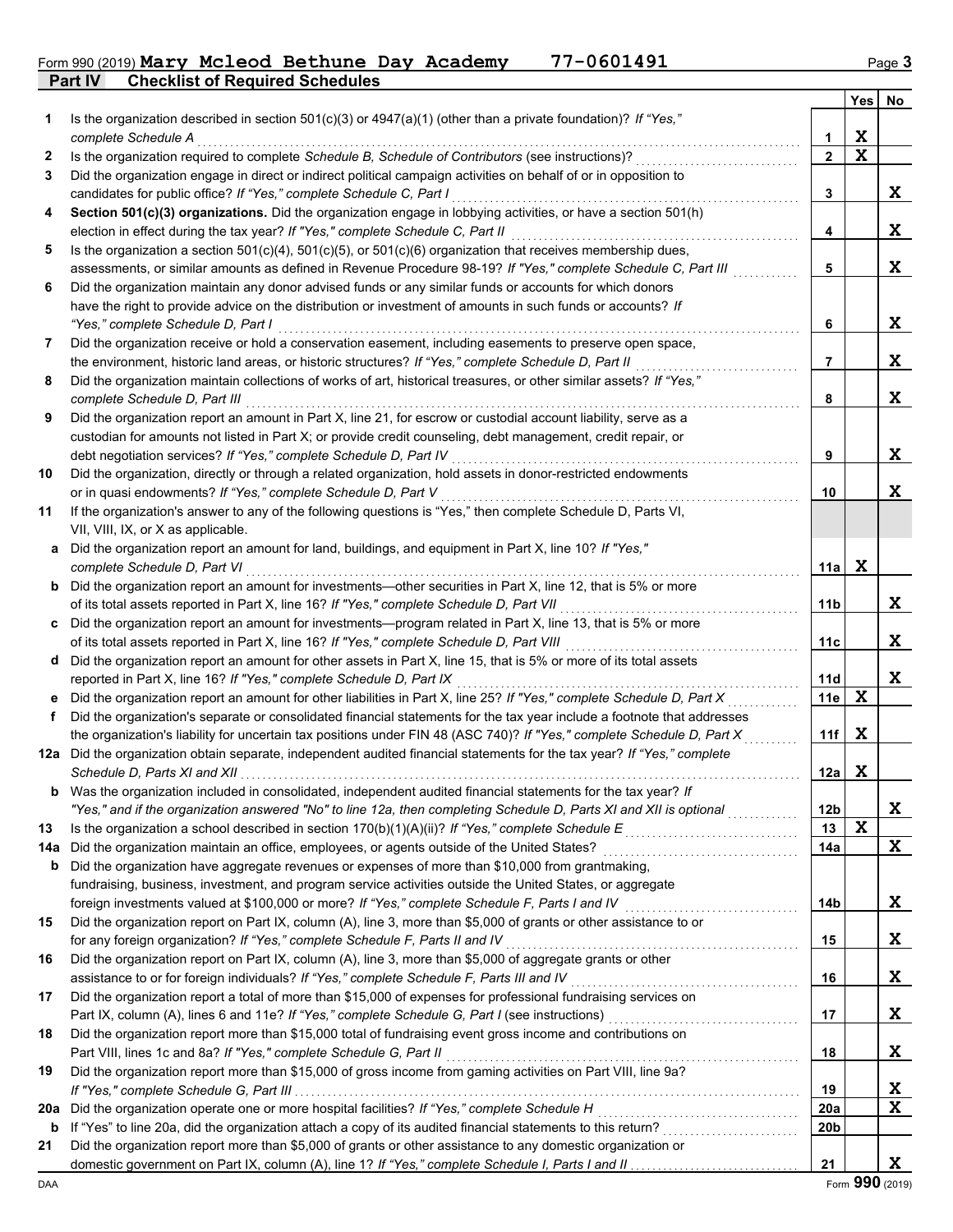**Part IV Checklist of Required Schedules** Form 990 (2019) **Mary Mcleod Bethune Day Academy 77-0601491** Page 3

|     |                                                                                                                                                                                            |                 | <b>Yes</b>  | No          |
|-----|--------------------------------------------------------------------------------------------------------------------------------------------------------------------------------------------|-----------------|-------------|-------------|
| 1   | Is the organization described in section $501(c)(3)$ or $4947(a)(1)$ (other than a private foundation)? If "Yes,"                                                                          |                 |             |             |
|     | complete Schedule A                                                                                                                                                                        | 1               | X           |             |
| 2   | Is the organization required to complete Schedule B, Schedule of Contributors (see instructions)?                                                                                          | $\overline{2}$  | $\mathbf x$ |             |
| 3   | Did the organization engage in direct or indirect political campaign activities on behalf of or in opposition to                                                                           |                 |             |             |
|     | candidates for public office? If "Yes," complete Schedule C, Part I                                                                                                                        | 3               |             | X           |
| 4   | Section 501(c)(3) organizations. Did the organization engage in lobbying activities, or have a section 501(h)                                                                              |                 |             |             |
|     | election in effect during the tax year? If "Yes," complete Schedule C, Part II                                                                                                             | 4               |             | X           |
| 5   | Is the organization a section $501(c)(4)$ , $501(c)(5)$ , or $501(c)(6)$ organization that receives membership dues,                                                                       |                 |             |             |
|     | assessments, or similar amounts as defined in Revenue Procedure 98-19? If "Yes," complete Schedule C, Part III                                                                             | 5               |             | X           |
| 6   | Did the organization maintain any donor advised funds or any similar funds or accounts for which donors                                                                                    |                 |             |             |
|     | have the right to provide advice on the distribution or investment of amounts in such funds or accounts? If                                                                                |                 |             |             |
|     | "Yes," complete Schedule D, Part I                                                                                                                                                         | 6               |             | X           |
| 7   | Did the organization receive or hold a conservation easement, including easements to preserve open space,                                                                                  |                 |             | X           |
|     | the environment, historic land areas, or historic structures? If "Yes," complete Schedule D, Part II                                                                                       | 7               |             |             |
| 8   | Did the organization maintain collections of works of art, historical treasures, or other similar assets? If "Yes,"<br>complete Schedule D, Part III                                       | 8               |             | X           |
| 9   | Did the organization report an amount in Part X, line 21, for escrow or custodial account liability, serve as a                                                                            |                 |             |             |
|     | custodian for amounts not listed in Part X; or provide credit counseling, debt management, credit repair, or                                                                               |                 |             |             |
|     | debt negotiation services? If "Yes," complete Schedule D, Part IV                                                                                                                          | 9               |             | X           |
| 10  | Did the organization, directly or through a related organization, hold assets in donor-restricted endowments                                                                               |                 |             |             |
|     | or in quasi endowments? If "Yes," complete Schedule D, Part V                                                                                                                              | 10              |             | X           |
| 11  | If the organization's answer to any of the following questions is "Yes," then complete Schedule D, Parts VI,                                                                               |                 |             |             |
|     | VII, VIII, IX, or X as applicable.                                                                                                                                                         |                 |             |             |
|     | a Did the organization report an amount for land, buildings, and equipment in Part X, line 10? If "Yes,"                                                                                   |                 |             |             |
|     | complete Schedule D, Part VI                                                                                                                                                               | 11a             | $\mathbf x$ |             |
|     | <b>b</b> Did the organization report an amount for investments-other securities in Part X, line 12, that is 5% or more                                                                     |                 |             |             |
|     | of its total assets reported in Part X, line 16? If "Yes," complete Schedule D, Part VII                                                                                                   | 11b             |             | X           |
|     | c Did the organization report an amount for investments—program related in Part X, line 13, that is 5% or more                                                                             |                 |             |             |
|     | of its total assets reported in Part X, line 16? If "Yes," complete Schedule D, Part VIII                                                                                                  | 11 <sub>c</sub> |             | X           |
|     | d Did the organization report an amount for other assets in Part X, line 15, that is 5% or more of its total assets                                                                        |                 |             |             |
|     | reported in Part X, line 16? If "Yes," complete Schedule D, Part IX                                                                                                                        | 11d             |             | $\mathbf x$ |
|     | e Did the organization report an amount for other liabilities in Part X, line 25? If "Yes," complete Schedule D, Part X                                                                    | 11e             | X           |             |
| f   | Did the organization's separate or consolidated financial statements for the tax year include a footnote that addresses                                                                    |                 |             |             |
|     | the organization's liability for uncertain tax positions under FIN 48 (ASC 740)? If "Yes," complete Schedule D, Part X                                                                     | 11f             | X           |             |
|     | 12a Did the organization obtain separate, independent audited financial statements for the tax year? If "Yes," complete                                                                    |                 |             |             |
|     |                                                                                                                                                                                            | 12a             | X           |             |
| b   | Was the organization included in consolidated, independent audited financial statements for the tax year? If                                                                               |                 |             |             |
|     | "Yes," and if the organization answered "No" to line 12a, then completing Schedule D, Parts XI and XII is optional                                                                         | 12 <sub>b</sub> |             | X           |
| 13  |                                                                                                                                                                                            | 13              | X           |             |
| 14a |                                                                                                                                                                                            | 14a             |             | X           |
| b   | Did the organization have aggregate revenues or expenses of more than \$10,000 from grantmaking,                                                                                           |                 |             |             |
|     | fundraising, business, investment, and program service activities outside the United States, or aggregate                                                                                  |                 |             |             |
|     | foreign investments valued at \$100,000 or more? If "Yes," complete Schedule F, Parts I and IV                                                                                             | 14b             |             | X           |
| 15  | Did the organization report on Part IX, column (A), line 3, more than \$5,000 of grants or other assistance to or                                                                          |                 |             | X           |
| 16  | for any foreign organization? If "Yes," complete Schedule F, Parts II and IV<br>Did the organization report on Part IX, column (A), line 3, more than \$5,000 of aggregate grants or other | 15              |             |             |
|     | assistance to or for foreign individuals? If "Yes," complete Schedule F, Parts III and IV                                                                                                  | 16              |             | X           |
| 17  | Did the organization report a total of more than \$15,000 of expenses for professional fundraising services on                                                                             |                 |             |             |
|     | Part IX, column (A), lines 6 and 11e? If "Yes," complete Schedule G, Part I (see instructions) [[[[[[[[[[[[[[                                                                              | 17              |             | X           |
| 18  | Did the organization report more than \$15,000 total of fundraising event gross income and contributions on                                                                                |                 |             |             |
|     | Part VIII, lines 1c and 8a? If "Yes," complete Schedule G, Part II                                                                                                                         | 18              |             | X           |
| 19  | Did the organization report more than \$15,000 of gross income from gaming activities on Part VIII, line 9a?                                                                               |                 |             |             |
|     |                                                                                                                                                                                            | 19              |             | X           |
| 20a | Did the organization operate one or more hospital facilities? If "Yes," complete Schedule H                                                                                                | <b>20a</b>      |             | $\mathbf x$ |
| b   |                                                                                                                                                                                            | 20b             |             |             |
| 21  | Did the organization report more than \$5,000 of grants or other assistance to any domestic organization or                                                                                |                 |             |             |
|     |                                                                                                                                                                                            | 21              |             | X           |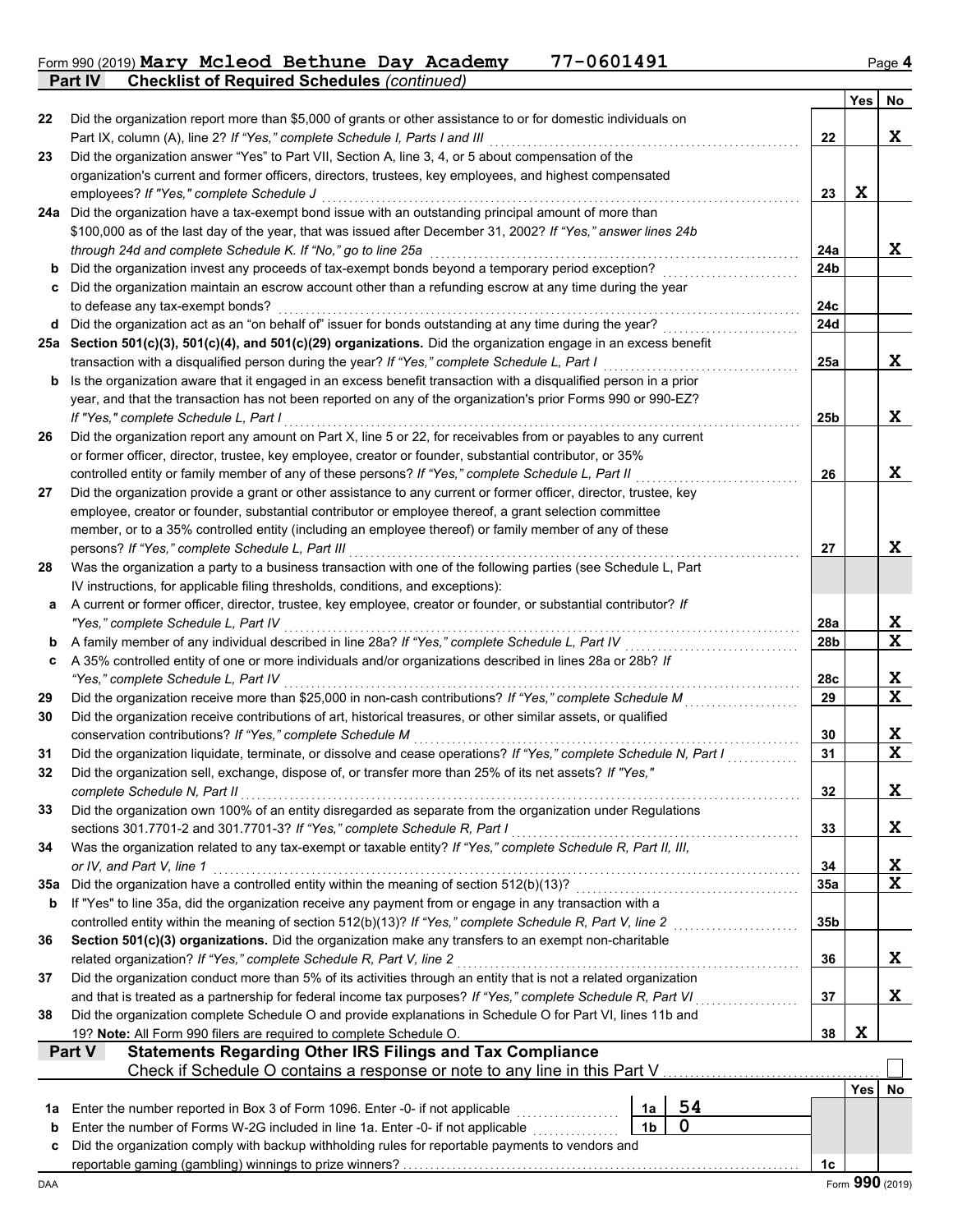Form 990 (2019) **Mary Mcleod Bethune Day Academy 77-0601491** Page **4 Mary Mcleod Bethune Day Academy 77-0601491**

**Part IV Checklist of Required Schedules** *(continued)*

|          |                                                                                                                                                                                                                                  |                |    |                 | Yes | No               |
|----------|----------------------------------------------------------------------------------------------------------------------------------------------------------------------------------------------------------------------------------|----------------|----|-----------------|-----|------------------|
| 22       | Did the organization report more than \$5,000 of grants or other assistance to or for domestic individuals on                                                                                                                    |                |    |                 |     |                  |
|          | Part IX, column (A), line 2? If "Yes," complete Schedule I, Parts I and III                                                                                                                                                      |                |    | 22              |     | $\mathbf x$      |
| 23       | Did the organization answer "Yes" to Part VII, Section A, line 3, 4, or 5 about compensation of the                                                                                                                              |                |    |                 |     |                  |
|          | organization's current and former officers, directors, trustees, key employees, and highest compensated                                                                                                                          |                |    |                 |     |                  |
|          | employees? If "Yes," complete Schedule J                                                                                                                                                                                         |                |    | 23              | X   |                  |
|          | 24a Did the organization have a tax-exempt bond issue with an outstanding principal amount of more than<br>\$100,000 as of the last day of the year, that was issued after December 31, 2002? If "Yes," answer lines 24b         |                |    |                 |     |                  |
|          | through 24d and complete Schedule K. If "No," go to line 25a                                                                                                                                                                     |                |    | 24a             |     | X                |
| b        | Did the organization invest any proceeds of tax-exempt bonds beyond a temporary period exception?                                                                                                                                |                |    | 24b             |     |                  |
| c        | Did the organization maintain an escrow account other than a refunding escrow at any time during the year                                                                                                                        |                |    |                 |     |                  |
|          | to defease any tax-exempt bonds?                                                                                                                                                                                                 |                |    | 24c             |     |                  |
| d        | Did the organization act as an "on behalf of" issuer for bonds outstanding at any time during the year?                                                                                                                          |                |    | 24d             |     |                  |
|          | 25a Section 501(c)(3), 501(c)(4), and 501(c)(29) organizations. Did the organization engage in an excess benefit                                                                                                                 |                |    |                 |     |                  |
|          | transaction with a disqualified person during the year? If "Yes," complete Schedule L, Part I                                                                                                                                    |                |    | 25a             |     | X                |
| b        | Is the organization aware that it engaged in an excess benefit transaction with a disqualified person in a prior                                                                                                                 |                |    |                 |     |                  |
|          | year, and that the transaction has not been reported on any of the organization's prior Forms 990 or 990-EZ?                                                                                                                     |                |    |                 |     |                  |
|          | If "Yes," complete Schedule L, Part I                                                                                                                                                                                            |                |    | 25 <sub>b</sub> |     | X                |
| 26       | Did the organization report any amount on Part X, line 5 or 22, for receivables from or payables to any current                                                                                                                  |                |    |                 |     |                  |
|          | or former officer, director, trustee, key employee, creator or founder, substantial contributor, or 35%                                                                                                                          |                |    |                 |     |                  |
|          | controlled entity or family member of any of these persons? If "Yes," complete Schedule L, Part II                                                                                                                               |                |    | 26              |     | X                |
| 27       | Did the organization provide a grant or other assistance to any current or former officer, director, trustee, key<br>employee, creator or founder, substantial contributor or employee thereof, a grant selection committee      |                |    |                 |     |                  |
|          | member, or to a 35% controlled entity (including an employee thereof) or family member of any of these                                                                                                                           |                |    |                 |     |                  |
|          | persons? If "Yes," complete Schedule L, Part III                                                                                                                                                                                 |                |    | 27              |     | X                |
| 28       | Was the organization a party to a business transaction with one of the following parties (see Schedule L, Part                                                                                                                   |                |    |                 |     |                  |
|          | IV instructions, for applicable filing thresholds, conditions, and exceptions):                                                                                                                                                  |                |    |                 |     |                  |
| а        | A current or former officer, director, trustee, key employee, creator or founder, or substantial contributor? If                                                                                                                 |                |    |                 |     |                  |
|          | "Yes," complete Schedule L, Part IV                                                                                                                                                                                              |                |    | 28a             |     | X                |
| b        | A family member of any individual described in line 28a? If "Yes," complete Schedule L, Part IV                                                                                                                                  |                |    | 28 <sub>b</sub> |     | $\mathbf x$      |
| c        | A 35% controlled entity of one or more individuals and/or organizations described in lines 28a or 28b? If                                                                                                                        |                |    |                 |     |                  |
|          | "Yes," complete Schedule L, Part IV                                                                                                                                                                                              |                |    | 28c             |     | X                |
| 29       | Did the organization receive more than \$25,000 in non-cash contributions? If "Yes," complete Schedule M                                                                                                                         |                |    | 29              |     | $\mathbf X$      |
| 30       | Did the organization receive contributions of art, historical treasures, or other similar assets, or qualified                                                                                                                   |                |    |                 |     |                  |
|          | conservation contributions? If "Yes," complete Schedule M<br>Did the organization liquidate, terminate, or dissolve and cease operations? If "Yes," complete Schedule N, Part I                                                  |                |    | 30<br>31        |     | X<br>$\mathbf x$ |
| 31<br>32 | Did the organization sell, exchange, dispose of, or transfer more than 25% of its net assets? If "Yes,"                                                                                                                          |                |    |                 |     |                  |
|          | complete Schedule N, Part II                                                                                                                                                                                                     |                |    | 32              |     | X                |
| 33       | Did the organization own 100% of an entity disregarded as separate from the organization under Regulations                                                                                                                       |                |    |                 |     |                  |
|          | sections 301.7701-2 and 301.7701-3? If "Yes," complete Schedule R, Part I                                                                                                                                                        |                |    | 33              |     | X                |
| 34       | Was the organization related to any tax-exempt or taxable entity? If "Yes," complete Schedule R, Part II, III,                                                                                                                   |                |    |                 |     |                  |
|          | or IV, and Part V, line 1                                                                                                                                                                                                        |                |    | 34              |     | X                |
| 35a      | Did the organization have a controlled entity within the meaning of section 512(b)(13)?                                                                                                                                          |                |    | 35a             |     | $\mathbf x$      |
| b        | If "Yes" to line 35a, did the organization receive any payment from or engage in any transaction with a                                                                                                                          |                |    |                 |     |                  |
|          |                                                                                                                                                                                                                                  |                |    | 35b             |     |                  |
| 36       | Section 501(c)(3) organizations. Did the organization make any transfers to an exempt non-charitable                                                                                                                             |                |    |                 |     |                  |
|          | related organization? If "Yes," complete Schedule R, Part V, line 2                                                                                                                                                              |                |    | 36              |     | X                |
| 37       | Did the organization conduct more than 5% of its activities through an entity that is not a related organization<br>and that is treated as a partnership for federal income tax purposes? If "Yes," complete Schedule R, Part VI |                |    | 37              |     | X                |
| 38       | Did the organization complete Schedule O and provide explanations in Schedule O for Part VI, lines 11b and                                                                                                                       |                |    | .               |     |                  |
|          | 19? Note: All Form 990 filers are required to complete Schedule O.                                                                                                                                                               |                |    | 38              | X   |                  |
|          | <b>Statements Regarding Other IRS Filings and Tax Compliance</b><br><b>Part V</b>                                                                                                                                                |                |    |                 |     |                  |
|          | Check if Schedule O contains a response or note to any line in this Part V                                                                                                                                                       |                |    |                 |     |                  |
|          |                                                                                                                                                                                                                                  |                |    |                 | Yes | No               |
| 1a       | Enter the number reported in Box 3 of Form 1096. Enter -0- if not applicable                                                                                                                                                     | 1a             | 54 |                 |     |                  |
| b        | Enter the number of Forms W-2G included in line 1a. Enter -0- if not applicable                                                                                                                                                  | 1 <sub>b</sub> | 0  |                 |     |                  |
| c        | Did the organization comply with backup withholding rules for reportable payments to vendors and                                                                                                                                 |                |    |                 |     |                  |
|          |                                                                                                                                                                                                                                  |                |    | 1c              |     |                  |
| DAA      |                                                                                                                                                                                                                                  |                |    |                 |     | Form 990 (2019)  |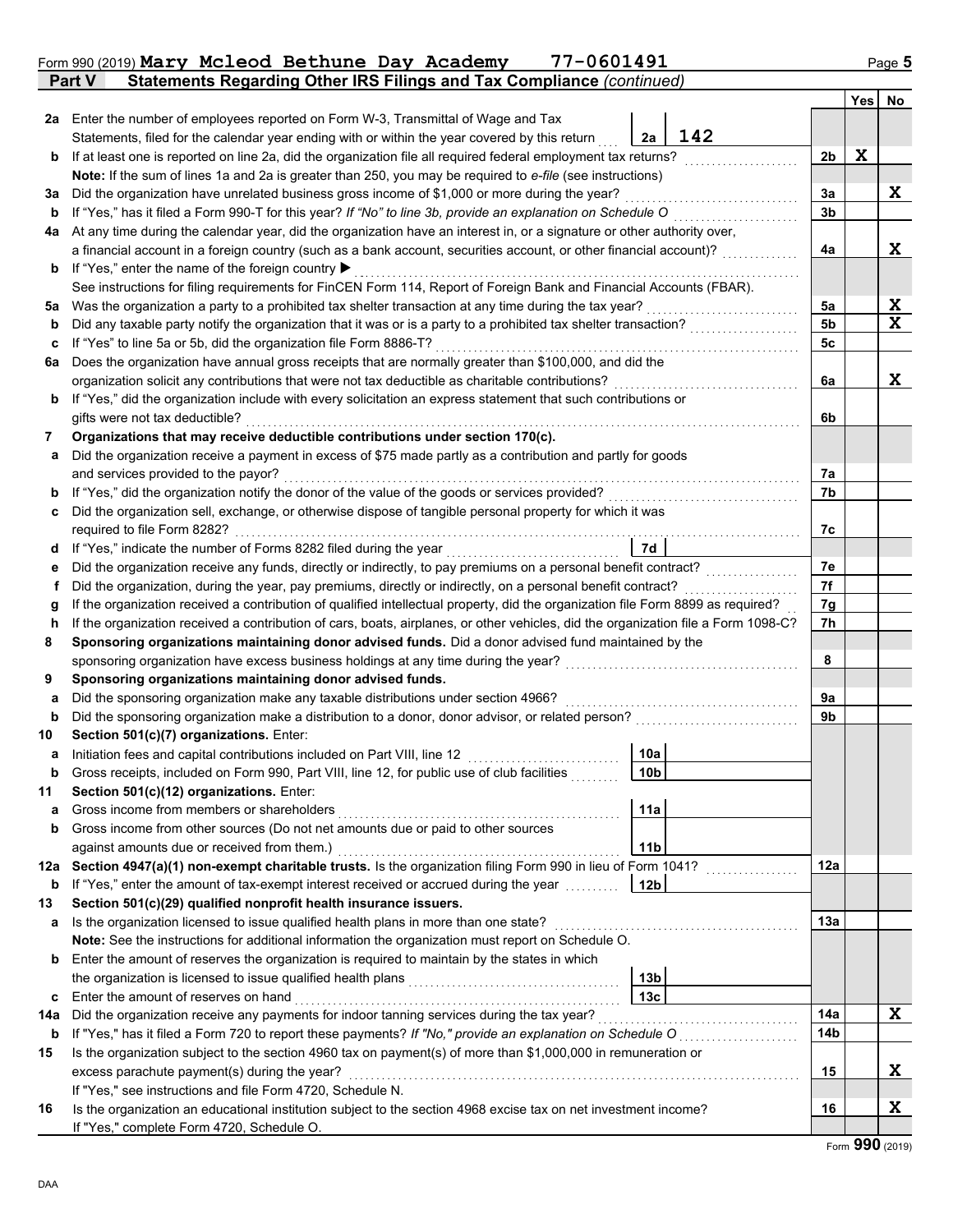|                                                                                                                                         | Statements Regarding Other IRS Filings and Tax Compliance (continued)<br>Part V                                                                                                                                                                  |                 |     |                |     |    |  |
|-----------------------------------------------------------------------------------------------------------------------------------------|--------------------------------------------------------------------------------------------------------------------------------------------------------------------------------------------------------------------------------------------------|-----------------|-----|----------------|-----|----|--|
|                                                                                                                                         |                                                                                                                                                                                                                                                  |                 |     |                | Yes | No |  |
| 2a                                                                                                                                      | Enter the number of employees reported on Form W-3, Transmittal of Wage and Tax                                                                                                                                                                  |                 |     |                |     |    |  |
|                                                                                                                                         | Statements, filed for the calendar year ending with or within the year covered by this return                                                                                                                                                    | 2a              | 142 |                |     |    |  |
| b                                                                                                                                       | If at least one is reported on line 2a, did the organization file all required federal employment tax returns?                                                                                                                                   |                 |     | 2 <sub>b</sub> | X   |    |  |
|                                                                                                                                         | Note: If the sum of lines 1a and 2a is greater than 250, you may be required to e-file (see instructions)                                                                                                                                        |                 |     |                |     |    |  |
| За                                                                                                                                      | Did the organization have unrelated business gross income of \$1,000 or more during the year?                                                                                                                                                    |                 |     | За             |     | X  |  |
| b                                                                                                                                       | If "Yes," has it filed a Form 990-T for this year? If "No" to line 3b, provide an explanation on Schedule O                                                                                                                                      |                 |     | 3 <sub>b</sub> |     |    |  |
| 4a                                                                                                                                      | At any time during the calendar year, did the organization have an interest in, or a signature or other authority over,                                                                                                                          |                 |     |                |     |    |  |
|                                                                                                                                         | a financial account in a foreign country (such as a bank account, securities account, or other financial account)?                                                                                                                               |                 |     | 4a             |     | X  |  |
| b                                                                                                                                       | If "Yes," enter the name of the foreign country ▶                                                                                                                                                                                                |                 |     |                |     |    |  |
|                                                                                                                                         | See instructions for filing requirements for FinCEN Form 114, Report of Foreign Bank and Financial Accounts (FBAR).                                                                                                                              |                 |     |                |     |    |  |
| 5a                                                                                                                                      | Was the organization a party to a prohibited tax shelter transaction at any time during the tax year?                                                                                                                                            |                 | .   | 5a             |     | X  |  |
| b                                                                                                                                       | Did any taxable party notify the organization that it was or is a party to a prohibited tax shelter transaction?                                                                                                                                 |                 |     | <b>5b</b>      |     | X  |  |
| c                                                                                                                                       | If "Yes" to line 5a or 5b, did the organization file Form 8886-T?                                                                                                                                                                                |                 |     | 5c             |     |    |  |
| 6a                                                                                                                                      | Does the organization have annual gross receipts that are normally greater than \$100,000, and did the                                                                                                                                           |                 |     |                |     |    |  |
|                                                                                                                                         | organization solicit any contributions that were not tax deductible as charitable contributions?                                                                                                                                                 |                 |     | 6a             |     | Χ  |  |
| b                                                                                                                                       | If "Yes," did the organization include with every solicitation an express statement that such contributions or                                                                                                                                   |                 |     |                |     |    |  |
|                                                                                                                                         | gifts were not tax deductible?                                                                                                                                                                                                                   |                 |     | 6b             |     |    |  |
| 7                                                                                                                                       | Organizations that may receive deductible contributions under section 170(c).                                                                                                                                                                    |                 |     |                |     |    |  |
| a                                                                                                                                       | Did the organization receive a payment in excess of \$75 made partly as a contribution and partly for goods                                                                                                                                      |                 |     |                |     |    |  |
|                                                                                                                                         | and services provided to the payor?                                                                                                                                                                                                              |                 |     | 7a             |     |    |  |
| b                                                                                                                                       | If "Yes," did the organization notify the donor of the value of the goods or services provided?                                                                                                                                                  |                 |     | 7b             |     |    |  |
| с                                                                                                                                       | Did the organization sell, exchange, or otherwise dispose of tangible personal property for which it was                                                                                                                                         |                 |     |                |     |    |  |
|                                                                                                                                         | required to file Form 8282?                                                                                                                                                                                                                      | 7d              |     | 7с             |     |    |  |
| d                                                                                                                                       | If "Yes," indicate the number of Forms 8282 filed during the year                                                                                                                                                                                |                 |     | 7е             |     |    |  |
| е                                                                                                                                       | Did the organization receive any funds, directly or indirectly, to pay premiums on a personal benefit contract?                                                                                                                                  |                 |     |                |     |    |  |
| f                                                                                                                                       | Did the organization, during the year, pay premiums, directly or indirectly, on a personal benefit contract?<br>If the organization received a contribution of qualified intellectual property, did the organization file Form 8899 as required? |                 |     |                |     |    |  |
| g<br>If the organization received a contribution of cars, boats, airplanes, or other vehicles, did the organization file a Form 1098-C? |                                                                                                                                                                                                                                                  |                 |     |                |     |    |  |
| h<br>8                                                                                                                                  | Sponsoring organizations maintaining donor advised funds. Did a donor advised fund maintained by the                                                                                                                                             |                 |     | 7h             |     |    |  |
| sponsoring organization have excess business holdings at any time during the year?                                                      |                                                                                                                                                                                                                                                  |                 |     |                |     |    |  |
| 9                                                                                                                                       | Sponsoring organizations maintaining donor advised funds.                                                                                                                                                                                        |                 |     | 8              |     |    |  |
| а                                                                                                                                       | Did the sponsoring organization make any taxable distributions under section 4966?                                                                                                                                                               |                 |     | 9a             |     |    |  |
| b                                                                                                                                       | Did the sponsoring organization make a distribution to a donor, donor advisor, or related person?                                                                                                                                                |                 |     | 9b             |     |    |  |
| 10                                                                                                                                      | Section 501(c)(7) organizations. Enter:                                                                                                                                                                                                          |                 |     |                |     |    |  |
| а                                                                                                                                       | Initiation fees and capital contributions included on Part VIII, line 12 [100] [100] [100] [100] [100] [100] [100] [100] [100] [100] [100] [100] [100] [100] [100] [100] [100] [100] [100] [100] [100] [100] [100] [100] [100]                   | 10a             |     |                |     |    |  |
| D                                                                                                                                       | Gross receipts, included on Form 990, Part VIII, line 12, for public use of club facilities                                                                                                                                                      | 10 <sub>b</sub> |     |                |     |    |  |
| 11                                                                                                                                      | Section 501(c)(12) organizations. Enter:                                                                                                                                                                                                         |                 |     |                |     |    |  |
| а                                                                                                                                       | Gross income from members or shareholders                                                                                                                                                                                                        | 11a             |     |                |     |    |  |
| b                                                                                                                                       | Gross income from other sources (Do not net amounts due or paid to other sources                                                                                                                                                                 |                 |     |                |     |    |  |
|                                                                                                                                         | against amounts due or received from them.)                                                                                                                                                                                                      | 11 <sub>b</sub> |     |                |     |    |  |
| 12a                                                                                                                                     | Section 4947(a)(1) non-exempt charitable trusts. Is the organization filing Form 990 in lieu of Form 1041?                                                                                                                                       |                 |     | 12a            |     |    |  |
| b                                                                                                                                       | If "Yes," enter the amount of tax-exempt interest received or accrued during the year                                                                                                                                                            | 12 <sub>b</sub> |     |                |     |    |  |
| 13                                                                                                                                      | Section 501(c)(29) qualified nonprofit health insurance issuers.                                                                                                                                                                                 |                 |     |                |     |    |  |
| а                                                                                                                                       | Is the organization licensed to issue qualified health plans in more than one state?                                                                                                                                                             |                 |     | 13a            |     |    |  |
|                                                                                                                                         | Note: See the instructions for additional information the organization must report on Schedule O.                                                                                                                                                |                 |     |                |     |    |  |
| b                                                                                                                                       | Enter the amount of reserves the organization is required to maintain by the states in which                                                                                                                                                     |                 |     |                |     |    |  |
|                                                                                                                                         | the organization is licensed to issue qualified health plans                                                                                                                                                                                     | 13b             |     |                |     |    |  |
| c                                                                                                                                       | Enter the amount of reserves on hand                                                                                                                                                                                                             | 13 <sub>c</sub> |     |                |     |    |  |
| 14a                                                                                                                                     | Did the organization receive any payments for indoor tanning services during the tax year?                                                                                                                                                       |                 |     | 14a            |     | X  |  |
| b                                                                                                                                       | If "Yes," has it filed a Form 720 to report these payments? If "No," provide an explanation on Schedule O                                                                                                                                        |                 |     | 14b            |     |    |  |
| 15                                                                                                                                      | Is the organization subject to the section 4960 tax on payment(s) of more than \$1,000,000 in remuneration or                                                                                                                                    |                 |     |                |     |    |  |
|                                                                                                                                         | excess parachute payment(s) during the year?                                                                                                                                                                                                     |                 |     | 15             |     | X  |  |
|                                                                                                                                         | If "Yes," see instructions and file Form 4720, Schedule N.                                                                                                                                                                                       |                 |     |                |     |    |  |
| 16                                                                                                                                      | Is the organization an educational institution subject to the section 4968 excise tax on net investment income?                                                                                                                                  |                 |     | 16             |     | X  |  |
|                                                                                                                                         | If "Yes," complete Form 4720, Schedule O.                                                                                                                                                                                                        |                 |     |                |     |    |  |

## Form 990 (2019) **Mary Mcleod Bethune Day Academy 77-0601491** Page 5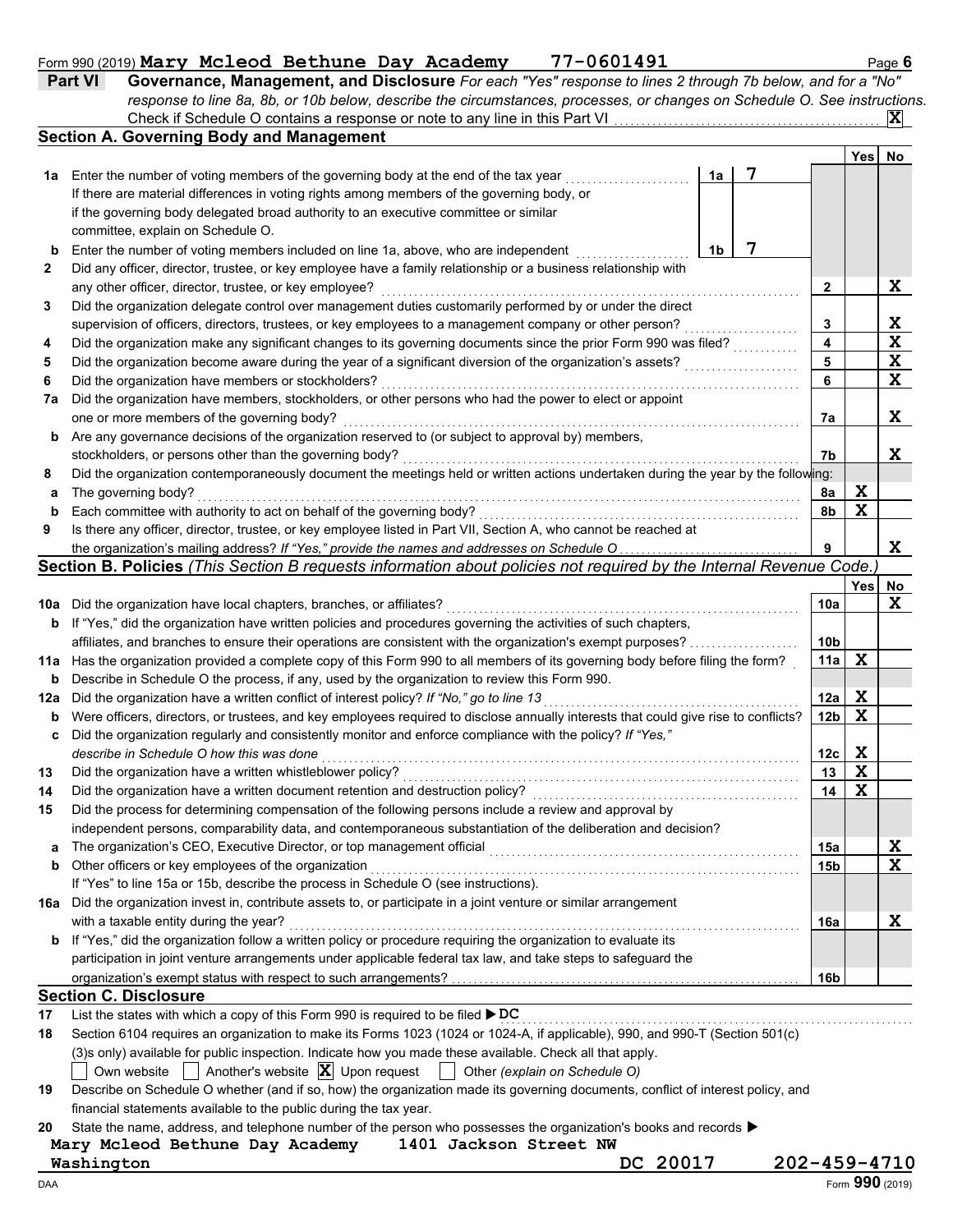### Form 990 (2019) Mary Mcleod Bethune Day Academy 77-0601491 Machines Page 6

| <b>Part VI</b> | Governance, Management, and Disclosure For each "Yes" response to lines 2 through 7b below, and for a "No"                |  |
|----------------|---------------------------------------------------------------------------------------------------------------------------|--|
|                | response to line 8a, 8b, or 10b below, describe the circumstances, processes, or changes on Schedule O. See instructions. |  |
|                | Check if Schedule O contains a response or note to any line in this Part VI                                               |  |

|     | <b>Section A. Governing Body and Management</b>                                                                                     |    |   |                 | Yesl | No          |
|-----|-------------------------------------------------------------------------------------------------------------------------------------|----|---|-----------------|------|-------------|
| 1а  | Enter the number of voting members of the governing body at the end of the tax year                                                 | 1a | 7 |                 |      |             |
|     | If there are material differences in voting rights among members of the governing body, or                                          |    |   |                 |      |             |
|     | if the governing body delegated broad authority to an executive committee or similar                                                |    |   |                 |      |             |
|     | committee, explain on Schedule O.                                                                                                   |    |   |                 |      |             |
| b   | Enter the number of voting members included on line 1a, above, who are independent                                                  | 1b | 7 |                 |      |             |
| 2   | Did any officer, director, trustee, or key employee have a family relationship or a business relationship with                      |    |   |                 |      |             |
|     | any other officer, director, trustee, or key employee?                                                                              |    |   | 2               |      | X           |
| 3   | Did the organization delegate control over management duties customarily performed by or under the direct                           |    |   |                 |      |             |
|     | supervision of officers, directors, trustees, or key employees to a management company or other person?                             |    |   | 3               |      | X           |
| 4   | Did the organization make any significant changes to its governing documents since the prior Form 990 was filed?                    |    |   | 4               |      | $\mathbf x$ |
| 5   | Did the organization become aware during the year of a significant diversion of the organization's assets?                          |    |   | 5               |      | $\mathbf x$ |
| 6   | Did the organization have members or stockholders?                                                                                  |    |   | 6               |      | $\mathbf x$ |
| 7a  | Did the organization have members, stockholders, or other persons who had the power to elect or appoint                             |    |   |                 |      |             |
|     | one or more members of the governing body?                                                                                          |    |   | 7a              |      | X           |
| b   | Are any governance decisions of the organization reserved to (or subject to approval by) members,                                   |    |   |                 |      |             |
|     | stockholders, or persons other than the governing body?                                                                             |    |   | 7b              |      | X           |
| 8   | Did the organization contemporaneously document the meetings held or written actions undertaken during the year by the following:   |    |   |                 |      |             |
| a   | The governing body?                                                                                                                 |    |   | 8a              | X    |             |
| b   | Each committee with authority to act on behalf of the governing body?                                                               |    |   | 8b              | X    |             |
| 9   | Is there any officer, director, trustee, or key employee listed in Part VII, Section A, who cannot be reached at                    |    |   |                 |      |             |
|     | the organization's mailing address? If "Yes," provide the names and addresses on Schedule O                                         |    |   | 9               |      | X           |
|     | Section B. Policies (This Section B requests information about policies not required by the Internal Revenue Code.)                 |    |   |                 |      |             |
|     |                                                                                                                                     |    |   |                 | Yesl | No          |
| 10a | Did the organization have local chapters, branches, or affiliates?                                                                  |    |   | 10a             |      | $\mathbf x$ |
| b   | If "Yes," did the organization have written policies and procedures governing the activities of such chapters,                      |    |   |                 |      |             |
|     | affiliates, and branches to ensure their operations are consistent with the organization's exempt purposes?                         |    |   | 10b             |      |             |
| 11a | Has the organization provided a complete copy of this Form 990 to all members of its governing body before filing the form?         |    |   | 11a             | X    |             |
| b   | Describe in Schedule O the process, if any, used by the organization to review this Form 990.                                       |    |   |                 |      |             |
| 12a | Did the organization have a written conflict of interest policy? If "No," go to line 13                                             |    |   | 12a             | X    |             |
| b   | Were officers, directors, or trustees, and key employees required to disclose annually interests that could give rise to conflicts? |    |   | 12 <sub>b</sub> | X    |             |
| c   | Did the organization regularly and consistently monitor and enforce compliance with the policy? If "Yes,"                           |    |   |                 |      |             |
|     | describe in Schedule O how this was done                                                                                            |    |   | 12 <sub>c</sub> | X    |             |
| 13  | Did the organization have a written whistleblower policy?                                                                           |    |   | 13              | X    |             |
| 14  | Did the organization have a written document retention and destruction policy?                                                      |    |   | 14              | X    |             |
| 15  | Did the process for determining compensation of the following persons include a review and approval by                              |    |   |                 |      |             |
|     | independent persons, comparability data, and contemporaneous substantiation of the deliberation and decision?                       |    |   |                 |      |             |
| a   | The organization's CEO, Executive Director, or top management official                                                              |    |   | 15a             |      | X           |
| b   | Other officers or key employees of the organization                                                                                 |    |   | 15b             |      | $\mathbf x$ |
|     | If "Yes" to line 15a or 15b, describe the process in Schedule O (see instructions).                                                 |    |   |                 |      |             |
|     | 16a Did the organization invest in, contribute assets to, or participate in a joint venture or similar arrangement                  |    |   |                 |      |             |
|     | with a taxable entity during the year?                                                                                              |    |   | 16a             |      | X           |
| b   | If "Yes," did the organization follow a written policy or procedure requiring the organization to evaluate its                      |    |   |                 |      |             |
|     | participation in joint venture arrangements under applicable federal tax law, and take steps to safeguard the                       |    |   |                 |      |             |
|     |                                                                                                                                     |    |   | 16b             |      |             |
|     | <b>Section C. Disclosure</b>                                                                                                        |    |   |                 |      |             |
| 17  | List the states with which a copy of this Form 990 is required to be filed ▶ DC                                                     |    |   |                 |      |             |
| 18  | Section 6104 requires an organization to make its Forms 1023 (1024 or 1024-A, if applicable), 990, and 990-T (Section 501(c)        |    |   |                 |      |             |
|     | (3)s only) available for public inspection. Indicate how you made these available. Check all that apply.                            |    |   |                 |      |             |
|     | Another's website $ \mathbf{X} $ Upon request<br>Other (explain on Schedule O)<br>Own website                                       |    |   |                 |      |             |
| 10. | Describe on Schedule Q whether (and if so how) the erganization made its governing documents, conflict of interest policy, and      |    |   |                 |      |             |

| 19 Describe on Schedule O whether (and if so, how) the organization made its governing documents, conflict of interest policy, and |
|------------------------------------------------------------------------------------------------------------------------------------|
| financial statements available to the public during the tax year.                                                                  |

**20** State the name, address, and telephone number of the person who possesses the organization's books and records ▶

**Mary Mcleod Bethune Day Academy 1401 Jackson Street NW Washington DC 20017 202-459-4710**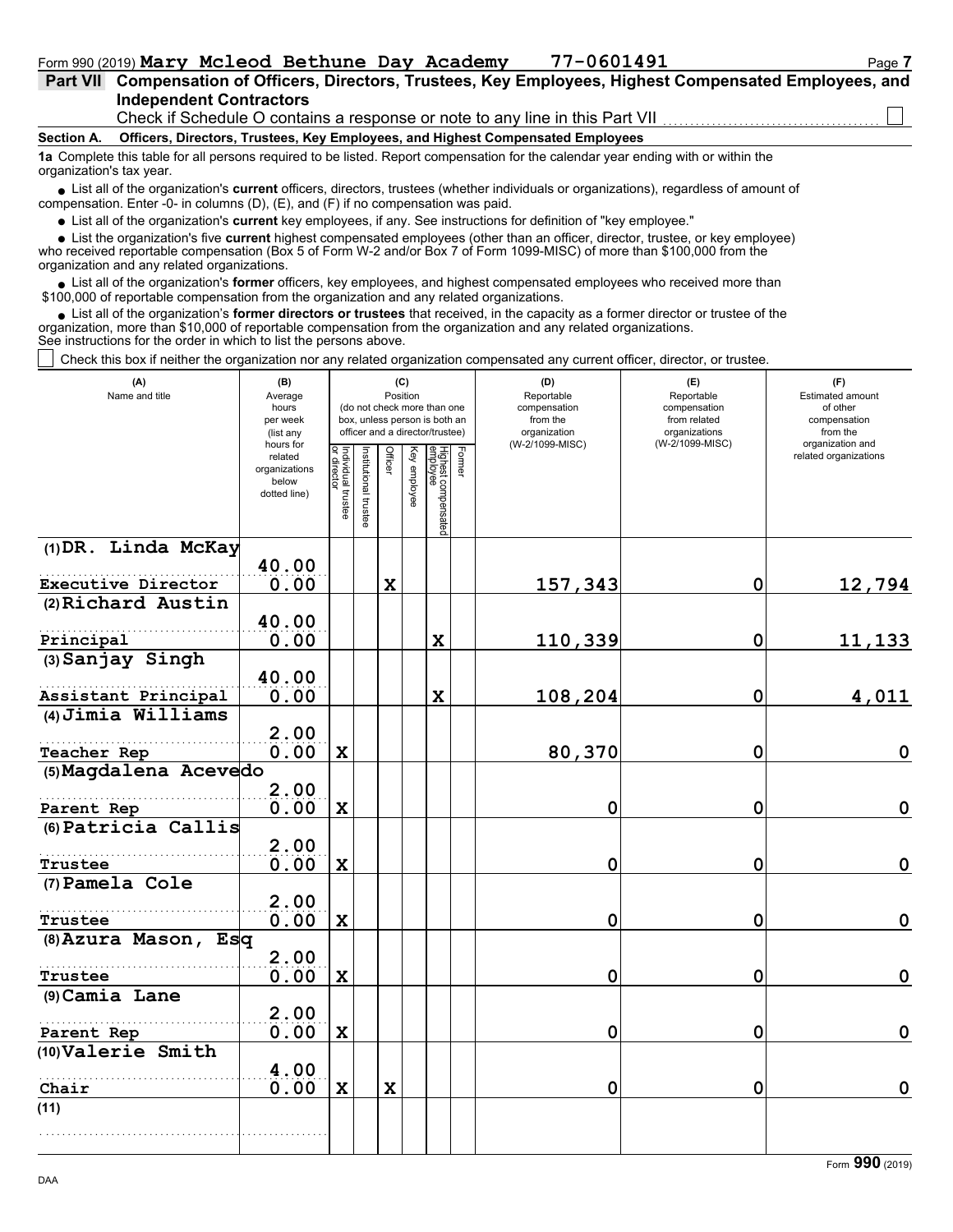| Part VII Compensation of Officers, Directors, Trustees, Key Employees, Highest Compensated Employees, and |  |
|-----------------------------------------------------------------------------------------------------------|--|
| <b>Independent Contractors</b>                                                                            |  |
| Check if Schedule O contains a response or note to any line in this Part VII                              |  |

#### **Section A. Officers, Directors, Trustees, Key Employees, and Highest Compensated Employees**

**1a** Complete this table for all persons required to be listed. Report compensation for the calendar year ending with or within the organization's tax year.

■ List all of the organization's **current** officers, directors, trustees (whether individuals or organizations), regardless of amount of compensation. Enter -0- in columns (D), (E), and (F) if no compensation was paid.

List all of the organization's **current** key employees, if any. See instructions for definition of "key employee."

■ List all of the organization's **current** key employees, if any. See instructions for definition of "key employee."<br>■ List the organization's five **current** highest compensated employees (other than an officer, director,

who received reportable compensation (Box 5 of Form W-2 and/or Box 7 of Form 1099-MISC) of more than \$100,000 from the organization and any related organizations.

• List all of the organization's **former** officers, key employees, and highest compensated employees who received more than<br>00,000 of reportable compensation from the organization and any related erganizations. \$100,000 of reportable compensation from the organization and any related organizations.

• List all of the organization's **former directors or trustees** that received, in the capacity as a former director or trustee of the anization more than \$10,000 of reportable compensation from the organization and any rel organization, more than \$10,000 of reportable compensation from the organization and any related organizations. See instructions for the order in which to list the persons above.

Check this box if neither the organization nor any related organization compensated any current officer, director, or trustee.

| (A)<br>Name and title  | (B)<br>Average<br>hours<br>per week<br>(list any<br>hours for |                                   |                       | (C)<br>Position |              | (do not check more than one<br>box, unless person is both an<br>officer and a director/trustee) |        | (D)<br>Reportable<br>compensation<br>from the<br>organization<br>(W-2/1099-MISC) | (E)<br>Reportable<br>compensation<br>from related<br>organizations<br>(W-2/1099-MISC) | (F)<br><b>Estimated amount</b><br>of other<br>compensation<br>from the<br>organization and |
|------------------------|---------------------------------------------------------------|-----------------------------------|-----------------------|-----------------|--------------|-------------------------------------------------------------------------------------------------|--------|----------------------------------------------------------------------------------|---------------------------------------------------------------------------------------|--------------------------------------------------------------------------------------------|
|                        | related<br>organizations<br>below<br>dotted line)             | Individual trustee<br>or director | Institutional trustee | Officer         | Key employee | Highest compensated<br>employee                                                                 | Former |                                                                                  |                                                                                       | related organizations                                                                      |
| (1) DR. Linda McKay    | 40.00                                                         |                                   |                       |                 |              |                                                                                                 |        |                                                                                  |                                                                                       |                                                                                            |
| Executive Director     | 0.00                                                          |                                   |                       | $\mathbf x$     |              |                                                                                                 |        | 157,343                                                                          | $\mathbf 0$                                                                           | 12,794                                                                                     |
| (2) Richard Austin     |                                                               |                                   |                       |                 |              |                                                                                                 |        |                                                                                  |                                                                                       |                                                                                            |
|                        | 40.00                                                         |                                   |                       |                 |              |                                                                                                 |        |                                                                                  |                                                                                       |                                                                                            |
| Principal              | 0.00                                                          |                                   |                       |                 |              | $\mathbf x$                                                                                     |        | 110,339                                                                          | $\mathbf 0$                                                                           | 11,133                                                                                     |
| $(3)$ Sanjay Singh     |                                                               |                                   |                       |                 |              |                                                                                                 |        |                                                                                  |                                                                                       |                                                                                            |
| Assistant Principal    | 40.00<br>0.00                                                 |                                   |                       |                 |              | $\mathbf x$                                                                                     |        | 108,204                                                                          | 0                                                                                     | 4,011                                                                                      |
| (4) Jimia Williams     |                                                               |                                   |                       |                 |              |                                                                                                 |        |                                                                                  |                                                                                       |                                                                                            |
|                        | 2.00                                                          |                                   |                       |                 |              |                                                                                                 |        |                                                                                  |                                                                                       |                                                                                            |
| Teacher Rep            | 0.00                                                          | $\mathbf x$                       |                       |                 |              |                                                                                                 |        | 80,370                                                                           | $\mathbf 0$                                                                           | $\mathbf 0$                                                                                |
| (5) Magdalena Acevedo  |                                                               |                                   |                       |                 |              |                                                                                                 |        |                                                                                  |                                                                                       |                                                                                            |
| Parent Rep             | 2.00<br>0.00                                                  | $\mathbf x$                       |                       |                 |              |                                                                                                 |        | 0                                                                                | $\mathbf 0$                                                                           | $\mathbf 0$                                                                                |
| (6) Patricia Callis    |                                                               |                                   |                       |                 |              |                                                                                                 |        |                                                                                  |                                                                                       |                                                                                            |
|                        | 2.00                                                          |                                   |                       |                 |              |                                                                                                 |        |                                                                                  |                                                                                       |                                                                                            |
| <b>Trustee</b>         | 0.00                                                          | $\mathbf X$                       |                       |                 |              |                                                                                                 |        | 0                                                                                | 0                                                                                     | $\mathbf 0$                                                                                |
| (7) Pamela Cole        |                                                               |                                   |                       |                 |              |                                                                                                 |        |                                                                                  |                                                                                       |                                                                                            |
|                        | 2.00                                                          |                                   |                       |                 |              |                                                                                                 |        |                                                                                  |                                                                                       |                                                                                            |
| Trustee                | 0.00                                                          | $\mathbf x$                       |                       |                 |              |                                                                                                 |        | 0                                                                                | $\mathbf 0$                                                                           | $\mathbf 0$                                                                                |
| $(8)$ Azura Mason, Esq | 2.00                                                          |                                   |                       |                 |              |                                                                                                 |        |                                                                                  |                                                                                       |                                                                                            |
| Trustee                | 0.00                                                          | $\mathbf x$                       |                       |                 |              |                                                                                                 |        | 0                                                                                | $\mathbf 0$                                                                           | $\mathbf 0$                                                                                |
| (9) Camia Lane         |                                                               |                                   |                       |                 |              |                                                                                                 |        |                                                                                  |                                                                                       |                                                                                            |
|                        | 2.00                                                          |                                   |                       |                 |              |                                                                                                 |        |                                                                                  |                                                                                       |                                                                                            |
| Parent Rep             | 0.00                                                          | $\mathbf x$                       |                       |                 |              |                                                                                                 |        | 0                                                                                | 0                                                                                     | $\mathbf 0$                                                                                |
| (10) Valerie Smith     |                                                               |                                   |                       |                 |              |                                                                                                 |        |                                                                                  |                                                                                       |                                                                                            |
|                        | 4.00                                                          |                                   |                       |                 |              |                                                                                                 |        |                                                                                  |                                                                                       |                                                                                            |
| Chair                  | 0.00                                                          | $\mathbf x$                       |                       | $\mathbf x$     |              |                                                                                                 |        | 0                                                                                | 0                                                                                     | $\mathbf 0$                                                                                |
| (11)                   |                                                               |                                   |                       |                 |              |                                                                                                 |        |                                                                                  |                                                                                       |                                                                                            |
|                        |                                                               |                                   |                       |                 |              |                                                                                                 |        |                                                                                  |                                                                                       |                                                                                            |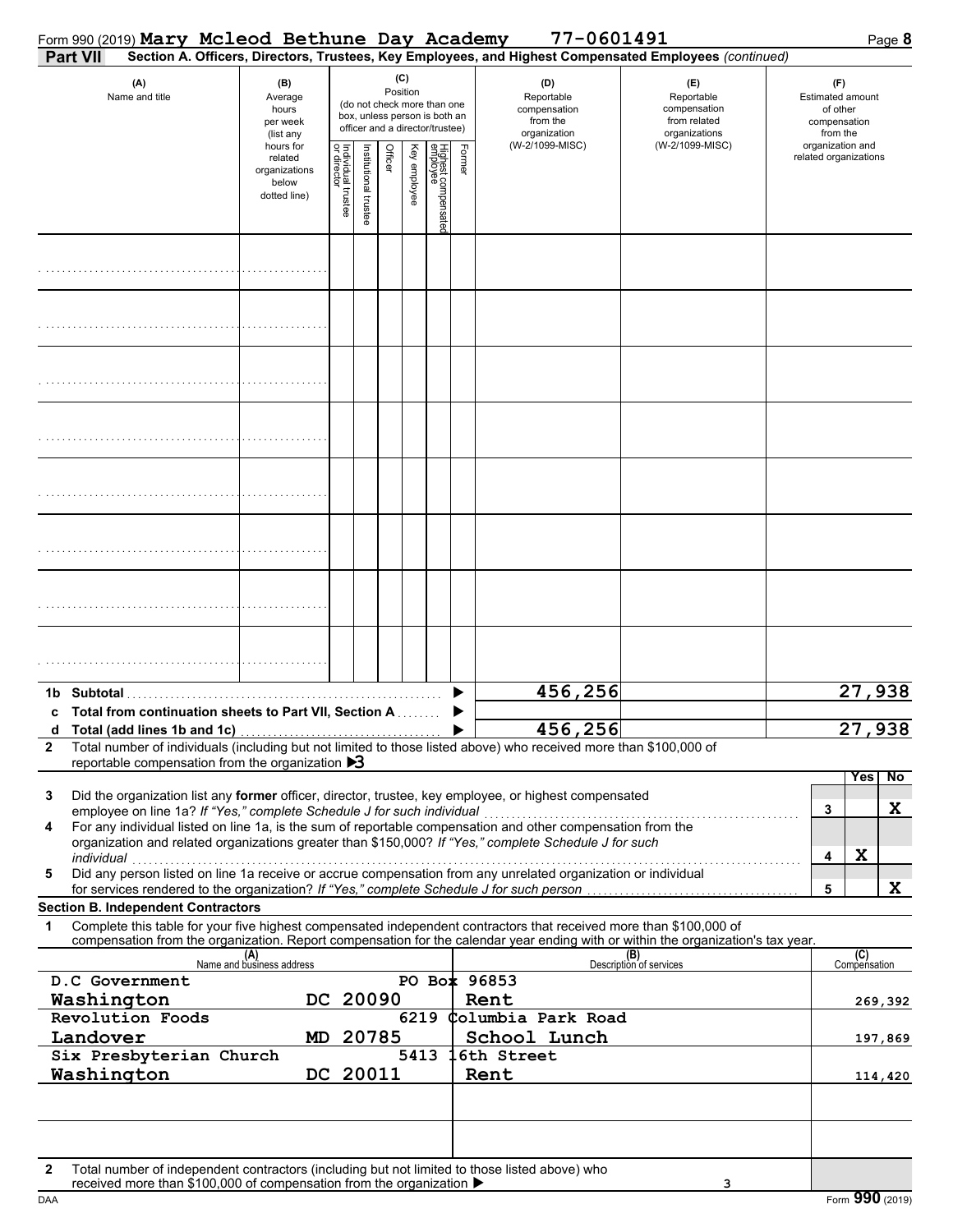| Form 990 (2019) Mary Mcleod Bethune Day Academy                                      |  |                                                                |                                   |                      |          |                 |                                                                                                 |        | 77-0601491                                                                                                                                                                                                           |                                                                                                                                                                    | Page 8                                                                 |
|--------------------------------------------------------------------------------------|--|----------------------------------------------------------------|-----------------------------------|----------------------|----------|-----------------|-------------------------------------------------------------------------------------------------|--------|----------------------------------------------------------------------------------------------------------------------------------------------------------------------------------------------------------------------|--------------------------------------------------------------------------------------------------------------------------------------------------------------------|------------------------------------------------------------------------|
| Part VII                                                                             |  |                                                                |                                   |                      |          |                 |                                                                                                 |        |                                                                                                                                                                                                                      | Section A. Officers, Directors, Trustees, Key Employees, and Highest Compensated Employees (continued)                                                             |                                                                        |
| (A)<br>Name and title                                                                |  | (B)<br>Average<br>hours<br>per week<br>(list any               |                                   |                      |          | (C)<br>Position | (do not check more than one<br>box, unless person is both an<br>officer and a director/trustee) |        | (D)<br>Reportable<br>compensation<br>from the<br>organization                                                                                                                                                        | (E)<br>Reportable<br>compensation<br>from related<br>organizations                                                                                                 | (F)<br><b>Estimated amount</b><br>of other<br>compensation<br>from the |
|                                                                                      |  | hours for<br>related<br>organizations<br>below<br>dotted line) | Individual trustee<br>or director | nstitutional trustee | Officer  | Key employee    | Highest compensate<br>employee                                                                  | Former | (W-2/1099-MISC)                                                                                                                                                                                                      | (W-2/1099-MISC)                                                                                                                                                    | organization and<br>related organizations                              |
|                                                                                      |  |                                                                |                                   |                      |          |                 |                                                                                                 |        |                                                                                                                                                                                                                      |                                                                                                                                                                    |                                                                        |
|                                                                                      |  |                                                                |                                   |                      |          |                 |                                                                                                 |        |                                                                                                                                                                                                                      |                                                                                                                                                                    |                                                                        |
|                                                                                      |  |                                                                |                                   |                      |          |                 |                                                                                                 |        |                                                                                                                                                                                                                      |                                                                                                                                                                    |                                                                        |
|                                                                                      |  |                                                                |                                   |                      |          |                 |                                                                                                 |        |                                                                                                                                                                                                                      |                                                                                                                                                                    |                                                                        |
|                                                                                      |  |                                                                |                                   |                      |          |                 |                                                                                                 |        |                                                                                                                                                                                                                      |                                                                                                                                                                    |                                                                        |
|                                                                                      |  |                                                                |                                   |                      |          |                 |                                                                                                 |        |                                                                                                                                                                                                                      |                                                                                                                                                                    |                                                                        |
|                                                                                      |  |                                                                |                                   |                      |          |                 |                                                                                                 |        |                                                                                                                                                                                                                      |                                                                                                                                                                    |                                                                        |
|                                                                                      |  |                                                                |                                   |                      |          |                 |                                                                                                 |        |                                                                                                                                                                                                                      |                                                                                                                                                                    |                                                                        |
| Total from continuation sheets to Part VII, Section A                                |  |                                                                |                                   |                      |          |                 |                                                                                                 |        | 456,256                                                                                                                                                                                                              |                                                                                                                                                                    | 27,938                                                                 |
| $\mathbf{2}$<br>reportable compensation from the organization $\triangleright$ 3     |  |                                                                |                                   |                      |          |                 |                                                                                                 |        | 456,256<br>Total number of individuals (including but not limited to those listed above) who received more than \$100,000 of                                                                                         |                                                                                                                                                                    | 27,<br>938                                                             |
| 3<br>employee on line 1a? If "Yes," complete Schedule J for such individual          |  |                                                                |                                   |                      |          |                 |                                                                                                 |        | Did the organization list any former officer, director, trustee, key employee, or highest compensated                                                                                                                |                                                                                                                                                                    | <b>Yes</b><br>No<br>X<br>3                                             |
| 4<br>individual                                                                      |  |                                                                |                                   |                      |          |                 |                                                                                                 |        | For any individual listed on line 1a, is the sum of reportable compensation and other compensation from the<br>organization and related organizations greater than \$150,000? If "Yes," complete Schedule J for such |                                                                                                                                                                    | X<br>4                                                                 |
| 5                                                                                    |  |                                                                |                                   |                      |          |                 |                                                                                                 |        | Did any person listed on line 1a receive or accrue compensation from any unrelated organization or individual<br>for services rendered to the organization? If "Yes," complete Schedule J for such person            |                                                                                                                                                                    | X<br>5                                                                 |
| <b>Section B. Independent Contractors</b><br>1                                       |  |                                                                |                                   |                      |          |                 |                                                                                                 |        | Complete this table for your five highest compensated independent contractors that received more than \$100,000 of                                                                                                   |                                                                                                                                                                    |                                                                        |
|                                                                                      |  | (A)<br>Name and business address                               |                                   |                      |          |                 |                                                                                                 |        |                                                                                                                                                                                                                      | compensation from the organization. Report compensation for the calendar year ending with or within the organization's tax year.<br>(B)<br>Description of services | (C)<br>Compensation                                                    |
| D.C Government                                                                       |  |                                                                |                                   |                      |          |                 |                                                                                                 |        | PO Box 96853                                                                                                                                                                                                         |                                                                                                                                                                    |                                                                        |
| Washington                                                                           |  |                                                                |                                   |                      | DC 20090 |                 |                                                                                                 |        | Rent                                                                                                                                                                                                                 |                                                                                                                                                                    | 269,392                                                                |
| Revolution Foods<br>Landover                                                         |  | MD.                                                            |                                   |                      | 20785    | 6219            |                                                                                                 |        | Columbia Park Road<br>School Lunch                                                                                                                                                                                   |                                                                                                                                                                    | 197,869                                                                |
| Six Presbyterian Church<br>5413<br>DC 20011<br>Washington                            |  |                                                                |                                   |                      |          |                 |                                                                                                 |        | 6th Street<br>Rent                                                                                                                                                                                                   |                                                                                                                                                                    | 114,420                                                                |
|                                                                                      |  |                                                                |                                   |                      |          |                 |                                                                                                 |        |                                                                                                                                                                                                                      |                                                                                                                                                                    |                                                                        |
| $\mathbf{2}$<br>received more than \$100,000 of compensation from the organization ▶ |  |                                                                |                                   |                      |          |                 |                                                                                                 |        | Total number of independent contractors (including but not limited to those listed above) who                                                                                                                        | з                                                                                                                                                                  |                                                                        |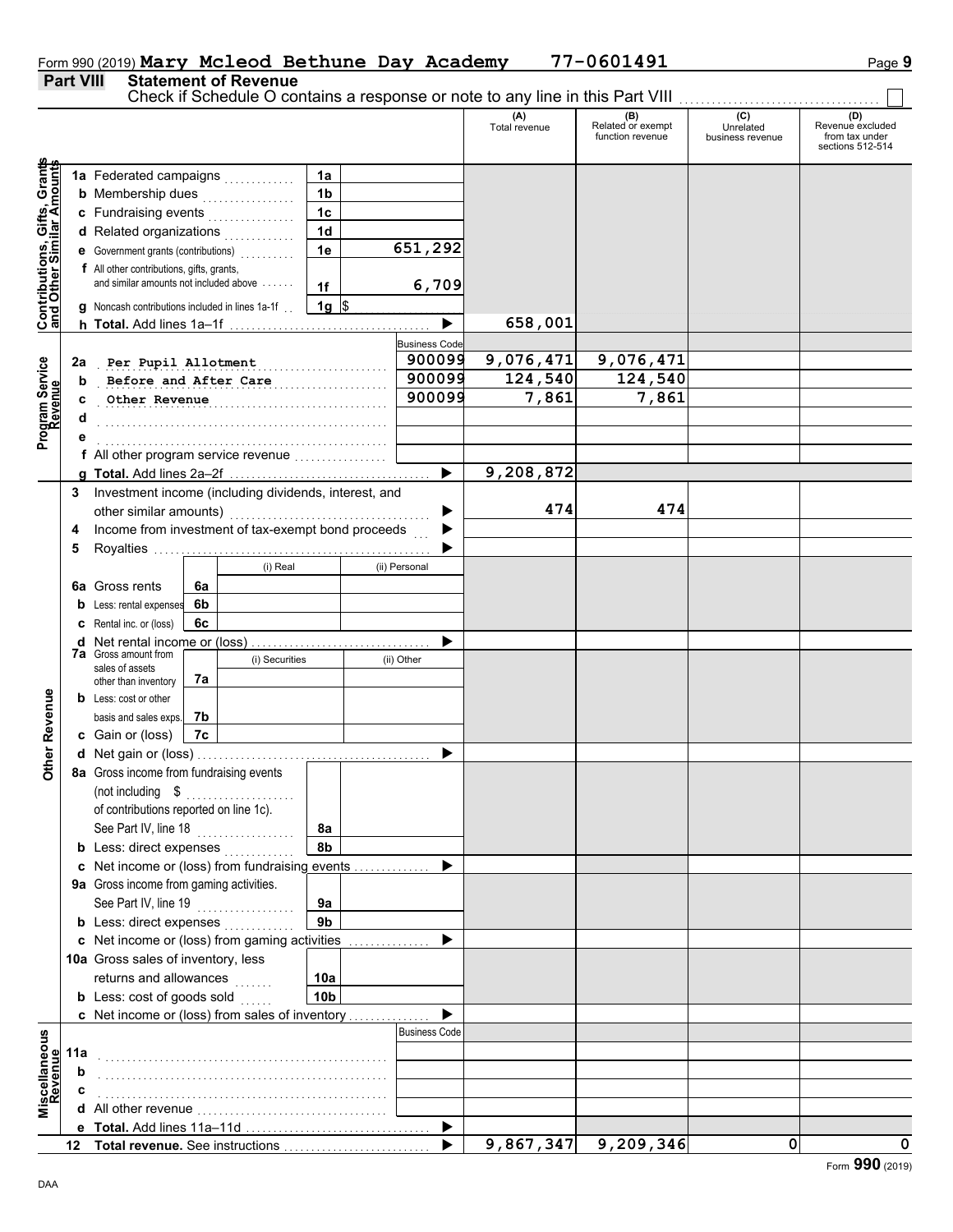|                                                                  |     | 1a Federated campaigns                                              |    |                | 1a              |                       |                        |                      |   |            |
|------------------------------------------------------------------|-----|---------------------------------------------------------------------|----|----------------|-----------------|-----------------------|------------------------|----------------------|---|------------|
|                                                                  |     | <b>b</b> Membership dues                                            |    | .              | 1 <sub>b</sub>  |                       |                        |                      |   |            |
|                                                                  |     | c Fundraising events                                                |    | .              | 1 <sup>c</sup>  |                       |                        |                      |   |            |
|                                                                  |     | d Related organizations                                             |    |                | 1 <sub>d</sub>  |                       |                        |                      |   |            |
|                                                                  |     | e Government grants (contributions)                                 |    |                | 1e              | 651,292               |                        |                      |   |            |
|                                                                  |     | f All other contributions, gifts, grants,                           |    |                |                 |                       |                        |                      |   |            |
| <b>Contributions, Gifts, Grants</b><br>and Other Similar Amounts |     | and similar amounts not included above                              |    |                | 1f              | 6,709                 |                        |                      |   |            |
|                                                                  |     | g Noncash contributions included in lines 1a-1f.                    |    |                | $1g$ \$         |                       |                        |                      |   |            |
|                                                                  |     |                                                                     |    |                |                 | $\blacktriangleright$ | 658,001                |                      |   |            |
|                                                                  |     |                                                                     |    |                |                 |                       |                        |                      |   |            |
|                                                                  |     |                                                                     |    |                |                 | <b>Business Code</b>  |                        |                      |   |            |
|                                                                  | 2a  | Per Pupil Allotment                                                 |    |                |                 | 900099                | $\overline{9,076,471}$ | 9,076,471            |   |            |
|                                                                  | b   | Before and After Care                                               |    |                |                 | 900099                | 124,540                | $\overline{1}24,540$ |   |            |
| Program Service<br>Revenue                                       | c   | Other Revenue                                                       |    |                |                 | 900099                | 7,861                  | 7,861                |   |            |
|                                                                  |     |                                                                     |    |                |                 |                       |                        |                      |   |            |
|                                                                  |     |                                                                     |    |                |                 |                       |                        |                      |   |            |
|                                                                  |     | f All other program service revenue                                 |    |                |                 |                       |                        |                      |   |            |
|                                                                  |     |                                                                     |    |                |                 | ▶                     | 9,208,872              |                      |   |            |
|                                                                  |     | 3 Investment income (including dividends, interest, and             |    |                |                 |                       |                        |                      |   |            |
|                                                                  |     |                                                                     |    |                |                 | ▶                     | 474                    | 474                  |   |            |
|                                                                  | 4   | Income from investment of tax-exempt bond proceeds                  |    |                |                 | ▶                     |                        |                      |   |            |
|                                                                  | 5   |                                                                     |    |                |                 |                       |                        |                      |   |            |
|                                                                  |     |                                                                     |    | (i) Real       |                 | (ii) Personal         |                        |                      |   |            |
|                                                                  |     | 6a Gross rents                                                      | 6a |                |                 |                       |                        |                      |   |            |
|                                                                  |     |                                                                     |    |                |                 |                       |                        |                      |   |            |
|                                                                  |     | <b>b</b> Less: rental expenses                                      | 6b |                |                 |                       |                        |                      |   |            |
|                                                                  |     | C Rental inc. or (loss)                                             | 6c |                |                 |                       |                        |                      |   |            |
|                                                                  |     | <b>d</b> Net rental income or (loss)<br><b>7a</b> Gross amount from |    |                |                 |                       |                        |                      |   |            |
|                                                                  |     | sales of assets                                                     |    | (i) Securities |                 | (ii) Other            |                        |                      |   |            |
|                                                                  |     | other than inventory                                                | 7a |                |                 |                       |                        |                      |   |            |
|                                                                  |     | <b>b</b> Less: cost or other                                        |    |                |                 |                       |                        |                      |   |            |
| Other Revenue                                                    |     | basis and sales exps.                                               | 7b |                |                 |                       |                        |                      |   |            |
|                                                                  |     | c Gain or (loss)                                                    | 7c |                |                 |                       |                        |                      |   |            |
|                                                                  |     |                                                                     |    |                |                 |                       |                        |                      |   |            |
|                                                                  |     | 8a Gross income from fundraising events                             |    |                |                 |                       |                        |                      |   |            |
|                                                                  |     | (not including \$                                                   |    | .              |                 |                       |                        |                      |   |            |
|                                                                  |     | of contributions reported on line 1c).                              |    |                |                 |                       |                        |                      |   |            |
|                                                                  |     | See Part IV, line 18                                                |    | .              | 8а              |                       |                        |                      |   |            |
|                                                                  |     | <b>b</b> Less: direct expenses                                      |    |                | 8b              |                       |                        |                      |   |            |
|                                                                  |     | c Net income or (loss) from fundraising events                      |    |                |                 |                       |                        |                      |   |            |
|                                                                  |     | 9a Gross income from gaming activities.                             |    |                |                 |                       |                        |                      |   |            |
|                                                                  |     | See Part IV, line 19                                                |    |                | 9a              |                       |                        |                      |   |            |
|                                                                  |     |                                                                     |    | .              | 9 <sub>b</sub>  |                       |                        |                      |   |            |
|                                                                  |     | <b>b</b> Less: direct expenses                                      |    |                |                 |                       |                        |                      |   |            |
|                                                                  |     | c Net income or (loss) from gaming activities                       |    |                |                 |                       |                        |                      |   |            |
|                                                                  |     | 10a Gross sales of inventory, less                                  |    |                |                 |                       |                        |                      |   |            |
|                                                                  |     | returns and allowances                                              |    | .              | 10a             |                       |                        |                      |   |            |
|                                                                  |     | <b>b</b> Less: cost of goods sold                                   |    |                | 10 <sub>b</sub> |                       |                        |                      |   |            |
|                                                                  |     | <b>c</b> Net income or (loss) from sales of inventory               |    |                |                 |                       |                        |                      |   |            |
|                                                                  |     |                                                                     |    |                |                 | <b>Business Code</b>  |                        |                      |   |            |
| Miscellaneous<br>Revenue                                         | 11a |                                                                     |    |                |                 |                       |                        |                      |   |            |
|                                                                  | b   |                                                                     |    |                |                 |                       |                        |                      |   |            |
|                                                                  |     |                                                                     |    |                |                 |                       |                        |                      |   |            |
|                                                                  | d   |                                                                     |    |                |                 |                       |                        |                      |   |            |
|                                                                  |     |                                                                     |    |                |                 | ▶                     |                        |                      |   |            |
|                                                                  |     |                                                                     |    |                |                 |                       | 9,867,347              | 9,209,346            | 0 | 0          |
|                                                                  |     |                                                                     |    |                |                 |                       |                        |                      |   | <b>QQO</b> |

### Form 990 (2019) **Mary Mcleod Bethune Day Academy 77-0601491** Page 9

### **Part VIII Statement of Revenue**

Check if Schedule O contains a response or note to any line in this Part VIII<br>
Total revenue Related or exempt

sections 512-514

(C)<br>Unrelated Revenue excluded<br>business revenue from tax under

**(A) (B) (C) (D)** Total revenue Related or exempt Unrelated Revenue excluded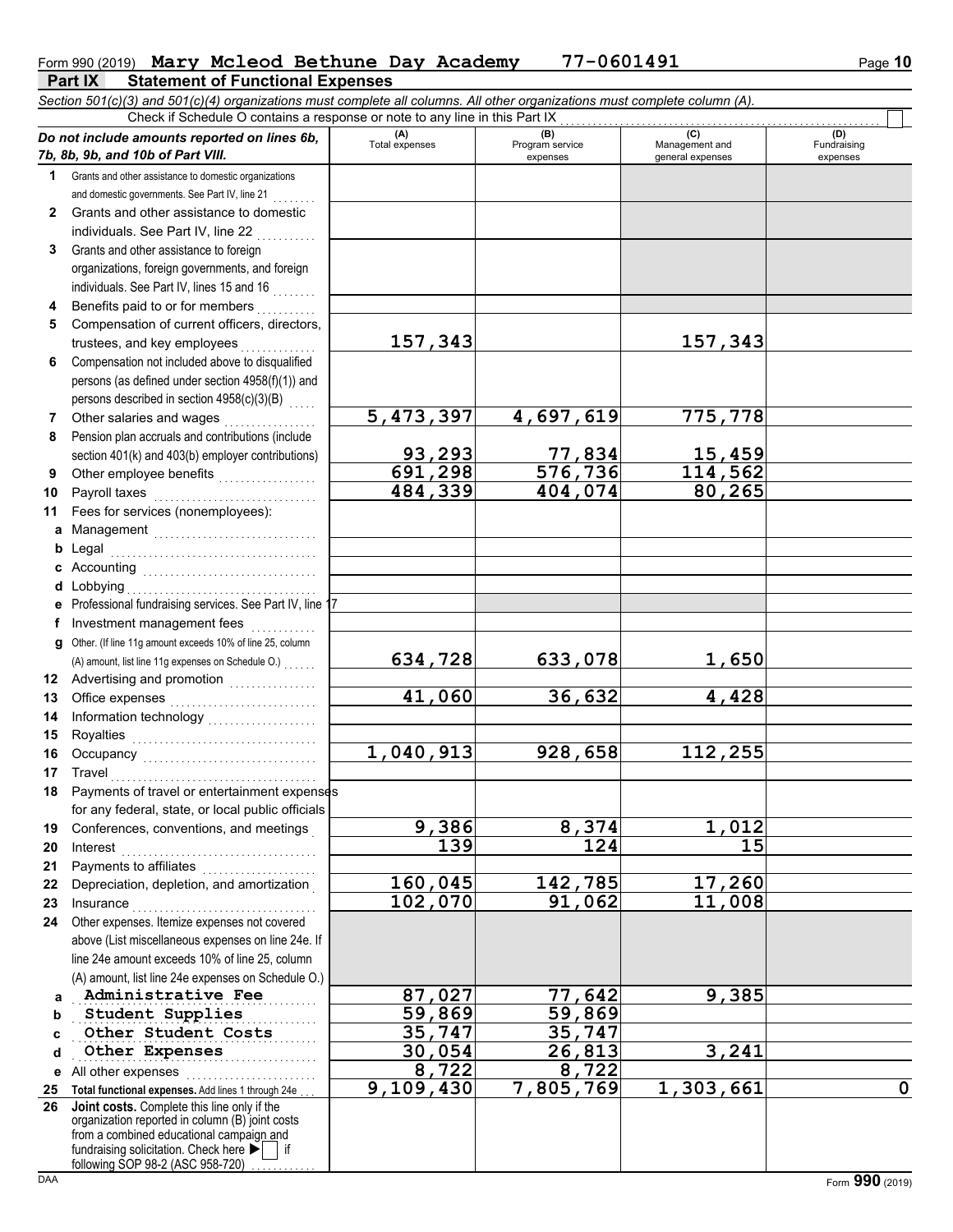## Form 990 (2019) Nary Mcleod Bethune Day Academy 77-0601491 Page 10

| <b>Part IX</b> | <b>Statement of Functional Expenses</b>                                                                                    |  |  |  |
|----------------|----------------------------------------------------------------------------------------------------------------------------|--|--|--|
|                | Section 501(c)(3) and 501(c)(4) organizations must complete all columns. All other organizations must complete column (A). |  |  |  |

|              | $\sim$ . The control of the control of the complete $\sim$ and column $\sim$ . The called complete complete commuting $\sim$<br>Check if Schedule O contains a response or note to any line in this Part IX |                       |                             |                          |                         |
|--------------|-------------------------------------------------------------------------------------------------------------------------------------------------------------------------------------------------------------|-----------------------|-----------------------------|--------------------------|-------------------------|
|              | Do not include amounts reported on lines 6b,                                                                                                                                                                | (A)                   | (B)                         | (C)                      | (D)                     |
|              | 7b, 8b, 9b, and 10b of Part VIII.                                                                                                                                                                           | Total expenses        | Program service<br>expenses | Management and           | Fundraising<br>expenses |
|              | 1 Grants and other assistance to domestic organizations                                                                                                                                                     |                       |                             | general expenses         |                         |
|              |                                                                                                                                                                                                             |                       |                             |                          |                         |
|              | and domestic governments. See Part IV, line 21                                                                                                                                                              |                       |                             |                          |                         |
| $\mathbf{2}$ | Grants and other assistance to domestic                                                                                                                                                                     |                       |                             |                          |                         |
|              | individuals. See Part IV, line 22                                                                                                                                                                           |                       |                             |                          |                         |
| 3            | Grants and other assistance to foreign                                                                                                                                                                      |                       |                             |                          |                         |
|              | organizations, foreign governments, and foreign                                                                                                                                                             |                       |                             |                          |                         |
|              | individuals. See Part IV, lines 15 and 16                                                                                                                                                                   |                       |                             |                          |                         |
| 4            | Benefits paid to or for members                                                                                                                                                                             |                       |                             |                          |                         |
| 5            | Compensation of current officers, directors,                                                                                                                                                                |                       |                             |                          |                         |
|              | trustees, and key employees                                                                                                                                                                                 | 157,343               |                             | 157,343                  |                         |
| 6            | Compensation not included above to disqualified                                                                                                                                                             |                       |                             |                          |                         |
|              | persons (as defined under section 4958(f)(1)) and                                                                                                                                                           |                       |                             |                          |                         |
|              | persons described in section 4958(c)(3)(B)                                                                                                                                                                  |                       |                             |                          |                         |
| 7            | Other salaries and wages                                                                                                                                                                                    | 5,473,397             | 4,697,619                   | 775,778                  |                         |
| 8            | Pension plan accruals and contributions (include                                                                                                                                                            |                       |                             |                          |                         |
|              | section 401(k) and 403(b) employer contributions)                                                                                                                                                           | 93,293                | <u>77,834</u>               | <u>15,459</u><br>114,562 |                         |
| 9            |                                                                                                                                                                                                             | $\frac{1}{691}$ , 298 | 576,736                     |                          |                         |
| 10           | Payroll taxes                                                                                                                                                                                               | 484,339               | 404,074                     | 80,265                   |                         |
| 11           | Fees for services (nonemployees):                                                                                                                                                                           |                       |                             |                          |                         |
|              |                                                                                                                                                                                                             |                       |                             |                          |                         |
| b            |                                                                                                                                                                                                             |                       |                             |                          |                         |
| c            |                                                                                                                                                                                                             |                       |                             |                          |                         |
|              | d Lobbying                                                                                                                                                                                                  |                       |                             |                          |                         |
|              | e Professional fundraising services. See Part IV, line 1                                                                                                                                                    |                       |                             |                          |                         |
| f            | Investment management fees<br>.                                                                                                                                                                             |                       |                             |                          |                         |
| g            | Other. (If line 11g amount exceeds 10% of line 25, column                                                                                                                                                   |                       |                             |                          |                         |
|              |                                                                                                                                                                                                             | 634,728               | 633,078                     | 1,650                    |                         |
| 12           |                                                                                                                                                                                                             |                       |                             |                          |                         |
| 13           | Office expenses                                                                                                                                                                                             | 41,060                | 36,632                      | 4,428                    |                         |
| 14           |                                                                                                                                                                                                             |                       |                             |                          |                         |
| 15           |                                                                                                                                                                                                             |                       |                             |                          |                         |
| 16           |                                                                                                                                                                                                             | 1,040,913             | 928,658                     | 112,255                  |                         |
| 17           | Travel                                                                                                                                                                                                      |                       |                             |                          |                         |
| 18           | Payments of travel or entertainment expenses                                                                                                                                                                |                       |                             |                          |                         |
|              | for any federal, state, or local public officials                                                                                                                                                           |                       |                             |                          |                         |
| 19           | Conferences, conventions, and meetings                                                                                                                                                                      | 9,386                 | 8,374                       | 1,012                    |                         |
| 20           | Interest                                                                                                                                                                                                    | 139                   | 124                         | 15                       |                         |
| 21           | Payments to affiliates                                                                                                                                                                                      |                       |                             |                          |                         |
| 22           | Depreciation, depletion, and amortization                                                                                                                                                                   | 160,045               | 142,785                     | 17,260                   |                         |
| 23           | Insurance                                                                                                                                                                                                   | 102,070               | 91,062                      | 11,008                   |                         |
| 24           | Other expenses. Itemize expenses not covered                                                                                                                                                                |                       |                             |                          |                         |
|              | above (List miscellaneous expenses on line 24e. If                                                                                                                                                          |                       |                             |                          |                         |
|              | line 24e amount exceeds 10% of line 25, column                                                                                                                                                              |                       |                             |                          |                         |
|              | (A) amount, list line 24e expenses on Schedule O.)                                                                                                                                                          |                       |                             |                          |                         |
| a            | Administrative Fee                                                                                                                                                                                          | 87,027                | 77,642                      | 9,385                    |                         |
| b            | Student Supplies                                                                                                                                                                                            | 59,869                | 59,869                      |                          |                         |
| c            | Other Student Costs                                                                                                                                                                                         | 35,747                | 35,747                      |                          |                         |
| d            | Other Expenses                                                                                                                                                                                              | 30,054                | 26,813                      | 3,241                    |                         |
| е            | All other expenses                                                                                                                                                                                          | 8,722                 | 8,722                       |                          |                         |
| 25           | Total functional expenses. Add lines 1 through 24e                                                                                                                                                          | 9,109,430             | 7,805,769                   | 1,303,661                | $\mathbf 0$             |
| 26           | Joint costs. Complete this line only if the                                                                                                                                                                 |                       |                             |                          |                         |
|              | organization reported in column (B) joint costs<br>from a combined educational campaign and                                                                                                                 |                       |                             |                          |                         |
|              | fundraising solicitation. Check here                                                                                                                                                                        |                       |                             |                          |                         |
|              | following SOP 98-2 (ASC 958-720)                                                                                                                                                                            |                       |                             |                          |                         |
| <b>DAA</b>   |                                                                                                                                                                                                             |                       |                             |                          | Form 990 (2019)         |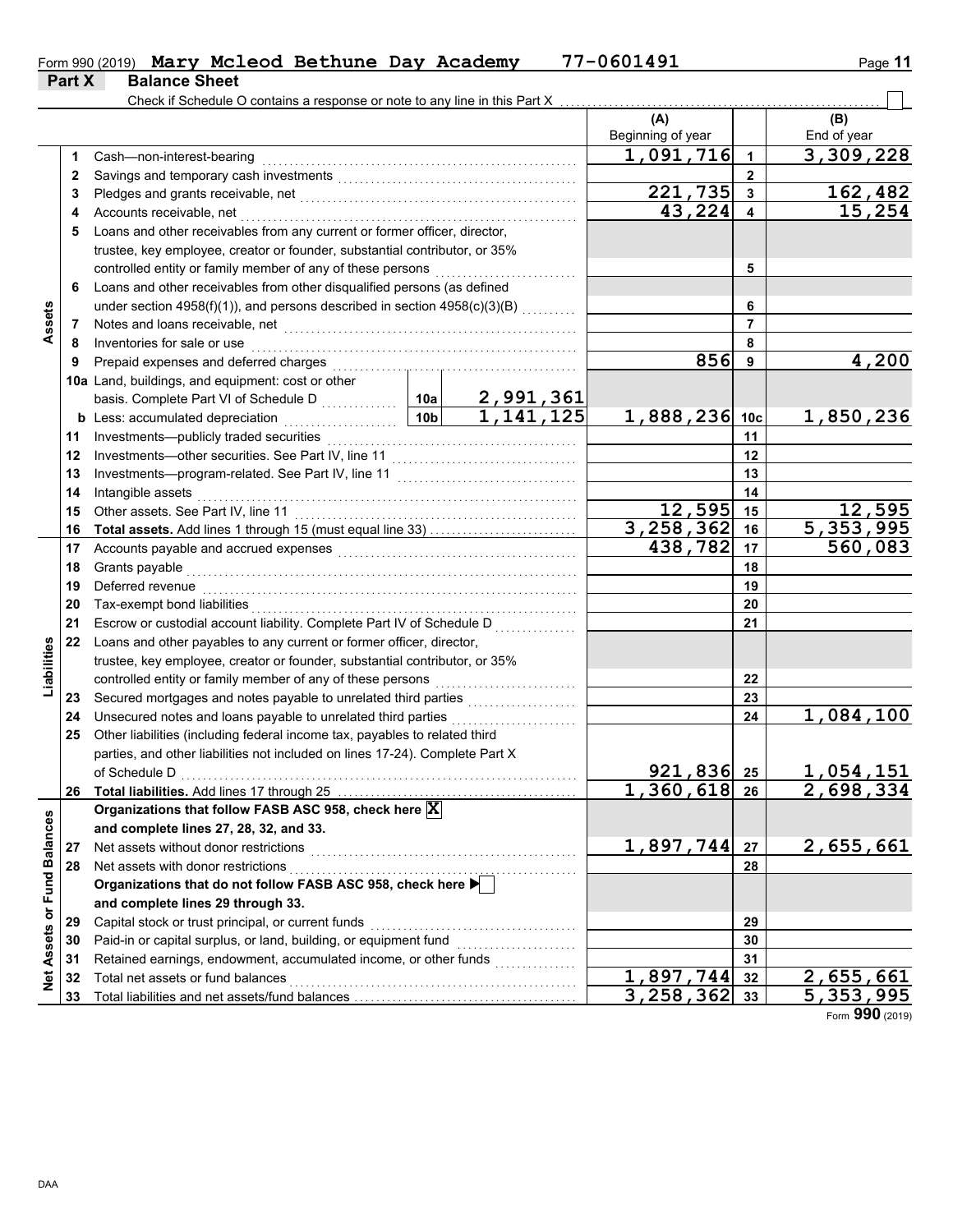|        |                      |  | Form 990 (2019) Mary Mcleod Bethune Day Academy | 77-0601491 | Page 11 |
|--------|----------------------|--|-------------------------------------------------|------------|---------|
| Part X | <b>Balance Sheet</b> |  |                                                 |            |         |

 $\overline{\phantom{0}}$ 

|                 |    | Check if Schedule O contains a response or note to any line in this Part X                                                                                                                                                     |                 |                               |                          |                 |                    |
|-----------------|----|--------------------------------------------------------------------------------------------------------------------------------------------------------------------------------------------------------------------------------|-----------------|-------------------------------|--------------------------|-----------------|--------------------|
|                 |    |                                                                                                                                                                                                                                |                 |                               | (A)<br>Beginning of year |                 | (B)<br>End of year |
|                 | 1  | Cash-non-interest-bearing                                                                                                                                                                                                      |                 |                               | 1,091,716                | 1               | 3,309,228          |
|                 | 2  |                                                                                                                                                                                                                                |                 |                               |                          | $\mathbf{2}$    |                    |
|                 | 3  |                                                                                                                                                                                                                                |                 |                               | 221,735                  | 3               | 162,482            |
|                 | 4  | Accounts receivable, net                                                                                                                                                                                                       |                 |                               | 43,224                   |                 | 15,254             |
|                 | 5  | Loans and other receivables from any current or former officer, director,                                                                                                                                                      |                 |                               |                          |                 |                    |
|                 |    | trustee, key employee, creator or founder, substantial contributor, or 35%                                                                                                                                                     |                 |                               |                          |                 |                    |
|                 |    | controlled entity or family member of any of these persons                                                                                                                                                                     |                 |                               |                          | 5               |                    |
|                 | 6  | Loans and other receivables from other disqualified persons (as defined                                                                                                                                                        |                 |                               |                          |                 |                    |
|                 |    | under section 4958(f)(1)), and persons described in section 4958(c)(3)(B)                                                                                                                                                      |                 |                               |                          | 6               |                    |
| Assets          | 7  |                                                                                                                                                                                                                                |                 |                               |                          | 7               |                    |
|                 | 8  | Inventories for sale or use                                                                                                                                                                                                    |                 |                               |                          | 8               |                    |
|                 | 9  | Prepaid expenses and deferred charges                                                                                                                                                                                          |                 |                               | 856                      | 9               | 4,200              |
|                 |    | 10a Land, buildings, and equipment: cost or other                                                                                                                                                                              |                 |                               |                          |                 |                    |
|                 |    |                                                                                                                                                                                                                                |                 |                               |                          |                 |                    |
|                 |    | <b>b</b> Less: accumulated depreciation<br>.                                                                                                                                                                                   | 10 <sub>b</sub> | $\frac{2,991,361}{1,141,125}$ | 1,888,236                | 10 <sub>c</sub> | 1,850,236          |
|                 | 11 | Investments-publicly traded securities                                                                                                                                                                                         |                 |                               |                          | 11              |                    |
|                 | 12 |                                                                                                                                                                                                                                |                 |                               |                          | 12              |                    |
|                 | 13 |                                                                                                                                                                                                                                |                 |                               |                          | 13              |                    |
|                 | 14 | Intangible assets                                                                                                                                                                                                              |                 |                               |                          | 14              |                    |
|                 | 15 | Other assets. See Part IV, line 11                                                                                                                                                                                             |                 |                               | 12,595                   | 15              | 12,595             |
|                 | 16 | Total assets. Add lines 1 through 15 (must equal line 33)                                                                                                                                                                      |                 |                               | 3,258,362                | 16              | 5,353,995          |
|                 | 17 | Accounts payable and accrued expenses [[11][11] contracts and accrued expenses [[11] contracts are not accrued to the set of the set of the set of the set of the set of the set of the set of the set of the set of the set o |                 |                               | 438,782                  | 17              | 560,083            |
|                 | 18 | Grants payable                                                                                                                                                                                                                 |                 |                               |                          | 18              |                    |
|                 | 19 | Deferred revenue                                                                                                                                                                                                               |                 |                               | 19                       |                 |                    |
|                 | 20 | Tax-exempt bond liabilities                                                                                                                                                                                                    |                 |                               | 20                       |                 |                    |
|                 | 21 | Escrow or custodial account liability. Complete Part IV of Schedule D                                                                                                                                                          |                 |                               |                          | 21              |                    |
|                 | 22 | Loans and other payables to any current or former officer, director,                                                                                                                                                           |                 |                               |                          |                 |                    |
| Liabilities     |    | trustee, key employee, creator or founder, substantial contributor, or 35%                                                                                                                                                     |                 |                               |                          |                 |                    |
|                 |    | controlled entity or family member of any of these persons                                                                                                                                                                     |                 |                               |                          | 22              |                    |
|                 | 23 | Secured mortgages and notes payable to unrelated third parties<br>[[[[[[[[[[[[[[[[[[[[]]]]]]                                                                                                                                   |                 |                               |                          | 23              |                    |
|                 | 24 | Unsecured notes and loans payable to unrelated third parties                                                                                                                                                                   |                 |                               |                          | 24              | 1,084,100          |
|                 | 25 | Other liabilities (including federal income tax, payables to related third                                                                                                                                                     |                 |                               |                          |                 |                    |
|                 |    | parties, and other liabilities not included on lines 17-24). Complete Part X                                                                                                                                                   |                 |                               |                          |                 |                    |
|                 |    | of Schedule D                                                                                                                                                                                                                  |                 |                               | $921,836$ 25             |                 | 1,054,151          |
|                 |    | 26 Total liabilities. Add lines 17 through 25                                                                                                                                                                                  |                 |                               | 360,618<br>1             | 26              | 2,698,334          |
|                 |    | Organizations that follow FASB ASC 958, check here X                                                                                                                                                                           |                 |                               |                          |                 |                    |
| <b>Balances</b> |    | and complete lines 27, 28, 32, and 33.                                                                                                                                                                                         |                 |                               |                          |                 |                    |
|                 | 27 | Net assets without donor restrictions                                                                                                                                                                                          |                 |                               | 1,897,744                | 27              | 2,655,661          |
|                 | 28 | Net assets with donor restrictions                                                                                                                                                                                             |                 |                               |                          | 28              |                    |
| <b>Fund</b>     |    | Organizations that do not follow FASB ASC 958, check here                                                                                                                                                                      |                 |                               |                          |                 |                    |
|                 |    | and complete lines 29 through 33.                                                                                                                                                                                              |                 |                               |                          |                 |                    |
| ŏ               | 29 | Capital stock or trust principal, or current funds                                                                                                                                                                             |                 |                               |                          | 29              |                    |
| Assets          | 30 | Paid-in or capital surplus, or land, building, or equipment fund                                                                                                                                                               |                 |                               |                          | 30              |                    |
|                 | 31 | Retained earnings, endowment, accumulated income, or other funds                                                                                                                                                               |                 |                               |                          | 31              |                    |
| $\overline{z}$  | 32 | Total net assets or fund balances                                                                                                                                                                                              |                 |                               | 1,897,744                | 32              | 2,655,661          |
|                 | 33 |                                                                                                                                                                                                                                |                 |                               | 3,258,362                | 33              | 5,353,995          |

Form **990** (2019)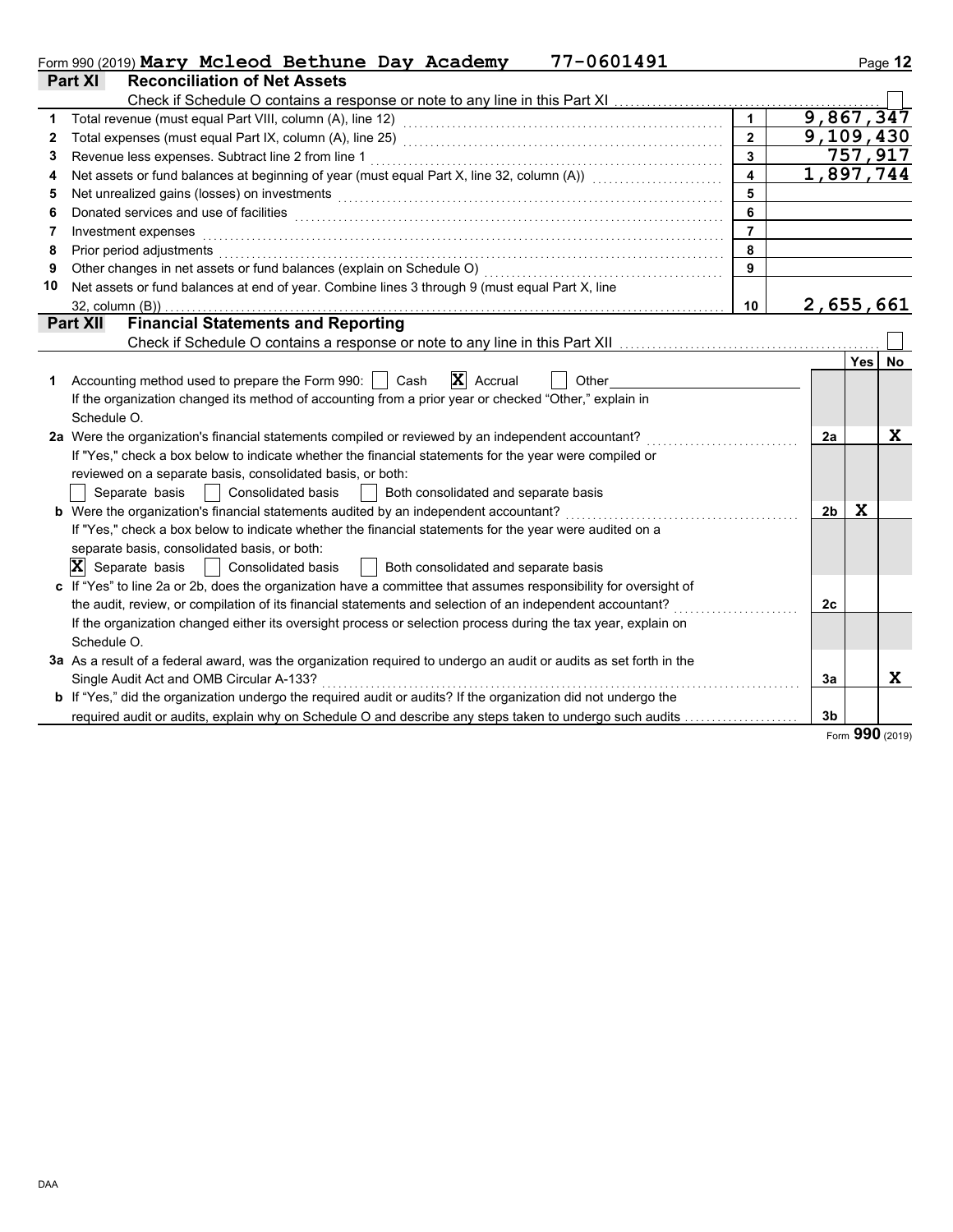|    | 77-0601491<br>Form 990 (2019) Mary Mcleod Bethune Day Academy                                                                                                                                                                  |                         |                |                        | Page 12 |
|----|--------------------------------------------------------------------------------------------------------------------------------------------------------------------------------------------------------------------------------|-------------------------|----------------|------------------------|---------|
|    | <b>Reconciliation of Net Assets</b><br>Part XI                                                                                                                                                                                 |                         |                |                        |         |
|    | Check if Schedule O contains a response or note to any line in this Part XI                                                                                                                                                    |                         |                |                        |         |
| 1. |                                                                                                                                                                                                                                | $\mathbf{1}$            |                | 9,867,347              |         |
| 2  |                                                                                                                                                                                                                                | $\overline{2}$          |                | $\overline{9,109,430}$ |         |
| 3  | Revenue less expenses. Subtract line 2 from line 1                                                                                                                                                                             | $\overline{\mathbf{3}}$ |                | $\overline{757,917}$   |         |
| 4  | Net assets or fund balances at beginning of year (must equal Part X, line 32, column (A)) [[[[[[[[[[[[[[[[[[[                                                                                                                  | $\overline{\mathbf{4}}$ |                | 1,897,744              |         |
| 5  | Net unrealized gains (losses) on investments [11] with the content of the content of the content of the content of the content of the content of the content of the content of the content of the content of the content of th | 5                       |                |                        |         |
| 6  | Donated services and use of facilities                                                                                                                                                                                         | 6                       |                |                        |         |
| 7  | Investment expenses                                                                                                                                                                                                            | $\overline{7}$          |                |                        |         |
| 8  | Prior period adjustments                                                                                                                                                                                                       | 8                       |                |                        |         |
| 9  | Other changes in net assets or fund balances (explain on Schedule O)                                                                                                                                                           | 9                       |                |                        |         |
| 10 | Net assets or fund balances at end of year. Combine lines 3 through 9 (must equal Part X, line                                                                                                                                 |                         |                |                        |         |
|    | 32, column (B))                                                                                                                                                                                                                | 10                      |                | 2,655,661              |         |
|    | <b>Financial Statements and Reporting</b><br><b>Part XII</b>                                                                                                                                                                   |                         |                |                        |         |
|    |                                                                                                                                                                                                                                |                         |                |                        |         |
|    |                                                                                                                                                                                                                                |                         |                | <b>Yes</b>             | No      |
| 1  | $\mathbf{X}$ Accrual<br>Accounting method used to prepare the Form 990:    <br>Cash<br>Other                                                                                                                                   |                         |                |                        |         |
|    | If the organization changed its method of accounting from a prior year or checked "Other," explain in                                                                                                                          |                         |                |                        |         |
|    | Schedule O.                                                                                                                                                                                                                    |                         |                |                        |         |
|    | 2a Were the organization's financial statements compiled or reviewed by an independent accountant?                                                                                                                             |                         | 2a             |                        | X       |
|    | If "Yes," check a box below to indicate whether the financial statements for the year were compiled or                                                                                                                         |                         |                |                        |         |
|    | reviewed on a separate basis, consolidated basis, or both:                                                                                                                                                                     |                         |                |                        |         |
|    | Both consolidated and separate basis<br>Separate basis     Consolidated basis                                                                                                                                                  |                         |                |                        |         |
|    | b Were the organization's financial statements audited by an independent accountant?                                                                                                                                           |                         | 2b             | X                      |         |
|    | If "Yes," check a box below to indicate whether the financial statements for the year were audited on a                                                                                                                        |                         |                |                        |         |
|    | separate basis, consolidated basis, or both:                                                                                                                                                                                   |                         |                |                        |         |
|    | $ \mathbf{X} $ Separate basis<br>  Consolidated basis<br>Both consolidated and separate basis                                                                                                                                  |                         |                |                        |         |
|    | c If "Yes" to line 2a or 2b, does the organization have a committee that assumes responsibility for oversight of                                                                                                               |                         |                |                        |         |
|    | the audit, review, or compilation of its financial statements and selection of an independent accountant?                                                                                                                      |                         | 2c             |                        |         |
|    | If the organization changed either its oversight process or selection process during the tax year, explain on                                                                                                                  |                         |                |                        |         |
|    | Schedule O.                                                                                                                                                                                                                    |                         |                |                        |         |
|    | 3a As a result of a federal award, was the organization required to undergo an audit or audits as set forth in the                                                                                                             |                         |                |                        |         |
|    | Single Audit Act and OMB Circular A-133?                                                                                                                                                                                       |                         | 3a             |                        | X.      |
|    | <b>b</b> If "Yes," did the organization undergo the required audit or audits? If the organization did not undergo the                                                                                                          |                         |                |                        |         |
|    | required audit or audits, explain why on Schedule O and describe any steps taken to undergo such audits                                                                                                                        |                         | 3 <sub>b</sub> |                        |         |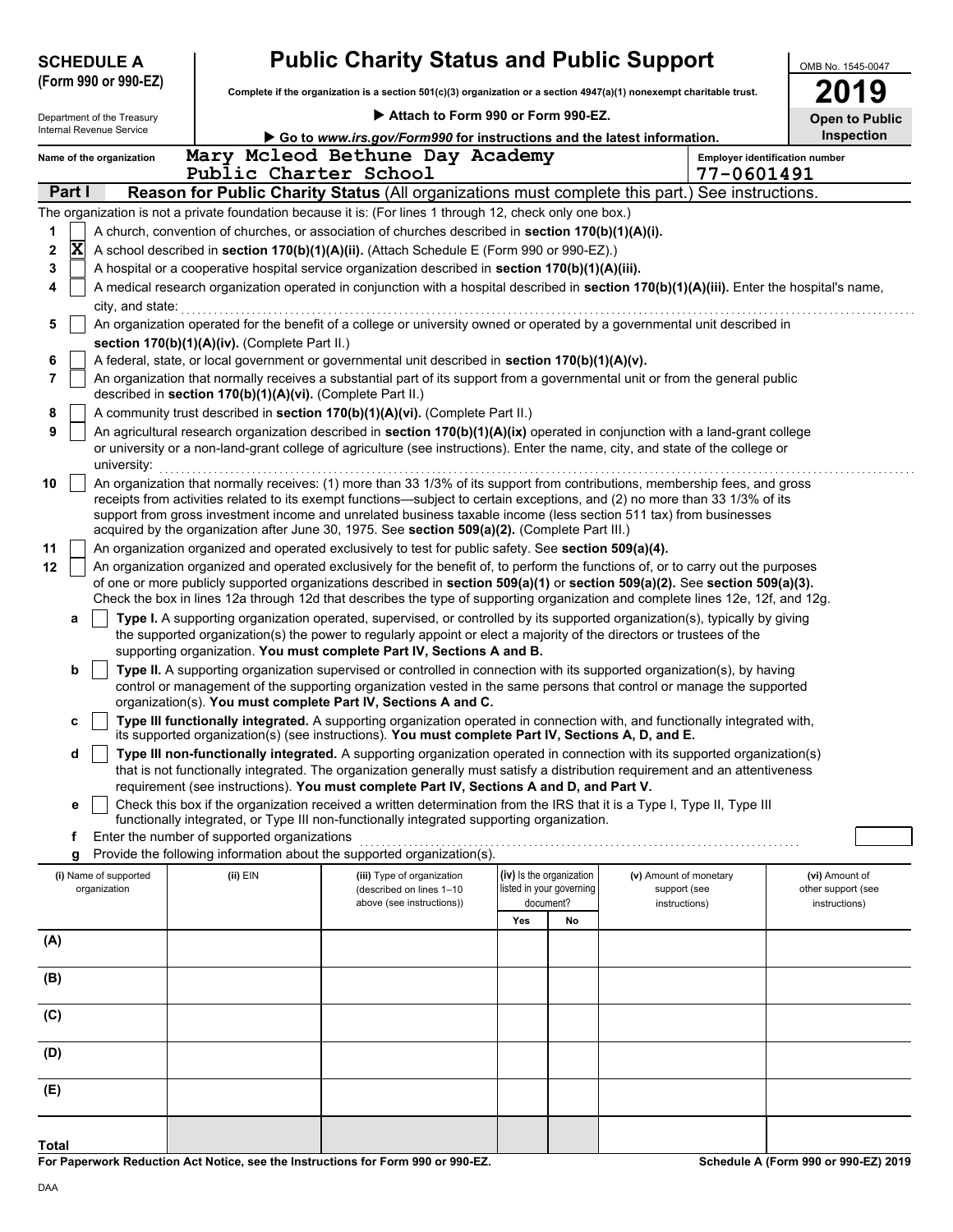| <b>Public Charity Status and Public Support</b><br><b>SCHEDULE A</b><br>OMB No. 1545-0047 |                                                                                                                                                                                                                                                                                |                                                                                                                                                                                                       |                                               |                                                                                                                                                                                                                                                                |     |                                                      |                                        |                                       |                                      |  |  |  |
|-------------------------------------------------------------------------------------------|--------------------------------------------------------------------------------------------------------------------------------------------------------------------------------------------------------------------------------------------------------------------------------|-------------------------------------------------------------------------------------------------------------------------------------------------------------------------------------------------------|-----------------------------------------------|----------------------------------------------------------------------------------------------------------------------------------------------------------------------------------------------------------------------------------------------------------------|-----|------------------------------------------------------|----------------------------------------|---------------------------------------|--------------------------------------|--|--|--|
|                                                                                           | (Form 990 or 990-EZ)                                                                                                                                                                                                                                                           |                                                                                                                                                                                                       |                                               | Complete if the organization is a section 501(c)(3) organization or a section 4947(a)(1) nonexempt charitable trust.                                                                                                                                           |     |                                                      |                                        |                                       | 19                                   |  |  |  |
|                                                                                           | Department of the Treasury                                                                                                                                                                                                                                                     |                                                                                                                                                                                                       |                                               | Attach to Form 990 or Form 990-EZ.                                                                                                                                                                                                                             |     |                                                      |                                        |                                       | <b>Open to Public</b>                |  |  |  |
|                                                                                           | Internal Revenue Service                                                                                                                                                                                                                                                       |                                                                                                                                                                                                       |                                               | Go to www.irs.gov/Form990 for instructions and the latest information.                                                                                                                                                                                         |     |                                                      |                                        |                                       | Inspection                           |  |  |  |
|                                                                                           | Name of the organization                                                                                                                                                                                                                                                       |                                                                                                                                                                                                       |                                               | Mary Mcleod Bethune Day Academy                                                                                                                                                                                                                                |     |                                                      |                                        | <b>Employer identification number</b> |                                      |  |  |  |
|                                                                                           |                                                                                                                                                                                                                                                                                |                                                                                                                                                                                                       | Public Charter School                         |                                                                                                                                                                                                                                                                |     |                                                      |                                        | 77-0601491                            |                                      |  |  |  |
|                                                                                           | Part I                                                                                                                                                                                                                                                                         |                                                                                                                                                                                                       |                                               | Reason for Public Charity Status (All organizations must complete this part.) See instructions.                                                                                                                                                                |     |                                                      |                                        |                                       |                                      |  |  |  |
|                                                                                           |                                                                                                                                                                                                                                                                                |                                                                                                                                                                                                       |                                               | The organization is not a private foundation because it is: (For lines 1 through 12, check only one box.)                                                                                                                                                      |     |                                                      |                                        |                                       |                                      |  |  |  |
| 1                                                                                         | $\overline{\mathbf{x}}$                                                                                                                                                                                                                                                        |                                                                                                                                                                                                       |                                               | A church, convention of churches, or association of churches described in section 170(b)(1)(A)(i).<br>A school described in section 170(b)(1)(A)(ii). (Attach Schedule E (Form 990 or 990-EZ).)                                                                |     |                                                      |                                        |                                       |                                      |  |  |  |
| 2<br>3                                                                                    |                                                                                                                                                                                                                                                                                |                                                                                                                                                                                                       |                                               | A hospital or a cooperative hospital service organization described in section 170(b)(1)(A)(iii).                                                                                                                                                              |     |                                                      |                                        |                                       |                                      |  |  |  |
| 4                                                                                         |                                                                                                                                                                                                                                                                                |                                                                                                                                                                                                       |                                               | A medical research organization operated in conjunction with a hospital described in section 170(b)(1)(A)(iii). Enter the hospital's name,                                                                                                                     |     |                                                      |                                        |                                       |                                      |  |  |  |
|                                                                                           | city, and state:                                                                                                                                                                                                                                                               |                                                                                                                                                                                                       |                                               |                                                                                                                                                                                                                                                                |     |                                                      |                                        |                                       |                                      |  |  |  |
| 5                                                                                         |                                                                                                                                                                                                                                                                                |                                                                                                                                                                                                       |                                               | An organization operated for the benefit of a college or university owned or operated by a governmental unit described in                                                                                                                                      |     |                                                      |                                        |                                       |                                      |  |  |  |
|                                                                                           |                                                                                                                                                                                                                                                                                |                                                                                                                                                                                                       | section 170(b)(1)(A)(iv). (Complete Part II.) |                                                                                                                                                                                                                                                                |     |                                                      |                                        |                                       |                                      |  |  |  |
| 6                                                                                         |                                                                                                                                                                                                                                                                                |                                                                                                                                                                                                       |                                               | A federal, state, or local government or governmental unit described in section 170(b)(1)(A)(v).                                                                                                                                                               |     |                                                      |                                        |                                       |                                      |  |  |  |
| 7                                                                                         | An organization that normally receives a substantial part of its support from a governmental unit or from the general public<br>described in section 170(b)(1)(A)(vi). (Complete Part II.)                                                                                     |                                                                                                                                                                                                       |                                               |                                                                                                                                                                                                                                                                |     |                                                      |                                        |                                       |                                      |  |  |  |
| 8                                                                                         | A community trust described in section 170(b)(1)(A)(vi). (Complete Part II.)                                                                                                                                                                                                   |                                                                                                                                                                                                       |                                               |                                                                                                                                                                                                                                                                |     |                                                      |                                        |                                       |                                      |  |  |  |
| 9                                                                                         | An agricultural research organization described in section 170(b)(1)(A)(ix) operated in conjunction with a land-grant college<br>or university or a non-land-grant college of agriculture (see instructions). Enter the name, city, and state of the college or<br>university: |                                                                                                                                                                                                       |                                               |                                                                                                                                                                                                                                                                |     |                                                      |                                        |                                       |                                      |  |  |  |
| 10                                                                                        | An organization that normally receives: (1) more than 33 1/3% of its support from contributions, membership fees, and gross                                                                                                                                                    |                                                                                                                                                                                                       |                                               |                                                                                                                                                                                                                                                                |     |                                                      |                                        |                                       |                                      |  |  |  |
|                                                                                           |                                                                                                                                                                                                                                                                                |                                                                                                                                                                                                       |                                               | receipts from activities related to its exempt functions—subject to certain exceptions, and (2) no more than 33 1/3% of its                                                                                                                                    |     |                                                      |                                        |                                       |                                      |  |  |  |
|                                                                                           |                                                                                                                                                                                                                                                                                |                                                                                                                                                                                                       |                                               | support from gross investment income and unrelated business taxable income (less section 511 tax) from businesses                                                                                                                                              |     |                                                      |                                        |                                       |                                      |  |  |  |
| 11                                                                                        |                                                                                                                                                                                                                                                                                | acquired by the organization after June 30, 1975. See section 509(a)(2). (Complete Part III.)<br>An organization organized and operated exclusively to test for public safety. See section 509(a)(4). |                                               |                                                                                                                                                                                                                                                                |     |                                                      |                                        |                                       |                                      |  |  |  |
| 12                                                                                        |                                                                                                                                                                                                                                                                                |                                                                                                                                                                                                       |                                               | An organization organized and operated exclusively for the benefit of, to perform the functions of, or to carry out the purposes                                                                                                                               |     |                                                      |                                        |                                       |                                      |  |  |  |
|                                                                                           |                                                                                                                                                                                                                                                                                |                                                                                                                                                                                                       |                                               | of one or more publicly supported organizations described in section 509(a)(1) or section 509(a)(2). See section 509(a)(3).                                                                                                                                    |     |                                                      |                                        |                                       |                                      |  |  |  |
|                                                                                           |                                                                                                                                                                                                                                                                                |                                                                                                                                                                                                       |                                               | Check the box in lines 12a through 12d that describes the type of supporting organization and complete lines 12e, 12f, and 12g.<br>Type I. A supporting organization operated, supervised, or controlled by its supported organization(s), typically by giving |     |                                                      |                                        |                                       |                                      |  |  |  |
|                                                                                           | а                                                                                                                                                                                                                                                                              |                                                                                                                                                                                                       |                                               | the supported organization(s) the power to regularly appoint or elect a majority of the directors or trustees of the                                                                                                                                           |     |                                                      |                                        |                                       |                                      |  |  |  |
|                                                                                           |                                                                                                                                                                                                                                                                                |                                                                                                                                                                                                       |                                               | supporting organization. You must complete Part IV, Sections A and B.                                                                                                                                                                                          |     |                                                      |                                        |                                       |                                      |  |  |  |
|                                                                                           | b                                                                                                                                                                                                                                                                              |                                                                                                                                                                                                       |                                               | Type II. A supporting organization supervised or controlled in connection with its supported organization(s), by having                                                                                                                                        |     |                                                      |                                        |                                       |                                      |  |  |  |
|                                                                                           |                                                                                                                                                                                                                                                                                |                                                                                                                                                                                                       |                                               | control or management of the supporting organization vested in the same persons that control or manage the supported<br>organization(s). You must complete Part IV, Sections A and C.                                                                          |     |                                                      |                                        |                                       |                                      |  |  |  |
|                                                                                           | c                                                                                                                                                                                                                                                                              |                                                                                                                                                                                                       |                                               | Type III functionally integrated. A supporting organization operated in connection with, and functionally integrated with,                                                                                                                                     |     |                                                      |                                        |                                       |                                      |  |  |  |
|                                                                                           |                                                                                                                                                                                                                                                                                |                                                                                                                                                                                                       |                                               | its supported organization(s) (see instructions). You must complete Part IV, Sections A, D, and E.                                                                                                                                                             |     |                                                      |                                        |                                       |                                      |  |  |  |
|                                                                                           | d                                                                                                                                                                                                                                                                              |                                                                                                                                                                                                       |                                               | Type III non-functionally integrated. A supporting organization operated in connection with its supported organization(s)                                                                                                                                      |     |                                                      |                                        |                                       |                                      |  |  |  |
|                                                                                           |                                                                                                                                                                                                                                                                                |                                                                                                                                                                                                       |                                               | that is not functionally integrated. The organization generally must satisfy a distribution requirement and an attentiveness<br>requirement (see instructions). You must complete Part IV, Sections A and D, and Part V.                                       |     |                                                      |                                        |                                       |                                      |  |  |  |
|                                                                                           | е                                                                                                                                                                                                                                                                              |                                                                                                                                                                                                       |                                               | Check this box if the organization received a written determination from the IRS that it is a Type I, Type II, Type III                                                                                                                                        |     |                                                      |                                        |                                       |                                      |  |  |  |
|                                                                                           |                                                                                                                                                                                                                                                                                |                                                                                                                                                                                                       |                                               | functionally integrated, or Type III non-functionally integrated supporting organization.                                                                                                                                                                      |     |                                                      |                                        |                                       |                                      |  |  |  |
|                                                                                           | f                                                                                                                                                                                                                                                                              |                                                                                                                                                                                                       | Enter the number of supported organizations   |                                                                                                                                                                                                                                                                |     |                                                      |                                        |                                       |                                      |  |  |  |
|                                                                                           | g                                                                                                                                                                                                                                                                              |                                                                                                                                                                                                       |                                               | Provide the following information about the supported organization(s).                                                                                                                                                                                         |     |                                                      |                                        |                                       |                                      |  |  |  |
|                                                                                           | (i) Name of supported<br>organization                                                                                                                                                                                                                                          |                                                                                                                                                                                                       | (ii) EIN                                      | (iii) Type of organization<br>(described on lines 1-10                                                                                                                                                                                                         |     | (iv) Is the organization<br>listed in your governing | (v) Amount of monetary<br>support (see |                                       | (vi) Amount of<br>other support (see |  |  |  |
|                                                                                           |                                                                                                                                                                                                                                                                                |                                                                                                                                                                                                       |                                               | above (see instructions))                                                                                                                                                                                                                                      |     | document?                                            | instructions)                          |                                       | instructions)                        |  |  |  |
|                                                                                           |                                                                                                                                                                                                                                                                                |                                                                                                                                                                                                       |                                               |                                                                                                                                                                                                                                                                | Yes | No                                                   |                                        |                                       |                                      |  |  |  |
| (A)                                                                                       |                                                                                                                                                                                                                                                                                |                                                                                                                                                                                                       |                                               |                                                                                                                                                                                                                                                                |     |                                                      |                                        |                                       |                                      |  |  |  |
| (B)                                                                                       |                                                                                                                                                                                                                                                                                |                                                                                                                                                                                                       |                                               |                                                                                                                                                                                                                                                                |     |                                                      |                                        |                                       |                                      |  |  |  |
|                                                                                           |                                                                                                                                                                                                                                                                                |                                                                                                                                                                                                       |                                               |                                                                                                                                                                                                                                                                |     |                                                      |                                        |                                       |                                      |  |  |  |
| (C)                                                                                       |                                                                                                                                                                                                                                                                                |                                                                                                                                                                                                       |                                               |                                                                                                                                                                                                                                                                |     |                                                      |                                        |                                       |                                      |  |  |  |
|                                                                                           |                                                                                                                                                                                                                                                                                |                                                                                                                                                                                                       |                                               |                                                                                                                                                                                                                                                                |     |                                                      |                                        |                                       |                                      |  |  |  |
| (D)                                                                                       |                                                                                                                                                                                                                                                                                |                                                                                                                                                                                                       |                                               |                                                                                                                                                                                                                                                                |     |                                                      |                                        |                                       |                                      |  |  |  |
| (E)                                                                                       |                                                                                                                                                                                                                                                                                |                                                                                                                                                                                                       |                                               |                                                                                                                                                                                                                                                                |     |                                                      |                                        |                                       |                                      |  |  |  |
|                                                                                           |                                                                                                                                                                                                                                                                                |                                                                                                                                                                                                       |                                               |                                                                                                                                                                                                                                                                |     |                                                      |                                        |                                       |                                      |  |  |  |
|                                                                                           |                                                                                                                                                                                                                                                                                |                                                                                                                                                                                                       |                                               |                                                                                                                                                                                                                                                                |     |                                                      |                                        |                                       |                                      |  |  |  |

**For Paperwork Reduction Act Notice, see the Instructions for Form 990 or 990-EZ.**

**Total**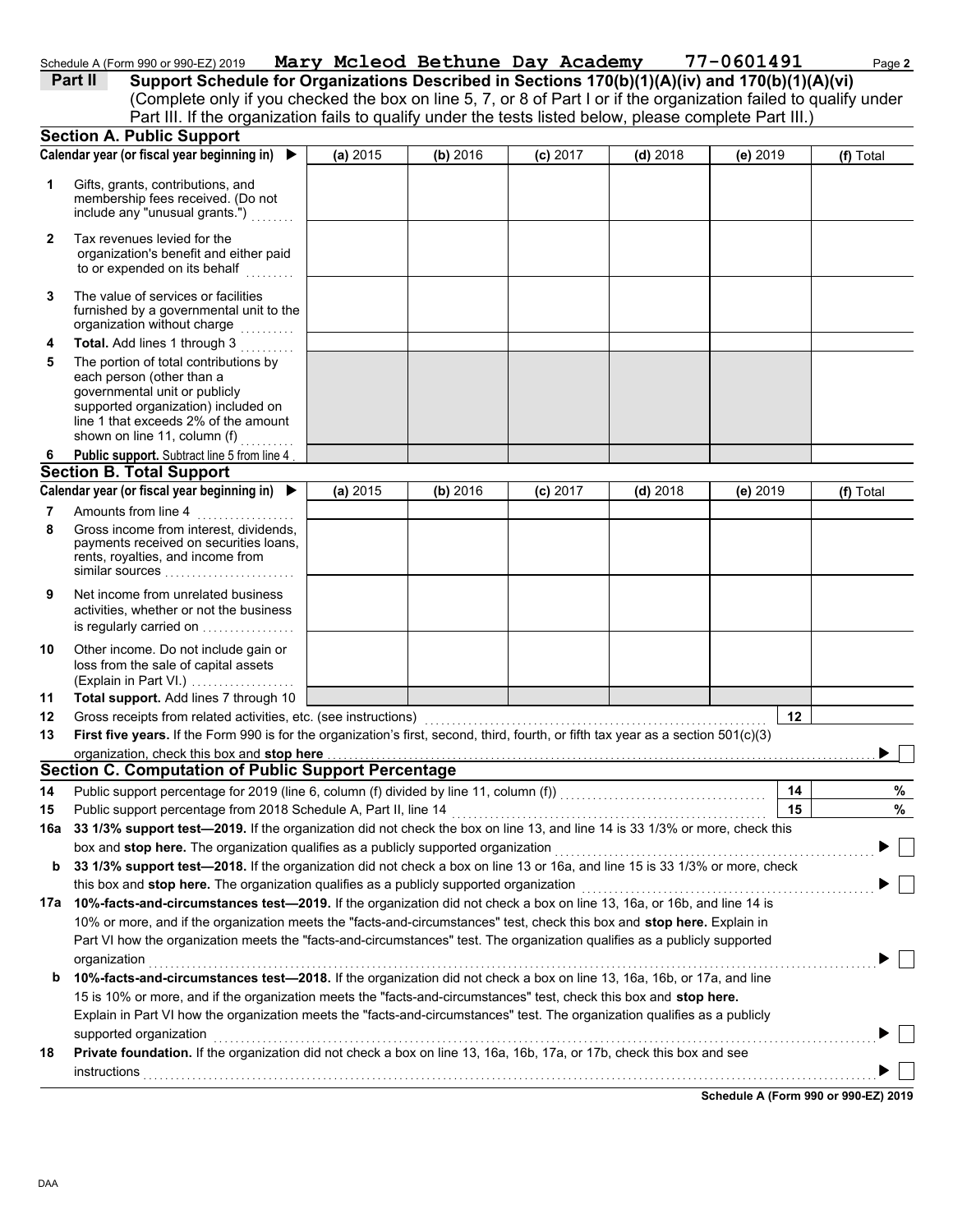| Schedule A (Form 990 or 990-EZ) 2019 | Mary Mcleod Bethune Day Academy |  | 77-060149 |
|--------------------------------------|---------------------------------|--|-----------|
|                                      |                                 |  |           |

|              | Schedule A (Form 990 or 990-EZ) 2019                                                                                                                                                                                                 |          |          |            | Mary Mcleod Bethune Day Academy 77-0601491 |                                      | Page 2    |
|--------------|--------------------------------------------------------------------------------------------------------------------------------------------------------------------------------------------------------------------------------------|----------|----------|------------|--------------------------------------------|--------------------------------------|-----------|
|              | Support Schedule for Organizations Described in Sections 170(b)(1)(A)(iv) and 170(b)(1)(A)(vi)<br>Part II                                                                                                                            |          |          |            |                                            |                                      |           |
|              | (Complete only if you checked the box on line 5, 7, or 8 of Part I or if the organization failed to qualify under<br>Part III. If the organization fails to qualify under the tests listed below, please complete Part III.)         |          |          |            |                                            |                                      |           |
|              | <b>Section A. Public Support</b>                                                                                                                                                                                                     |          |          |            |                                            |                                      |           |
|              | Calendar year (or fiscal year beginning in) $\blacktriangleright$                                                                                                                                                                    | (a) 2015 | (b) 2016 | $(c)$ 2017 | $(d)$ 2018                                 | $(e)$ 2019                           | (f) Total |
|              |                                                                                                                                                                                                                                      |          |          |            |                                            |                                      |           |
| 1            | Gifts, grants, contributions, and<br>membership fees received. (Do not<br>include any "unusual grants.")                                                                                                                             |          |          |            |                                            |                                      |           |
| $\mathbf{2}$ | Tax revenues levied for the<br>organization's benefit and either paid<br>to or expended on its behalf                                                                                                                                |          |          |            |                                            |                                      |           |
| 3            | The value of services or facilities<br>furnished by a governmental unit to the<br>organization without charge                                                                                                                        |          |          |            |                                            |                                      |           |
| 4            | Total. Add lines 1 through 3                                                                                                                                                                                                         |          |          |            |                                            |                                      |           |
| 5            | The portion of total contributions by<br>each person (other than a<br>governmental unit or publicly<br>supported organization) included on<br>line 1 that exceeds 2% of the amount<br>shown on line 11, column (f)                   |          |          |            |                                            |                                      |           |
| 6            | Public support. Subtract line 5 from line 4                                                                                                                                                                                          |          |          |            |                                            |                                      |           |
|              | <b>Section B. Total Support</b>                                                                                                                                                                                                      |          |          |            |                                            |                                      |           |
|              | Calendar year (or fiscal year beginning in)                                                                                                                                                                                          | (a) 2015 | (b) 2016 | (c) 2017   | $(d)$ 2018                                 | $(e)$ 2019                           | (f) Total |
| 7            | Amounts from line 4                                                                                                                                                                                                                  |          |          |            |                                            |                                      |           |
| 8            | Gross income from interest, dividends,<br>payments received on securities loans,<br>rents, royalties, and income from<br>similar sources                                                                                             |          |          |            |                                            |                                      |           |
| 9            | Net income from unrelated business<br>activities, whether or not the business<br>is regularly carried on                                                                                                                             |          |          |            |                                            |                                      |           |
| 10           | Other income. Do not include gain or<br>loss from the sale of capital assets<br>(Explain in Part VI.)                                                                                                                                |          |          |            |                                            |                                      |           |
| 11           | Total support. Add lines 7 through 10                                                                                                                                                                                                |          |          |            |                                            |                                      |           |
| 12           | Gross receipts from related activities, etc. (see instructions)                                                                                                                                                                      |          |          |            |                                            | 12                                   |           |
| 13           | First five years. If the Form 990 is for the organization's first, second, third, fourth, or fifth tax year as a section 501(c)(3)                                                                                                   |          |          |            |                                            |                                      |           |
|              | organization, check this box and stop here <b>constant of the constant of the constant of the constant of the constant of the constant of the constant of the constant of the constant of the constant of the constant of the co</b> |          |          |            |                                            |                                      | ▶         |
|              | <b>Section C. Computation of Public Support Percentage</b>                                                                                                                                                                           |          |          |            |                                            |                                      |           |
| 14           |                                                                                                                                                                                                                                      |          |          |            |                                            | 14                                   | $\%$      |
| 15           | Public support percentage from 2018 Schedule A, Part II, line 14                                                                                                                                                                     |          |          |            |                                            | 15                                   | %         |
| 16а          | 33 1/3% support test-2019. If the organization did not check the box on line 13, and line 14 is 33 1/3% or more, check this                                                                                                          |          |          |            |                                            |                                      |           |
|              | box and stop here. The organization qualifies as a publicly supported organization                                                                                                                                                   |          |          |            |                                            |                                      |           |
| b            | 33 1/3% support test—2018. If the organization did not check a box on line 13 or 16a, and line 15 is 33 1/3% or more, check<br>this box and stop here. The organization qualifies as a publicly supported organization               |          |          |            |                                            |                                      |           |
|              | 17a 10%-facts-and-circumstances test-2019. If the organization did not check a box on line 13, 16a, or 16b, and line 14 is                                                                                                           |          |          |            |                                            |                                      |           |
|              | 10% or more, and if the organization meets the "facts-and-circumstances" test, check this box and stop here. Explain in                                                                                                              |          |          |            |                                            |                                      |           |
|              | Part VI how the organization meets the "facts-and-circumstances" test. The organization qualifies as a publicly supported                                                                                                            |          |          |            |                                            |                                      |           |
|              | organization                                                                                                                                                                                                                         |          |          |            |                                            |                                      |           |
| b            | 10%-facts-and-circumstances test-2018. If the organization did not check a box on line 13, 16a, 16b, or 17a, and line                                                                                                                |          |          |            |                                            |                                      |           |
|              | 15 is 10% or more, and if the organization meets the "facts-and-circumstances" test, check this box and stop here.                                                                                                                   |          |          |            |                                            |                                      |           |
|              | Explain in Part VI how the organization meets the "facts-and-circumstances" test. The organization qualifies as a publicly                                                                                                           |          |          |            |                                            |                                      |           |
|              | supported organization                                                                                                                                                                                                               |          |          |            |                                            |                                      |           |
| 18           | Private foundation. If the organization did not check a box on line 13, 16a, 16b, 17a, or 17b, check this box and see                                                                                                                |          |          |            |                                            |                                      |           |
|              |                                                                                                                                                                                                                                      |          |          |            |                                            | Schedule A (Form 990 or 990-EZ) 2019 |           |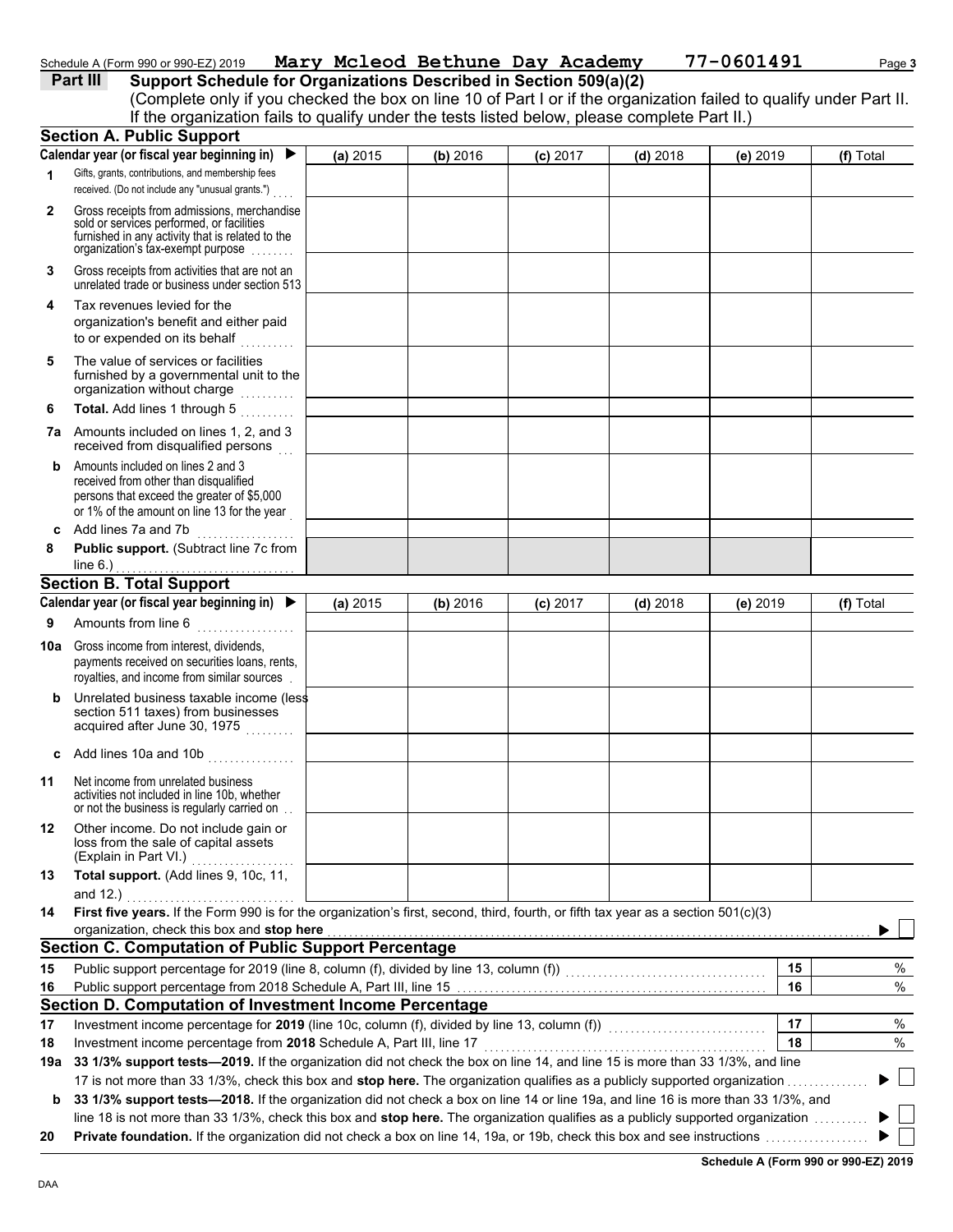### Schedule A (Form 990 or 990-EZ) 2019 Mary Mcleod Bethune Day Academy 77-0601491 Page 3

## **Part III** Support Schedule for Organizations Described in Section 509(a)(2)

(Complete only if you checked the box on line 10 of Part I or if the organization failed to qualify under Part II.

|              | If the organization fails to qualify under the tests listed below, please complete Part II.)                                                                                      |          |          |            |            |          |           |
|--------------|-----------------------------------------------------------------------------------------------------------------------------------------------------------------------------------|----------|----------|------------|------------|----------|-----------|
|              | <b>Section A. Public Support</b>                                                                                                                                                  |          |          |            |            |          |           |
|              | Calendar year (or fiscal year beginning in)<br>$\blacktriangleright$                                                                                                              | (a) 2015 | (b) 2016 | (c) 2017   | $(d)$ 2018 | (e) 2019 | (f) Total |
| 1            | Gifts, grants, contributions, and membership fees                                                                                                                                 |          |          |            |            |          |           |
|              | received. (Do not include any "unusual grants.")                                                                                                                                  |          |          |            |            |          |           |
| $\mathbf{2}$ | Gross receipts from admissions, merchandise<br>sold or services performed, or facilities<br>furnished in any activity that is related to the<br>organization's tax-exempt purpose |          |          |            |            |          |           |
| 3            | Gross receipts from activities that are not an<br>unrelated trade or business under section 513                                                                                   |          |          |            |            |          |           |
| 4            | Tax revenues levied for the<br>organization's benefit and either paid<br>to or expended on its behalf<br>$\sim$                                                                   |          |          |            |            |          |           |
| 5            | The value of services or facilities<br>furnished by a governmental unit to the<br>organization without charge<br>.                                                                |          |          |            |            |          |           |
| 6            | Total. Add lines 1 through 5<br>in Statistics                                                                                                                                     |          |          |            |            |          |           |
|              | 7a Amounts included on lines 1, 2, and 3<br>received from disqualified persons                                                                                                    |          |          |            |            |          |           |
| b            | Amounts included on lines 2 and 3<br>received from other than disqualified<br>persons that exceed the greater of \$5,000<br>or 1% of the amount on line 13 for the year           |          |          |            |            |          |           |
| c            | Add lines 7a and 7b                                                                                                                                                               |          |          |            |            |          |           |
| 8            | Public support. (Subtract line 7c from<br>line $6.$ )                                                                                                                             |          |          |            |            |          |           |
|              | <b>Section B. Total Support</b>                                                                                                                                                   |          |          |            |            |          |           |
|              | Calendar year (or fiscal year beginning in)                                                                                                                                       | (a) 2015 | (b) 2016 | $(c)$ 2017 | $(d)$ 2018 | (e) 2019 | (f) Total |
| 9            | Amounts from line 6                                                                                                                                                               |          |          |            |            |          |           |
| 10a          | Gross income from interest, dividends,<br>payments received on securities loans, rents,<br>royalties, and income from similar sources                                             |          |          |            |            |          |           |
| b            | Unrelated business taxable income (less<br>section 511 taxes) from businesses<br>acquired after June 30, 1975                                                                     |          |          |            |            |          |           |
| c            | Add lines 10a and 10b                                                                                                                                                             |          |          |            |            |          |           |
| 11           | Net income from unrelated business<br>activities not included in line 10b, whether<br>or not the business is regularly carried on                                                 |          |          |            |            |          |           |
| 12           | Other income. Do not include gain or<br>loss from the sale of capital assets<br>(Explain in Part VI.)                                                                             |          |          |            |            |          |           |
| 13           | Total support. (Add lines 9, 10c, 11,                                                                                                                                             |          |          |            |            |          |           |
|              | and 12.)                                                                                                                                                                          |          |          |            |            |          |           |
| 14           | First five years. If the Form 990 is for the organization's first, second, third, fourth, or fifth tax year as a section 501(c)(3)                                                |          |          |            |            |          |           |
|              | organization, check this box and stop here                                                                                                                                        |          |          |            |            |          |           |
|              | <b>Section C. Computation of Public Support Percentage</b>                                                                                                                        |          |          |            |            |          |           |
| 15           | Public support percentage for 2019 (line 8, column (f), divided by line 13, column (f)) [[[[[[[[[[[[[[[[[[[[[                                                                     |          |          |            |            | 15       | %         |
| 16           |                                                                                                                                                                                   |          |          |            |            | 16       | $\%$      |
|              | Section D. Computation of Investment Income Percentage                                                                                                                            |          |          |            |            |          |           |
| 17           | Investment income percentage for 2019 (line 10c, column (f), divided by line 13, column (f)) [[[[[[[[[[[[[[[[[                                                                    |          |          |            |            | 17       | %         |
| 18           | Investment income percentage from 2018 Schedule A, Part III, line 17                                                                                                              |          |          |            |            | 18       | %         |
| 19a          | 33 1/3% support tests-2019. If the organization did not check the box on line 14, and line 15 is more than 33 1/3%, and line                                                      |          |          |            |            |          |           |
|              | 17 is not more than 33 1/3%, check this box and stop here. The organization qualifies as a publicly supported organization                                                        |          |          |            |            |          |           |
| b            | 33 1/3% support tests-2018. If the organization did not check a box on line 14 or line 19a, and line 16 is more than 33 1/3%, and                                                 |          |          |            |            |          |           |
|              | line 18 is not more than 33 1/3%, check this box and stop here. The organization qualifies as a publicly supported organization                                                   |          |          |            |            |          |           |
| 20           |                                                                                                                                                                                   |          |          |            |            |          |           |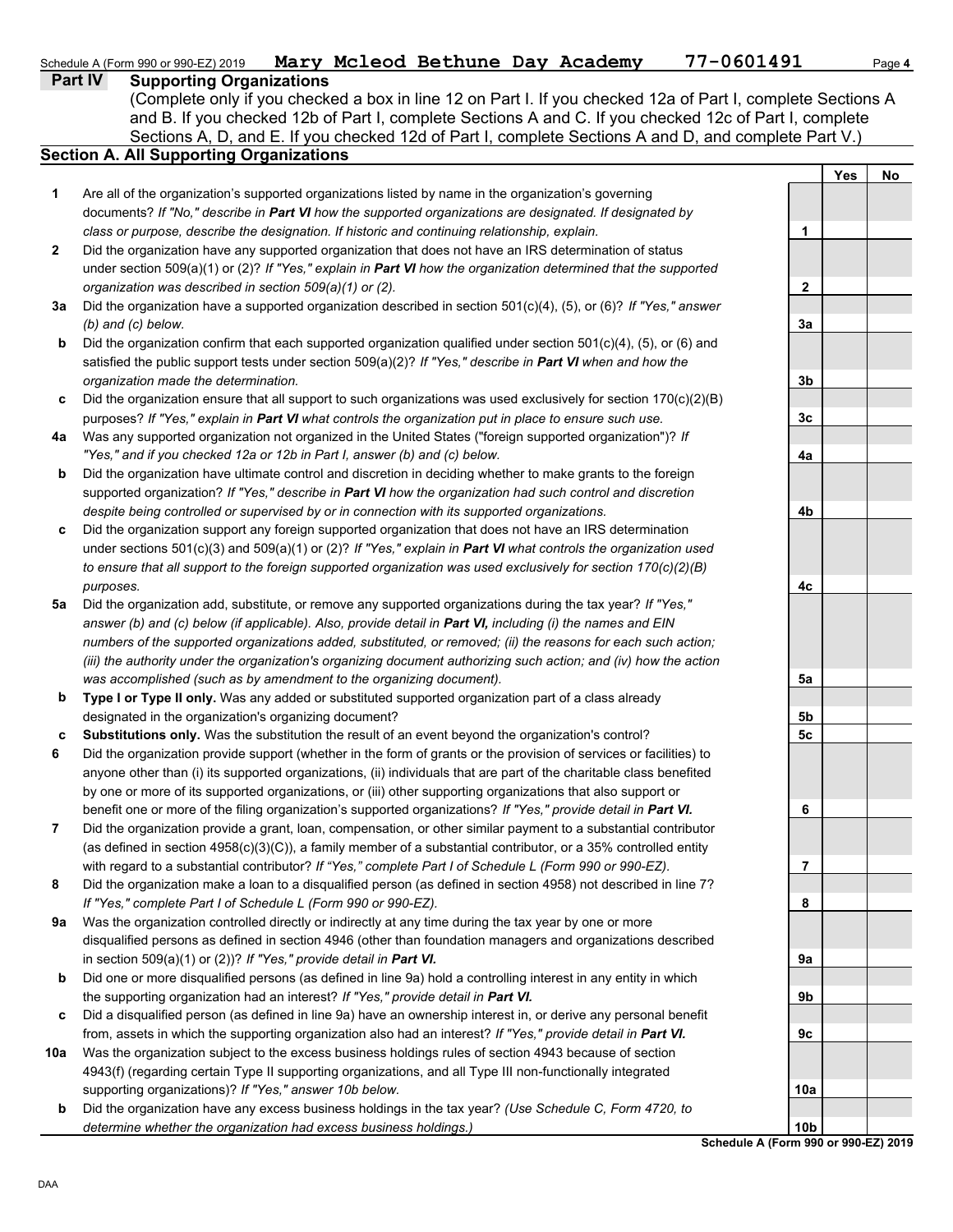### Schedule A (Form 990 or 990-EZ) 2019 Page 4 ACLeod Bethune Day Academy 77-0601491 Page 4

| <b>Part IV</b> | <b>Supporting Organizations</b> |
|----------------|---------------------------------|
|                |                                 |

Sections A, D, and E. If you checked 12d of Part I, complete Sections A and D, and complete Part V.) (Complete only if you checked a box in line 12 on Part I. If you checked 12a of Part I, complete Sections A and B. If you checked 12b of Part I, complete Sections A and C. If you checked 12c of Part I, complete

### **Section A. All Supporting Organizations**

- Are all of the organization's supported organizations listed by name in the organization's governing documents? *If "No," describe in Part VI how the supported organizations are designated. If designated by class or purpose, describe the designation. If historic and continuing relationship, explain.* **1**
- Did the organization have any supported organization that does not have an IRS determination of status under section 509(a)(1) or (2)? *If "Yes," explain in Part VI how the organization determined that the supported organization was described in section 509(a)(1) or (2).* **2**
- **3a** Did the organization have a supported organization described in section 501(c)(4), (5), or (6)? *If "Yes," answer (b) and (c) below.*
- **b** Did the organization confirm that each supported organization qualified under section  $501(c)(4)$ , (5), or (6) and satisfied the public support tests under section 509(a)(2)? *If "Yes," describe in Part VI when and how the organization made the determination.*
- **c** Did the organization ensure that all support to such organizations was used exclusively for section 170(c)(2)(B) purposes? *If "Yes," explain in Part VI what controls the organization put in place to ensure such use.*
- **4a** Was any supported organization not organized in the United States ("foreign supported organization")? *If "Yes," and if you checked 12a or 12b in Part I, answer (b) and (c) below.*
- **b** Did the organization have ultimate control and discretion in deciding whether to make grants to the foreign supported organization? *If "Yes," describe in Part VI how the organization had such control and discretion despite being controlled or supervised by or in connection with its supported organizations.*
- **c** Did the organization support any foreign supported organization that does not have an IRS determination under sections 501(c)(3) and 509(a)(1) or (2)? *If "Yes," explain in Part VI what controls the organization used to ensure that all support to the foreign supported organization was used exclusively for section 170(c)(2)(B) purposes.*
- **5a** Did the organization add, substitute, or remove any supported organizations during the tax year? *If "Yes," answer (b) and (c) below (if applicable). Also, provide detail in Part VI, including (i) the names and EIN numbers of the supported organizations added, substituted, or removed; (ii) the reasons for each such action; (iii) the authority under the organization's organizing document authorizing such action; and (iv) how the action was accomplished (such as by amendment to the organizing document).*
- **b Type I or Type II only.** Was any added or substituted supported organization part of a class already designated in the organization's organizing document?
- **c Substitutions only.** Was the substitution the result of an event beyond the organization's control?
- **6** Did the organization provide support (whether in the form of grants or the provision of services or facilities) to anyone other than (i) its supported organizations, (ii) individuals that are part of the charitable class benefited by one or more of its supported organizations, or (iii) other supporting organizations that also support or benefit one or more of the filing organization's supported organizations? *If "Yes," provide detail in Part VI.*
- **7** Did the organization provide a grant, loan, compensation, or other similar payment to a substantial contributor (as defined in section 4958(c)(3)(C)), a family member of a substantial contributor, or a 35% controlled entity with regard to a substantial contributor? *If "Yes," complete Part I of Schedule L (Form 990 or 990-EZ).*
- **8** Did the organization make a loan to a disqualified person (as defined in section 4958) not described in line 7? *If "Yes," complete Part I of Schedule L (Form 990 or 990-EZ).*
- **9a** Was the organization controlled directly or indirectly at any time during the tax year by one or more disqualified persons as defined in section 4946 (other than foundation managers and organizations described in section 509(a)(1) or (2))? *If "Yes," provide detail in Part VI.*
- **b** Did one or more disqualified persons (as defined in line 9a) hold a controlling interest in any entity in which the supporting organization had an interest? *If "Yes," provide detail in Part VI.*
- **c** Did a disqualified person (as defined in line 9a) have an ownership interest in, or derive any personal benefit from, assets in which the supporting organization also had an interest? *If "Yes," provide detail in Part VI.*
- **10a** Was the organization subject to the excess business holdings rules of section 4943 because of section 4943(f) (regarding certain Type II supporting organizations, and all Type III non-functionally integrated supporting organizations)? *If "Yes," answer 10b below.*
- **b** Did the organization have any excess business holdings in the tax year? *(Use Schedule C, Form 4720, to determine whether the organization had excess business holdings.)*

|                         | Yes | <u>No</u> |
|-------------------------|-----|-----------|
| 1                       |     |           |
| $\overline{\mathbf{2}}$ |     |           |
| <u>3a</u>               |     |           |
| 3b                      |     |           |
| 3c                      |     |           |
| 4a                      |     |           |
| 4b                      |     |           |
| 4c                      |     |           |
|                         |     |           |
| 5a<br><u>5b</u>         |     |           |
| 5c<br>6                 |     |           |
| ı                       |     |           |
| 8                       |     |           |
| 9а                      |     |           |
| 9b<br>9c                |     |           |
| 10a                     |     |           |
| 10b                     |     |           |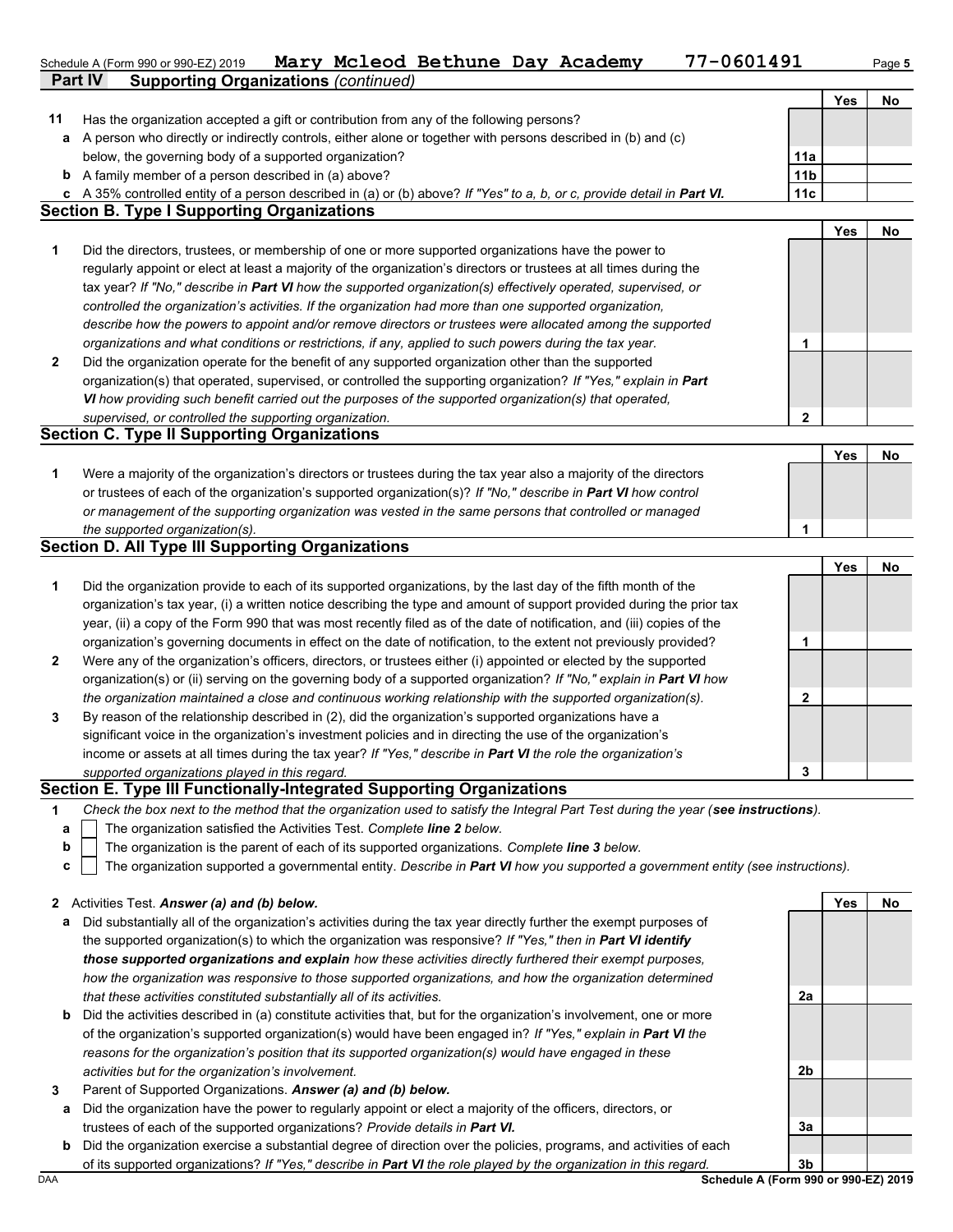|    | 77-0601491<br>Mary Mcleod Bethune Day Academy<br>Schedule A (Form 990 or 990-EZ) 2019<br><b>Supporting Organizations (continued)</b><br><b>Part IV</b> |                 |            | Page 5 |
|----|--------------------------------------------------------------------------------------------------------------------------------------------------------|-----------------|------------|--------|
|    |                                                                                                                                                        |                 | Yes        | No     |
| 11 | Has the organization accepted a gift or contribution from any of the following persons?                                                                |                 |            |        |
|    | a A person who directly or indirectly controls, either alone or together with persons described in (b) and (c)                                         |                 |            |        |
|    | below, the governing body of a supported organization?                                                                                                 | 11a             |            |        |
|    | <b>b</b> A family member of a person described in (a) above?                                                                                           | 11 <sub>b</sub> |            |        |
|    | c A 35% controlled entity of a person described in (a) or (b) above? If "Yes" to a, b, or c, provide detail in Part VI.                                | 11c             |            |        |
|    | <b>Section B. Type I Supporting Organizations</b>                                                                                                      |                 |            |        |
|    |                                                                                                                                                        |                 | Yes        | No     |
| 1  | Did the directors, trustees, or membership of one or more supported organizations have the power to                                                    |                 |            |        |
|    | regularly appoint or elect at least a majority of the organization's directors or trustees at all times during the                                     |                 |            |        |
|    | tax year? If "No," describe in Part VI how the supported organization(s) effectively operated, supervised, or                                          |                 |            |        |
|    | controlled the organization's activities. If the organization had more than one supported organization,                                                |                 |            |        |
|    | describe how the powers to appoint and/or remove directors or trustees were allocated among the supported                                              |                 |            |        |
|    | organizations and what conditions or restrictions, if any, applied to such powers during the tax year.                                                 | 1               |            |        |
| 2  | Did the organization operate for the benefit of any supported organization other than the supported                                                    |                 |            |        |
|    | organization(s) that operated, supervised, or controlled the supporting organization? If "Yes," explain in Part                                        |                 |            |        |
|    | VI how providing such benefit carried out the purposes of the supported organization(s) that operated,                                                 |                 |            |        |
|    | supervised, or controlled the supporting organization.                                                                                                 | $\mathbf{2}$    |            |        |
|    | <b>Section C. Type II Supporting Organizations</b>                                                                                                     |                 |            |        |
|    |                                                                                                                                                        |                 | <b>Yes</b> | No     |
|    |                                                                                                                                                        |                 |            |        |
| 1  | Were a majority of the organization's directors or trustees during the tax year also a majority of the directors                                       |                 |            |        |
|    | or trustees of each of the organization's supported organization(s)? If "No," describe in Part VI how control                                          |                 |            |        |
|    | or management of the supporting organization was vested in the same persons that controlled or managed                                                 |                 |            |        |
|    | the supported organization(s).                                                                                                                         | 1               |            |        |
|    | <b>Section D. All Type III Supporting Organizations</b>                                                                                                |                 |            |        |
|    |                                                                                                                                                        |                 | <b>Yes</b> | No     |
| 1  | Did the organization provide to each of its supported organizations, by the last day of the fifth month of the                                         |                 |            |        |
|    | organization's tax year, (i) a written notice describing the type and amount of support provided during the prior tax                                  |                 |            |        |
|    | year, (ii) a copy of the Form 990 that was most recently filed as of the date of notification, and (iii) copies of the                                 |                 |            |        |
|    | organization's governing documents in effect on the date of notification, to the extent not previously provided?                                       | 1               |            |        |
| 2  | Were any of the organization's officers, directors, or trustees either (i) appointed or elected by the supported                                       |                 |            |        |
|    | organization(s) or (ii) serving on the governing body of a supported organization? If "No," explain in Part VI how                                     |                 |            |        |
|    | the organization maintained a close and continuous working relationship with the supported organization(s).                                            | 2               |            |        |
| 3  | By reason of the relationship described in (2), did the organization's supported organizations have a                                                  |                 |            |        |
|    | significant voice in the organization's investment policies and in directing the use of the organization's                                             |                 |            |        |
|    | income or assets at all times during the tax year? If "Yes," describe in Part VI the role the organization's                                           |                 |            |        |
|    | supported organizations played in this regard.                                                                                                         | 3               |            |        |
|    | Section E. Type III Functionally-Integrated Supporting Organizations                                                                                   |                 |            |        |
| 1  | Check the box next to the method that the organization used to satisfy the Integral Part Test during the year (see instructions).                      |                 |            |        |
| а  | The organization satisfied the Activities Test. Complete line 2 below.                                                                                 |                 |            |        |
| b  | The organization is the parent of each of its supported organizations. Complete line 3 below.                                                          |                 |            |        |
| C  | The organization supported a governmental entity. Describe in Part VI how you supported a government entity (see instructions).                        |                 |            |        |
|    |                                                                                                                                                        |                 |            |        |
|    | 2 Activities Test. Answer (a) and (b) below.                                                                                                           |                 | Yes        | No     |
|    | a Did substantially all of the organization's activities during the tax year directly further the exempt purposes of                                   |                 |            |        |

- **a** ation's activities during the tax year directly further the exempt pi the supported organization(s) to which the organization was responsive? *If "Yes," then in Part VI identify those supported organizations and explain how these activities directly furthered their exempt purposes, how the organization was responsive to those supported organizations, and how the organization determined that these activities constituted substantially all of its activities.*
- **b** Did the activities described in (a) constitute activities that, but for the organization's involvement, one or more of the organization's supported organization(s) would have been engaged in? *If "Yes," explain in Part VI the reasons for the organization's position that its supported organization(s) would have engaged in these activities but for the organization's involvement.*
- **3** Parent of Supported Organizations. *Answer (a) and (b) below.*
- **a** Did the organization have the power to regularly appoint or elect a majority of the officers, directors, or trustees of each of the supported organizations? *Provide details in Part VI.*
- **b** Did the organization exercise a substantial degree of direction over the policies, programs, and activities of each of its supported organizations? *If "Yes," describe in Part VI the role played by the organization in this regard.*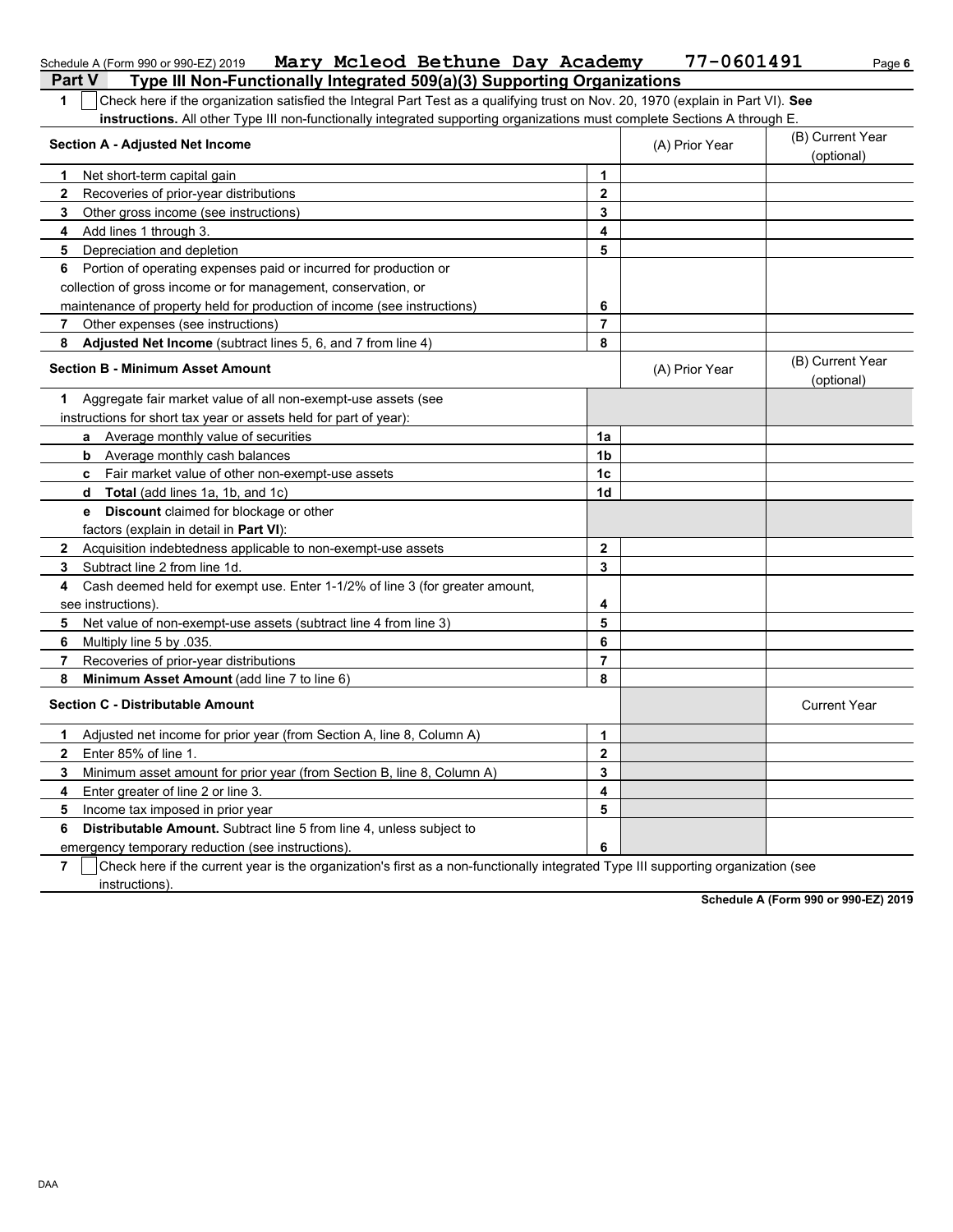|                          | Schedule A (Form 990 or 990-EZ) 2019 Mary Mcleod Bethune Day Academy                                                                       |                | 77-0601491     | Page 6                         |
|--------------------------|--------------------------------------------------------------------------------------------------------------------------------------------|----------------|----------------|--------------------------------|
|                          | Type III Non-Functionally Integrated 509(a)(3) Supporting Organizations<br><b>Part V</b>                                                   |                |                |                                |
| $\mathbf 1$              | Check here if the organization satisfied the Integral Part Test as a qualifying trust on Nov. 20, 1970 (explain in Part VI). See           |                |                |                                |
|                          | instructions. All other Type III non-functionally integrated supporting organizations must complete Sections A through E.                  |                |                |                                |
|                          | <b>Section A - Adjusted Net Income</b>                                                                                                     |                | (A) Prior Year | (B) Current Year<br>(optional) |
| 1                        | Net short-term capital gain                                                                                                                | 1              |                |                                |
| $\mathbf{2}$             | Recoveries of prior-year distributions                                                                                                     | $\mathbf{2}$   |                |                                |
| 3                        | Other gross income (see instructions)                                                                                                      | 3              |                |                                |
| 4                        | Add lines 1 through 3.                                                                                                                     | 4              |                |                                |
| 5                        | Depreciation and depletion                                                                                                                 | 5              |                |                                |
| 6                        | Portion of operating expenses paid or incurred for production or                                                                           |                |                |                                |
|                          | collection of gross income or for management, conservation, or                                                                             |                |                |                                |
|                          | maintenance of property held for production of income (see instructions)                                                                   | 6              |                |                                |
| 7                        | Other expenses (see instructions)                                                                                                          | $\overline{7}$ |                |                                |
| 8                        | <b>Adjusted Net Income</b> (subtract lines 5, 6, and 7 from line 4)                                                                        | 8              |                |                                |
|                          | <b>Section B - Minimum Asset Amount</b>                                                                                                    |                | (A) Prior Year | (B) Current Year<br>(optional) |
| 1.                       | Aggregate fair market value of all non-exempt-use assets (see                                                                              |                |                |                                |
|                          | instructions for short tax year or assets held for part of year):                                                                          |                |                |                                |
|                          | a Average monthly value of securities                                                                                                      | 1a             |                |                                |
|                          | <b>b</b> Average monthly cash balances                                                                                                     | 1b             |                |                                |
|                          | c Fair market value of other non-exempt-use assets                                                                                         | 1 <sub>c</sub> |                |                                |
|                          | <b>Total</b> (add lines 1a, 1b, and 1c)<br>d                                                                                               | 1d             |                |                                |
|                          | <b>e</b> Discount claimed for blockage or other                                                                                            |                |                |                                |
|                          | factors (explain in detail in Part VI):                                                                                                    |                |                |                                |
| $\mathbf{2}$             | Acquisition indebtedness applicable to non-exempt-use assets                                                                               | $\mathbf{2}$   |                |                                |
| 3                        | Subtract line 2 from line 1d.                                                                                                              | 3              |                |                                |
| 4                        | Cash deemed held for exempt use. Enter 1-1/2% of line 3 (for greater amount,                                                               |                |                |                                |
|                          | see instructions)                                                                                                                          | 4              |                |                                |
| 5                        | Net value of non-exempt-use assets (subtract line 4 from line 3)                                                                           | 5              |                |                                |
| 6                        | Multiply line 5 by .035.                                                                                                                   | 6              |                |                                |
| 7                        | Recoveries of prior-year distributions                                                                                                     | $\overline{7}$ |                |                                |
| 8                        | Minimum Asset Amount (add line 7 to line 6)                                                                                                | 8              |                |                                |
|                          | <b>Section C - Distributable Amount</b>                                                                                                    |                |                | <b>Current Year</b>            |
| 1                        | Adjusted net income for prior year (from Section A, line 8, Column A)                                                                      | 1              |                |                                |
| $\mathbf{2}$             | Enter 85% of line 1.                                                                                                                       | $\mathbf{2}$   |                |                                |
| 3                        | Minimum asset amount for prior year (from Section B, line 8, Column A)                                                                     | 3              |                |                                |
| 4                        | Enter greater of line 2 or line 3.                                                                                                         | 4              |                |                                |
| 5                        | Income tax imposed in prior year                                                                                                           | 5              |                |                                |
| 6                        | Distributable Amount. Subtract line 5 from line 4, unless subject to                                                                       |                |                |                                |
|                          | emergency temporary reduction (see instructions).                                                                                          | 6              |                |                                |
| $\overline{\phantom{a}}$ | $\Box$ Oheels have if the current vecuin the currentration of first as a non-functionally integrated Type III currential currentration (as |                |                |                                |

**7** Check here if the current year is the organization's first as a non-functionally integrated Type III supporting organization (see instructions).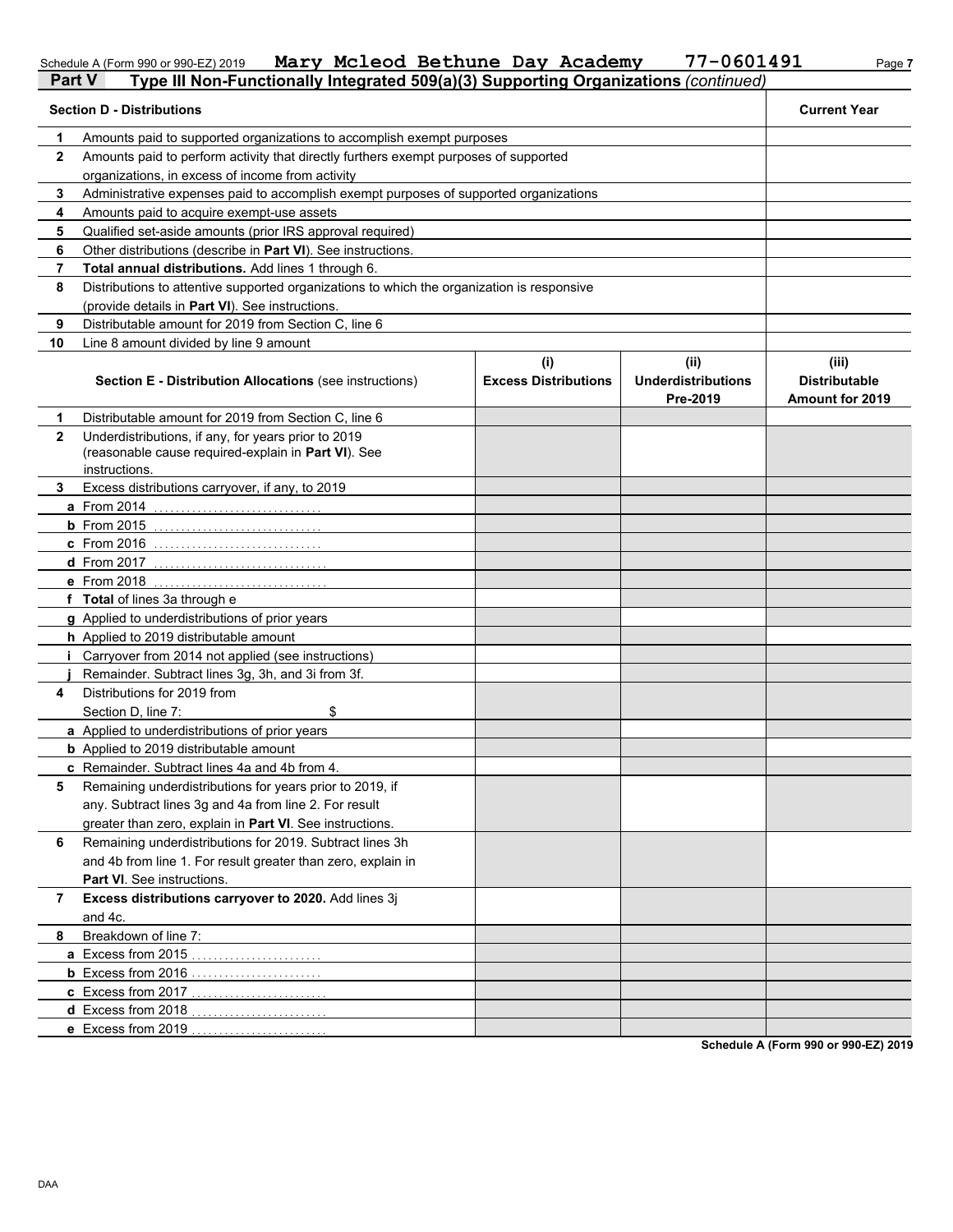#### Schedule A (Form 990 or 990-EZ) 2019 **Mary McLeod Bethune Day Academy** Page 7 **Mary Mcleod Bethune Day Academy 77-0601491**

| cademy | 77-0601491 |
|--------|------------|
|        |            |

| Part V       | Type III Non-Functionally Integrated 509(a)(3) Supporting Organizations (continued)                                         |                             |                                       |                                                |  |  |  |
|--------------|-----------------------------------------------------------------------------------------------------------------------------|-----------------------------|---------------------------------------|------------------------------------------------|--|--|--|
|              | <b>Section D - Distributions</b>                                                                                            |                             |                                       | <b>Current Year</b>                            |  |  |  |
| 1            | Amounts paid to supported organizations to accomplish exempt purposes                                                       |                             |                                       |                                                |  |  |  |
| $\mathbf{2}$ | Amounts paid to perform activity that directly furthers exempt purposes of supported                                        |                             |                                       |                                                |  |  |  |
|              | organizations, in excess of income from activity                                                                            |                             |                                       |                                                |  |  |  |
| 3            | Administrative expenses paid to accomplish exempt purposes of supported organizations                                       |                             |                                       |                                                |  |  |  |
| 4            | Amounts paid to acquire exempt-use assets                                                                                   |                             |                                       |                                                |  |  |  |
| 5            | Qualified set-aside amounts (prior IRS approval required)                                                                   |                             |                                       |                                                |  |  |  |
| 6            | Other distributions (describe in Part VI). See instructions.                                                                |                             |                                       |                                                |  |  |  |
| 7            | Total annual distributions. Add lines 1 through 6.                                                                          |                             |                                       |                                                |  |  |  |
| 8            | Distributions to attentive supported organizations to which the organization is responsive                                  |                             |                                       |                                                |  |  |  |
|              | (provide details in Part VI). See instructions.                                                                             |                             |                                       |                                                |  |  |  |
| 9            | Distributable amount for 2019 from Section C, line 6                                                                        |                             |                                       |                                                |  |  |  |
| 10           | Line 8 amount divided by line 9 amount                                                                                      |                             |                                       |                                                |  |  |  |
|              |                                                                                                                             | (i)                         | (ii)                                  | (iii)                                          |  |  |  |
|              | <b>Section E - Distribution Allocations (see instructions)</b>                                                              | <b>Excess Distributions</b> | <b>Underdistributions</b><br>Pre-2019 | <b>Distributable</b><br><b>Amount for 2019</b> |  |  |  |
| 1            | Distributable amount for 2019 from Section C, line 6                                                                        |                             |                                       |                                                |  |  |  |
| $\mathbf{2}$ | Underdistributions, if any, for years prior to 2019<br>(reasonable cause required-explain in Part VI). See<br>instructions. |                             |                                       |                                                |  |  |  |
| 3            | Excess distributions carryover, if any, to 2019                                                                             |                             |                                       |                                                |  |  |  |
|              | <b>a</b> From 2014                                                                                                          |                             |                                       |                                                |  |  |  |
|              | <b>b</b> From $2015$                                                                                                        |                             |                                       |                                                |  |  |  |
|              | <b>c</b> From 2016                                                                                                          |                             |                                       |                                                |  |  |  |
|              | <b>d</b> From 2017                                                                                                          |                             |                                       |                                                |  |  |  |
|              | <b>e</b> From 2018                                                                                                          |                             |                                       |                                                |  |  |  |
|              | f Total of lines 3a through e                                                                                               |                             |                                       |                                                |  |  |  |
|              | g Applied to underdistributions of prior years                                                                              |                             |                                       |                                                |  |  |  |
|              | h Applied to 2019 distributable amount                                                                                      |                             |                                       |                                                |  |  |  |
|              | Carryover from 2014 not applied (see instructions)                                                                          |                             |                                       |                                                |  |  |  |
|              | Remainder. Subtract lines 3g, 3h, and 3i from 3f.                                                                           |                             |                                       |                                                |  |  |  |
| 4            | Distributions for 2019 from                                                                                                 |                             |                                       |                                                |  |  |  |
|              | \$<br>Section D. line 7:                                                                                                    |                             |                                       |                                                |  |  |  |
|              | a Applied to underdistributions of prior years                                                                              |                             |                                       |                                                |  |  |  |
|              | <b>b</b> Applied to 2019 distributable amount                                                                               |                             |                                       |                                                |  |  |  |
|              | c Remainder. Subtract lines 4a and 4b from 4.                                                                               |                             |                                       |                                                |  |  |  |
| 5            | Remaining underdistributions for years prior to 2019, if                                                                    |                             |                                       |                                                |  |  |  |
|              | any. Subtract lines 3g and 4a from line 2. For result                                                                       |                             |                                       |                                                |  |  |  |
|              | greater than zero, explain in Part VI. See instructions.                                                                    |                             |                                       |                                                |  |  |  |
|              |                                                                                                                             |                             |                                       |                                                |  |  |  |
| 6            | Remaining underdistributions for 2019. Subtract lines 3h                                                                    |                             |                                       |                                                |  |  |  |
|              | and 4b from line 1. For result greater than zero, explain in                                                                |                             |                                       |                                                |  |  |  |
|              | Part VI. See instructions.                                                                                                  |                             |                                       |                                                |  |  |  |
| 7            | Excess distributions carryover to 2020. Add lines 3j                                                                        |                             |                                       |                                                |  |  |  |
|              | and 4c.                                                                                                                     |                             |                                       |                                                |  |  |  |
| 8            | Breakdown of line 7:                                                                                                        |                             |                                       |                                                |  |  |  |
|              | a Excess from 2015                                                                                                          |                             |                                       |                                                |  |  |  |
|              | <b>b</b> Excess from 2016                                                                                                   |                             |                                       |                                                |  |  |  |
|              | c Excess from 2017                                                                                                          |                             |                                       |                                                |  |  |  |
|              | d Excess from 2018                                                                                                          |                             |                                       |                                                |  |  |  |
|              | e Excess from 2019                                                                                                          |                             |                                       |                                                |  |  |  |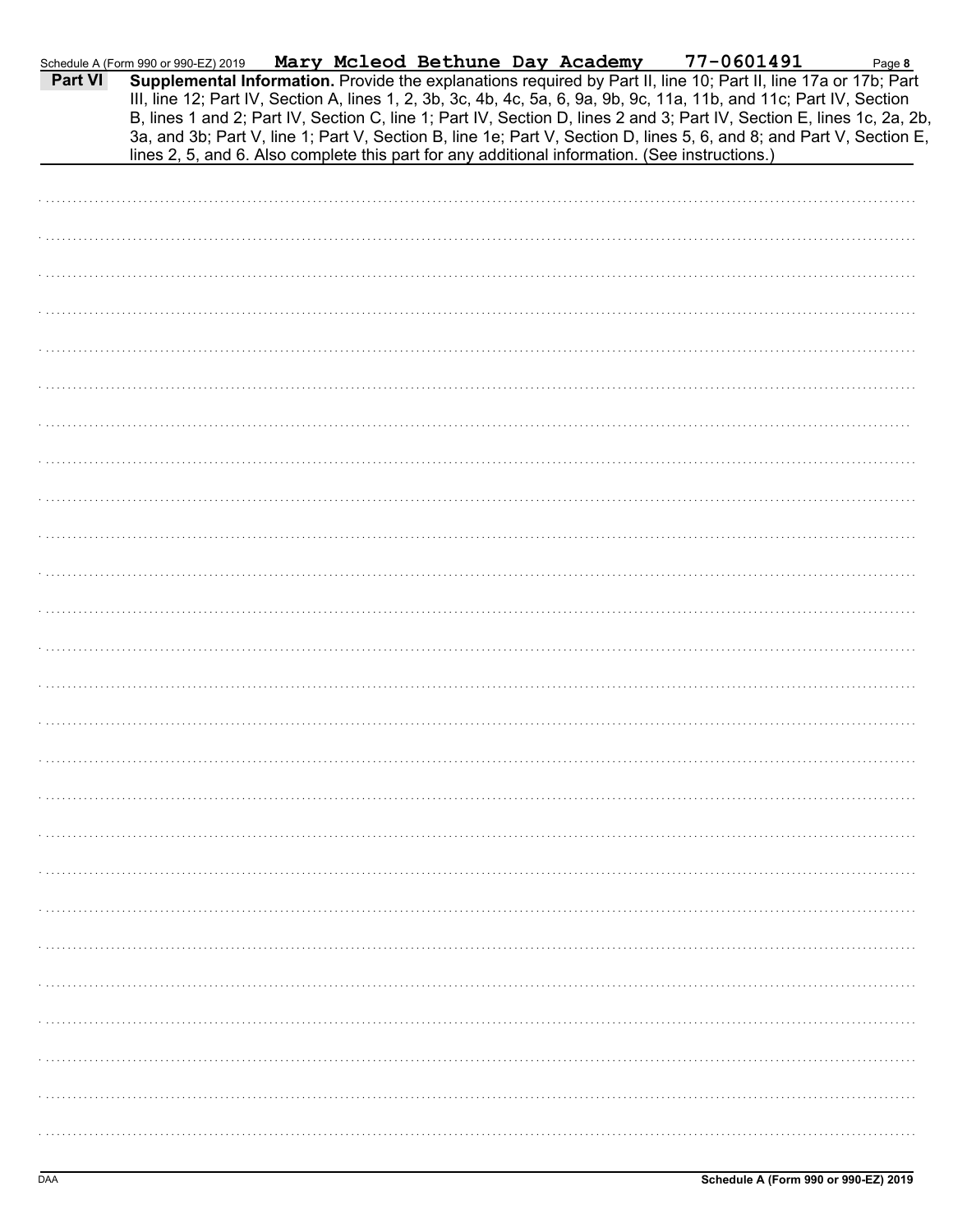| Part VI | Schedule A (Form 990 or 990-EZ) 2019 |  | Mary Mcleod Bethune Day Academy | 77-0601491                                                                                     | Page 8<br>Supplemental Information. Provide the explanations required by Part II, line 10; Part II, line 17a or 17b; Part                                                                                                                                                                                                                                              |
|---------|--------------------------------------|--|---------------------------------|------------------------------------------------------------------------------------------------|------------------------------------------------------------------------------------------------------------------------------------------------------------------------------------------------------------------------------------------------------------------------------------------------------------------------------------------------------------------------|
|         |                                      |  |                                 | lines 2, 5, and 6. Also complete this part for any additional information. (See instructions.) | III, line 12; Part IV, Section A, lines 1, 2, 3b, 3c, 4b, 4c, 5a, 6, 9a, 9b, 9c, 11a, 11b, and 11c; Part IV, Section<br>B, lines 1 and 2; Part IV, Section C, line 1; Part IV, Section D, lines 2 and 3; Part IV, Section E, lines 1c, 2a, 2b,<br>3a, and 3b; Part V, line 1; Part V, Section B, line 1e; Part V, Section D, lines 5, 6, and 8; and Part V, Section E, |
|         |                                      |  |                                 |                                                                                                |                                                                                                                                                                                                                                                                                                                                                                        |
|         |                                      |  |                                 |                                                                                                |                                                                                                                                                                                                                                                                                                                                                                        |
|         |                                      |  |                                 |                                                                                                |                                                                                                                                                                                                                                                                                                                                                                        |
|         |                                      |  |                                 |                                                                                                |                                                                                                                                                                                                                                                                                                                                                                        |
|         |                                      |  |                                 |                                                                                                |                                                                                                                                                                                                                                                                                                                                                                        |
|         |                                      |  |                                 |                                                                                                |                                                                                                                                                                                                                                                                                                                                                                        |
|         |                                      |  |                                 |                                                                                                |                                                                                                                                                                                                                                                                                                                                                                        |
|         |                                      |  |                                 |                                                                                                |                                                                                                                                                                                                                                                                                                                                                                        |
|         |                                      |  |                                 |                                                                                                |                                                                                                                                                                                                                                                                                                                                                                        |
|         |                                      |  |                                 |                                                                                                |                                                                                                                                                                                                                                                                                                                                                                        |
|         |                                      |  |                                 |                                                                                                |                                                                                                                                                                                                                                                                                                                                                                        |
|         |                                      |  |                                 |                                                                                                |                                                                                                                                                                                                                                                                                                                                                                        |
|         |                                      |  |                                 |                                                                                                |                                                                                                                                                                                                                                                                                                                                                                        |
|         |                                      |  |                                 |                                                                                                |                                                                                                                                                                                                                                                                                                                                                                        |
|         |                                      |  |                                 |                                                                                                |                                                                                                                                                                                                                                                                                                                                                                        |
|         |                                      |  |                                 |                                                                                                |                                                                                                                                                                                                                                                                                                                                                                        |
|         |                                      |  |                                 |                                                                                                |                                                                                                                                                                                                                                                                                                                                                                        |
|         |                                      |  |                                 |                                                                                                |                                                                                                                                                                                                                                                                                                                                                                        |
|         |                                      |  |                                 |                                                                                                |                                                                                                                                                                                                                                                                                                                                                                        |
|         |                                      |  |                                 |                                                                                                |                                                                                                                                                                                                                                                                                                                                                                        |
|         |                                      |  |                                 |                                                                                                |                                                                                                                                                                                                                                                                                                                                                                        |
|         |                                      |  |                                 |                                                                                                |                                                                                                                                                                                                                                                                                                                                                                        |
|         |                                      |  |                                 |                                                                                                |                                                                                                                                                                                                                                                                                                                                                                        |
|         |                                      |  |                                 |                                                                                                |                                                                                                                                                                                                                                                                                                                                                                        |
|         |                                      |  |                                 |                                                                                                |                                                                                                                                                                                                                                                                                                                                                                        |
|         |                                      |  |                                 |                                                                                                |                                                                                                                                                                                                                                                                                                                                                                        |
|         |                                      |  |                                 |                                                                                                |                                                                                                                                                                                                                                                                                                                                                                        |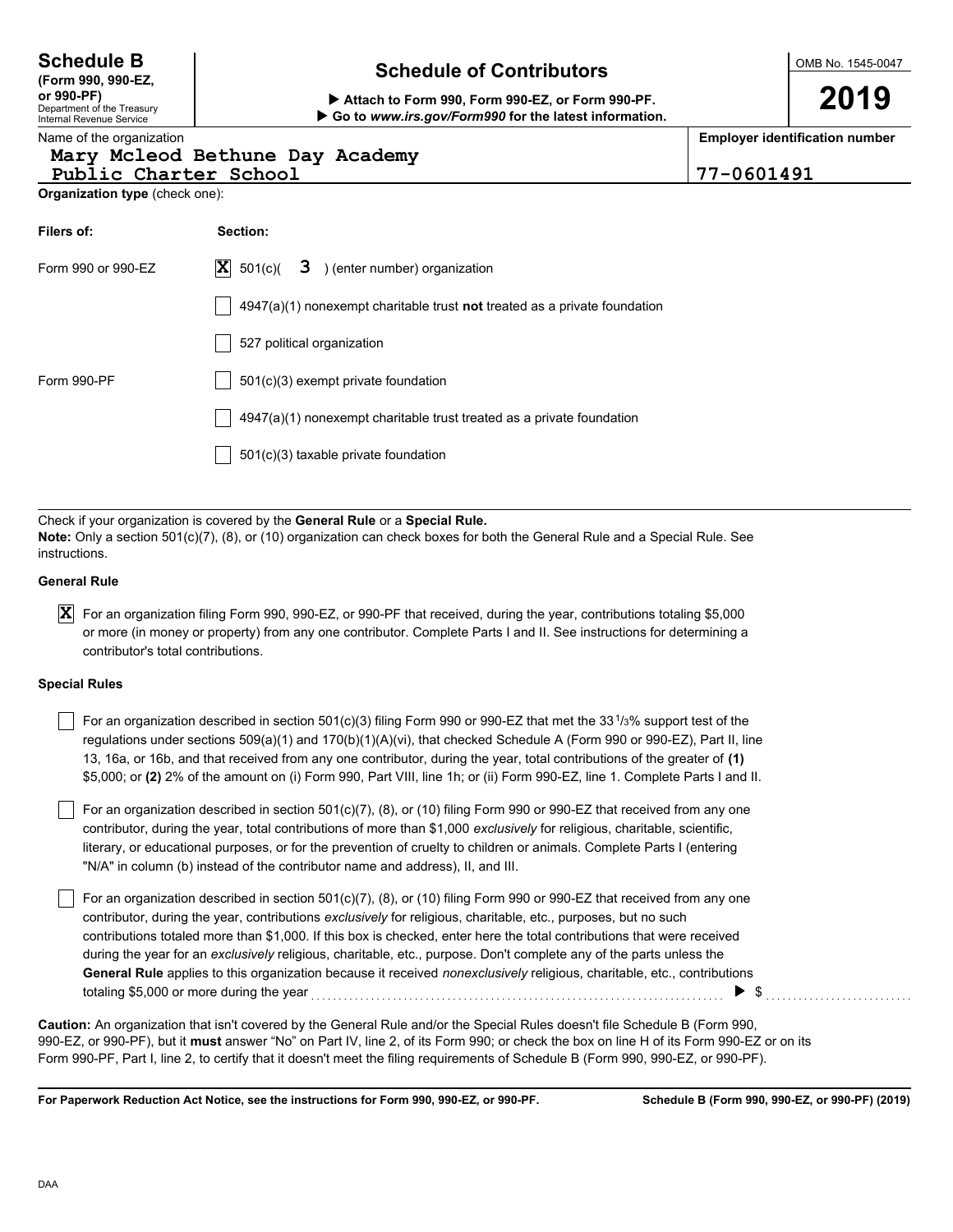## **Schedule of Contributors Schedule B**

**or 990-PF) Attach to Form 990, Form 990-EZ, or Form 990-PF. Go to** *www.irs.gov/Form990* **for the latest information.**

**Employer identification number**

### Name of the organization **Mary Mcleod Bethune Day Academy**

**Organization type** (check one): Public Charter School 77-0601491

Department of the Treasury Internal Revenue Service

**(Form 990, 990-EZ,**

| Filers of:                                                                          | Section:                                                                           |  |  |  |  |  |
|-------------------------------------------------------------------------------------|------------------------------------------------------------------------------------|--|--|--|--|--|
| $ \mathbf{X} $ 501(c)( <b>3</b> ) (enter number) organization<br>Form 990 or 990-EZ |                                                                                    |  |  |  |  |  |
|                                                                                     | $4947(a)(1)$ nonexempt charitable trust <b>not</b> treated as a private foundation |  |  |  |  |  |
|                                                                                     | 527 political organization                                                         |  |  |  |  |  |
| Form 990-PF                                                                         | $501(c)(3)$ exempt private foundation                                              |  |  |  |  |  |
|                                                                                     | 4947(a)(1) nonexempt charitable trust treated as a private foundation              |  |  |  |  |  |
|                                                                                     | 501(c)(3) taxable private foundation                                               |  |  |  |  |  |

Check if your organization is covered by the **General Rule** or a **Special Rule. Note:** Only a section 501(c)(7), (8), or (10) organization can check boxes for both the General Rule and a Special Rule. See instructions.

### **General Rule**

 $\bm{X}$  For an organization filing Form 990, 990-EZ, or 990-PF that received, during the year, contributions totaling \$5,000 or more (in money or property) from any one contributor. Complete Parts I and II. See instructions for determining a contributor's total contributions.

### **Special Rules**

| For an organization described in section 501(c)(3) filing Form 990 or 990-EZ that met the 33 <sup>1</sup> /3% support test of the |
|-----------------------------------------------------------------------------------------------------------------------------------|
| regulations under sections 509(a)(1) and 170(b)(1)(A)(vi), that checked Schedule A (Form 990 or 990-EZ), Part II, line            |
| 13, 16a, or 16b, and that received from any one contributor, during the year, total contributions of the greater of (1)           |
| \$5,000; or (2) 2% of the amount on (i) Form 990, Part VIII, line 1h; or (ii) Form 990-EZ, line 1. Complete Parts I and II.       |

literary, or educational purposes, or for the prevention of cruelty to children or animals. Complete Parts I (entering For an organization described in section 501(c)(7), (8), or (10) filing Form 990 or 990-EZ that received from any one contributor, during the year, total contributions of more than \$1,000 *exclusively* for religious, charitable, scientific, "N/A" in column (b) instead of the contributor name and address), II, and III.

For an organization described in section 501(c)(7), (8), or (10) filing Form 990 or 990-EZ that received from any one contributor, during the year, contributions *exclusively* for religious, charitable, etc., purposes, but no such contributions totaled more than \$1,000. If this box is checked, enter here the total contributions that were received during the year for an *exclusively* religious, charitable, etc., purpose. Don't complete any of the parts unless the **General Rule** applies to this organization because it received *nonexclusively* religious, charitable, etc., contributions totaling \$5,000 or more during the year . . . . . . . . . . . . . . . . . . . . . . . . . . . . . . . . . . . . . . . . . . . . . . . . . . . . . . . . . . . . . . . . . . . . . . . . . . . . \$ . . . . . . . . . . . . . . . . . . . . . . . . . . .

990-EZ, or 990-PF), but it **must** answer "No" on Part IV, line 2, of its Form 990; or check the box on line H of its Form 990-EZ or on its Form 990-PF, Part I, line 2, to certify that it doesn't meet the filing requirements of Schedule B (Form 990, 990-EZ, or 990-PF). **Caution:** An organization that isn't covered by the General Rule and/or the Special Rules doesn't file Schedule B (Form 990,

**For Paperwork Reduction Act Notice, see the instructions for Form 990, 990-EZ, or 990-PF.**

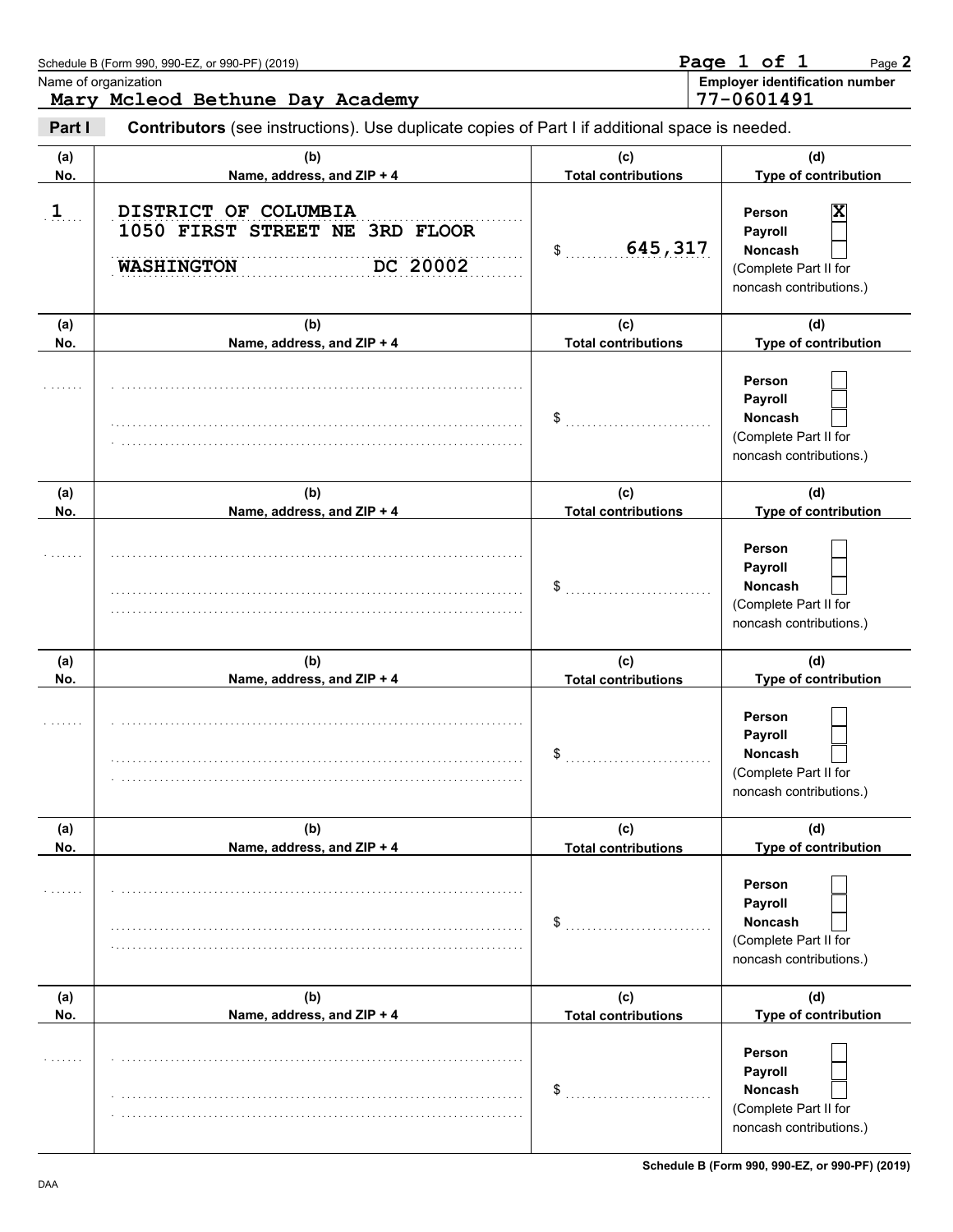|            | Schedule B (Form 990, 990-EZ, or 990-PF) (2019)                                                | Page 1 of 1<br>Page 2             |                                                                                              |  |  |  |
|------------|------------------------------------------------------------------------------------------------|-----------------------------------|----------------------------------------------------------------------------------------------|--|--|--|
|            | Name of organization<br>Mary Mcleod Bethune Day Academy                                        |                                   | <b>Employer identification number</b><br>77-0601491                                          |  |  |  |
| Part I     | Contributors (see instructions). Use duplicate copies of Part I if additional space is needed. |                                   |                                                                                              |  |  |  |
| (a)<br>No. | (b)<br>Name, address, and ZIP + 4                                                              | (C)<br><b>Total contributions</b> | (d)<br>Type of contribution                                                                  |  |  |  |
| $1$        | DISTRICT OF COLUMBIA<br>1050 FIRST STREET NE 3RD FLOOR<br>DC 20002<br><b>WASHINGTON</b>        | 645,317<br>\$                     | Person<br>х<br>Payroll<br><b>Noncash</b><br>(Complete Part II for<br>noncash contributions.) |  |  |  |
| (a)<br>No. | (b)<br>Name, address, and ZIP + 4                                                              | (c)<br><b>Total contributions</b> | (d)<br>Type of contribution                                                                  |  |  |  |
|            |                                                                                                | \$                                | Person<br>Payroll<br><b>Noncash</b><br>(Complete Part II for<br>noncash contributions.)      |  |  |  |
| (a)<br>No. | (b)<br>Name, address, and ZIP + 4                                                              | (c)<br><b>Total contributions</b> | (d)<br>Type of contribution                                                                  |  |  |  |
|            |                                                                                                | \$                                | Person<br>Payroll<br>Noncash<br>(Complete Part II for<br>noncash contributions.)             |  |  |  |
| (a)<br>No. | (b)<br>Name, address, and ZIP + 4                                                              | (c)<br><b>Total contributions</b> | (d)<br>Type of contribution                                                                  |  |  |  |
|            |                                                                                                | \$                                | Person<br>Payroll<br><b>Noncash</b><br>(Complete Part II for<br>noncash contributions.)      |  |  |  |
| (a)<br>No. | (b)<br>Name, address, and ZIP + 4                                                              | (c)<br><b>Total contributions</b> | (d)<br>Type of contribution                                                                  |  |  |  |
| .          |                                                                                                | \$                                | Person<br>Payroll<br><b>Noncash</b><br>(Complete Part II for<br>noncash contributions.)      |  |  |  |
| (a)<br>No. | (b)<br>Name, address, and ZIP + 4                                                              | (c)<br><b>Total contributions</b> | (d)<br>Type of contribution                                                                  |  |  |  |
|            |                                                                                                | \$                                | Person<br>Payroll<br><b>Noncash</b><br>(Complete Part II for<br>noncash contributions.)      |  |  |  |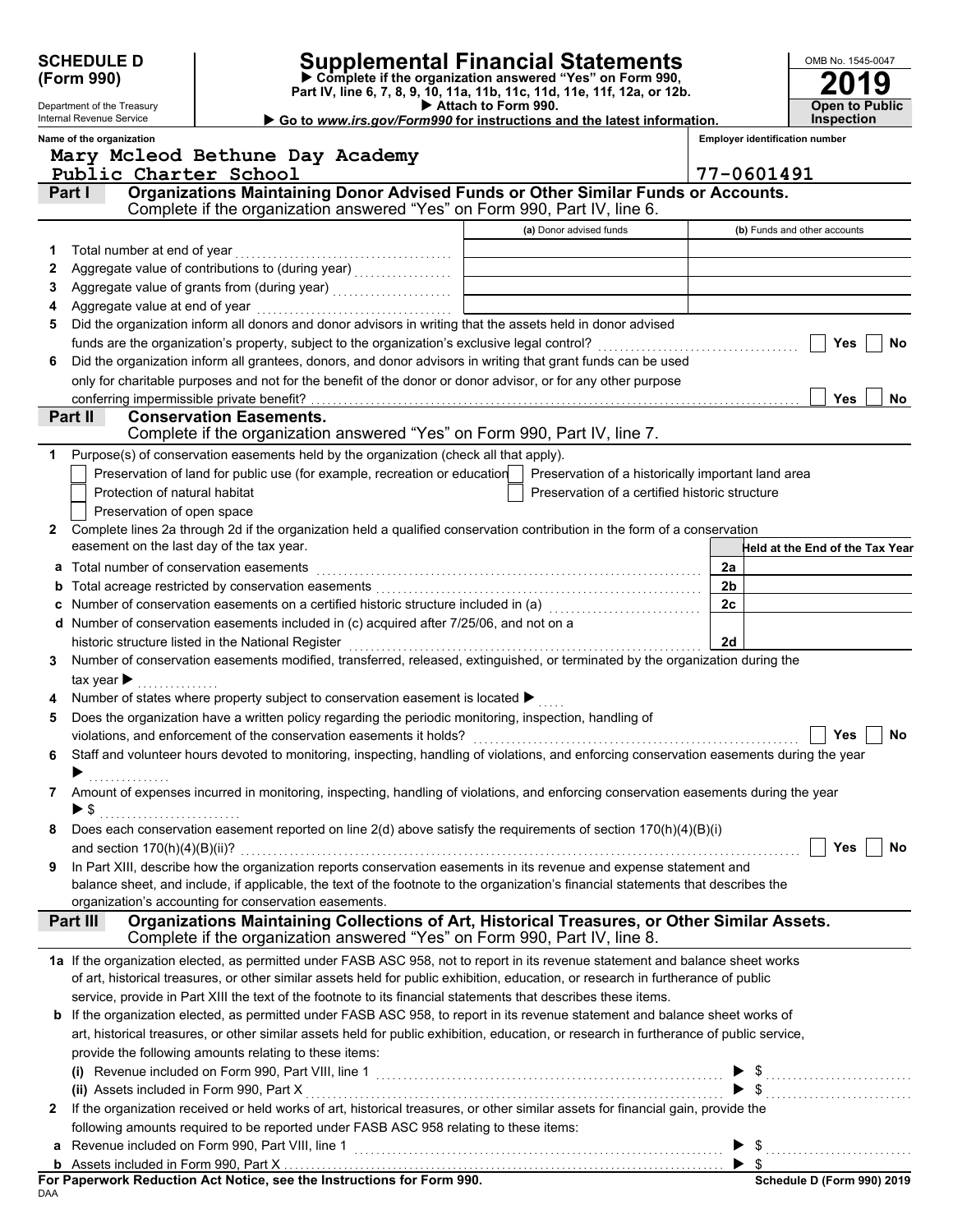| <b>SCHEDULE D</b><br>(Form 990) |                                                                                                                                         | <b>Supplemental Financial Statements</b><br>Complete if the organization answered "Yes" on Form 990,<br>Part IV, line 6, 7, 8, 9, 10, 11a, 11b, 11c, 11d, 11e, 11f, 12a, or 12b. |                                                                                                        |                     |                                                                                                                                           |  | OMB No. 1545-0047 |                                            |           |
|---------------------------------|-----------------------------------------------------------------------------------------------------------------------------------------|----------------------------------------------------------------------------------------------------------------------------------------------------------------------------------|--------------------------------------------------------------------------------------------------------|---------------------|-------------------------------------------------------------------------------------------------------------------------------------------|--|-------------------|--------------------------------------------|-----------|
|                                 | Department of the Treasury<br>Internal Revenue Service                                                                                  |                                                                                                                                                                                  |                                                                                                        | Attach to Form 990. | Go to www.irs.gov/Form990 for instructions and the latest information.                                                                    |  |                   | <b>Open to Public</b><br><b>Inspection</b> |           |
|                                 | Name of the organization                                                                                                                | Mary Mcleod Bethune Day Academy                                                                                                                                                  |                                                                                                        |                     |                                                                                                                                           |  |                   | <b>Employer identification number</b>      |           |
|                                 | Public Charter School                                                                                                                   |                                                                                                                                                                                  |                                                                                                        |                     |                                                                                                                                           |  |                   | 77-0601491                                 |           |
|                                 | Part I                                                                                                                                  |                                                                                                                                                                                  |                                                                                                        |                     | Organizations Maintaining Donor Advised Funds or Other Similar Funds or Accounts.                                                         |  |                   |                                            |           |
|                                 |                                                                                                                                         |                                                                                                                                                                                  |                                                                                                        |                     | Complete if the organization answered "Yes" on Form 990, Part IV, line 6.                                                                 |  |                   |                                            |           |
|                                 |                                                                                                                                         |                                                                                                                                                                                  |                                                                                                        |                     | (a) Donor advised funds                                                                                                                   |  |                   | (b) Funds and other accounts               |           |
| 1                               | Total number at end of year                                                                                                             |                                                                                                                                                                                  |                                                                                                        |                     |                                                                                                                                           |  |                   |                                            |           |
| 2                               |                                                                                                                                         |                                                                                                                                                                                  |                                                                                                        |                     |                                                                                                                                           |  |                   |                                            |           |
| 3                               |                                                                                                                                         |                                                                                                                                                                                  |                                                                                                        |                     |                                                                                                                                           |  |                   |                                            |           |
| 4                               |                                                                                                                                         |                                                                                                                                                                                  |                                                                                                        |                     |                                                                                                                                           |  |                   |                                            |           |
| 5                               |                                                                                                                                         |                                                                                                                                                                                  |                                                                                                        |                     | Did the organization inform all donors and donor advisors in writing that the assets held in donor advised                                |  |                   |                                            |           |
|                                 |                                                                                                                                         |                                                                                                                                                                                  |                                                                                                        |                     |                                                                                                                                           |  |                   | <b>Yes</b>                                 | <b>No</b> |
| 6                               |                                                                                                                                         |                                                                                                                                                                                  |                                                                                                        |                     | Did the organization inform all grantees, donors, and donor advisors in writing that grant funds can be used                              |  |                   |                                            |           |
|                                 |                                                                                                                                         |                                                                                                                                                                                  |                                                                                                        |                     | only for charitable purposes and not for the benefit of the donor or donor advisor, or for any other purpose                              |  |                   |                                            |           |
|                                 | conferring impermissible private benefit?                                                                                               |                                                                                                                                                                                  |                                                                                                        |                     |                                                                                                                                           |  |                   | <b>Yes</b>                                 | No        |
|                                 | Part II                                                                                                                                 | <b>Conservation Easements.</b>                                                                                                                                                   |                                                                                                        |                     |                                                                                                                                           |  |                   |                                            |           |
|                                 |                                                                                                                                         |                                                                                                                                                                                  |                                                                                                        |                     | Complete if the organization answered "Yes" on Form 990, Part IV, line 7.                                                                 |  |                   |                                            |           |
| 1                               |                                                                                                                                         |                                                                                                                                                                                  | Purpose(s) of conservation easements held by the organization (check all that apply).                  |                     |                                                                                                                                           |  |                   |                                            |           |
|                                 |                                                                                                                                         |                                                                                                                                                                                  | Preservation of land for public use (for example, recreation or education                              |                     | Preservation of a historically important land area                                                                                        |  |                   |                                            |           |
|                                 | Protection of natural habitat                                                                                                           |                                                                                                                                                                                  |                                                                                                        |                     | Preservation of a certified historic structure                                                                                            |  |                   |                                            |           |
|                                 | Preservation of open space                                                                                                              |                                                                                                                                                                                  |                                                                                                        |                     |                                                                                                                                           |  |                   |                                            |           |
| 2                               |                                                                                                                                         |                                                                                                                                                                                  |                                                                                                        |                     | Complete lines 2a through 2d if the organization held a qualified conservation contribution in the form of a conservation                 |  |                   |                                            |           |
|                                 | easement on the last day of the tax year.                                                                                               |                                                                                                                                                                                  |                                                                                                        |                     |                                                                                                                                           |  |                   | Held at the End of the Tax Year            |           |
| а                               | Total number of conservation easements                                                                                                  |                                                                                                                                                                                  |                                                                                                        |                     |                                                                                                                                           |  | 2a                |                                            |           |
|                                 |                                                                                                                                         |                                                                                                                                                                                  |                                                                                                        |                     |                                                                                                                                           |  | 2 <sub>b</sub>    |                                            |           |
|                                 |                                                                                                                                         |                                                                                                                                                                                  |                                                                                                        |                     | Number of conservation easements on a certified historic structure included in (a) [[[[[[[[[[[[[[[[[[[[[[[[[]]                            |  | 2c                |                                            |           |
| d                               |                                                                                                                                         |                                                                                                                                                                                  | Number of conservation easements included in (c) acquired after 7/25/06, and not on a                  |                     |                                                                                                                                           |  |                   |                                            |           |
|                                 |                                                                                                                                         | historic structure listed in the National Register                                                                                                                               |                                                                                                        |                     |                                                                                                                                           |  | 2d                |                                            |           |
| 3                               |                                                                                                                                         |                                                                                                                                                                                  |                                                                                                        |                     | Number of conservation easements modified, transferred, released, extinguished, or terminated by the organization during the              |  |                   |                                            |           |
|                                 | tax year $\blacktriangleright$                                                                                                          |                                                                                                                                                                                  |                                                                                                        |                     |                                                                                                                                           |  |                   |                                            |           |
|                                 |                                                                                                                                         |                                                                                                                                                                                  | Number of states where property subject to conservation easement is located ▶                          |                     |                                                                                                                                           |  |                   |                                            |           |
| 5                               |                                                                                                                                         |                                                                                                                                                                                  | Does the organization have a written policy regarding the periodic monitoring, inspection, handling of |                     |                                                                                                                                           |  |                   |                                            |           |
|                                 |                                                                                                                                         |                                                                                                                                                                                  |                                                                                                        |                     |                                                                                                                                           |  |                   | Yes                                        | No        |
| 6                               |                                                                                                                                         |                                                                                                                                                                                  |                                                                                                        |                     | Staff and volunteer hours devoted to monitoring, inspecting, handling of violations, and enforcing conservation easements during the year |  |                   |                                            |           |
|                                 |                                                                                                                                         |                                                                                                                                                                                  |                                                                                                        |                     |                                                                                                                                           |  |                   |                                            |           |
|                                 |                                                                                                                                         |                                                                                                                                                                                  |                                                                                                        |                     | Amount of expenses incurred in monitoring, inspecting, handling of violations, and enforcing conservation easements during the year       |  |                   |                                            |           |
|                                 | $\blacktriangleright$ \$                                                                                                                |                                                                                                                                                                                  |                                                                                                        |                     |                                                                                                                                           |  |                   |                                            |           |
| 8                               |                                                                                                                                         |                                                                                                                                                                                  |                                                                                                        |                     | Does each conservation easement reported on line 2(d) above satisfy the requirements of section 170(h)(4)(B)(i)                           |  |                   |                                            |           |
|                                 |                                                                                                                                         |                                                                                                                                                                                  |                                                                                                        |                     |                                                                                                                                           |  |                   | Yes                                        | <b>No</b> |
| 9                               |                                                                                                                                         |                                                                                                                                                                                  |                                                                                                        |                     | In Part XIII, describe how the organization reports conservation easements in its revenue and expense statement and                       |  |                   |                                            |           |
|                                 |                                                                                                                                         | organization's accounting for conservation easements.                                                                                                                            |                                                                                                        |                     | balance sheet, and include, if applicable, the text of the footnote to the organization's financial statements that describes the         |  |                   |                                            |           |
|                                 | Part III                                                                                                                                |                                                                                                                                                                                  |                                                                                                        |                     | Organizations Maintaining Collections of Art, Historical Treasures, or Other Similar Assets.                                              |  |                   |                                            |           |
|                                 |                                                                                                                                         |                                                                                                                                                                                  |                                                                                                        |                     | Complete if the organization answered "Yes" on Form 990, Part IV, line 8.                                                                 |  |                   |                                            |           |
|                                 |                                                                                                                                         |                                                                                                                                                                                  |                                                                                                        |                     | 1a If the organization elected, as permitted under FASB ASC 958, not to report in its revenue statement and balance sheet works           |  |                   |                                            |           |
|                                 |                                                                                                                                         |                                                                                                                                                                                  |                                                                                                        |                     | of art, historical treasures, or other similar assets held for public exhibition, education, or research in furtherance of public         |  |                   |                                            |           |
|                                 |                                                                                                                                         |                                                                                                                                                                                  |                                                                                                        |                     | service, provide in Part XIII the text of the footnote to its financial statements that describes these items.                            |  |                   |                                            |           |
|                                 |                                                                                                                                         |                                                                                                                                                                                  |                                                                                                        |                     | b If the organization elected, as permitted under FASB ASC 958, to report in its revenue statement and balance sheet works of             |  |                   |                                            |           |
|                                 | art, historical treasures, or other similar assets held for public exhibition, education, or research in furtherance of public service, |                                                                                                                                                                                  |                                                                                                        |                     |                                                                                                                                           |  |                   |                                            |           |
|                                 | provide the following amounts relating to these items:                                                                                  |                                                                                                                                                                                  |                                                                                                        |                     |                                                                                                                                           |  |                   |                                            |           |
|                                 |                                                                                                                                         |                                                                                                                                                                                  |                                                                                                        |                     |                                                                                                                                           |  |                   |                                            |           |
|                                 | (ii) Assets included in Form 990, Part X                                                                                                |                                                                                                                                                                                  |                                                                                                        |                     |                                                                                                                                           |  |                   |                                            |           |
| 2                               |                                                                                                                                         |                                                                                                                                                                                  |                                                                                                        |                     | If the organization received or held works of art, historical treasures, or other similar assets for financial gain, provide the          |  |                   |                                            |           |
|                                 |                                                                                                                                         |                                                                                                                                                                                  | following amounts required to be reported under FASB ASC 958 relating to these items:                  |                     |                                                                                                                                           |  |                   |                                            |           |
| a                               |                                                                                                                                         |                                                                                                                                                                                  |                                                                                                        |                     |                                                                                                                                           |  |                   | $\blacktriangleright$ \$                   |           |
|                                 |                                                                                                                                         |                                                                                                                                                                                  |                                                                                                        |                     |                                                                                                                                           |  |                   |                                            |           |
|                                 |                                                                                                                                         |                                                                                                                                                                                  |                                                                                                        |                     |                                                                                                                                           |  |                   | Schodule D (Form 990) 2019                 |           |

| For Paperwork Reduction Act Notice, see the Instructions for Form 990. |  |
|------------------------------------------------------------------------|--|
| DAA                                                                    |  |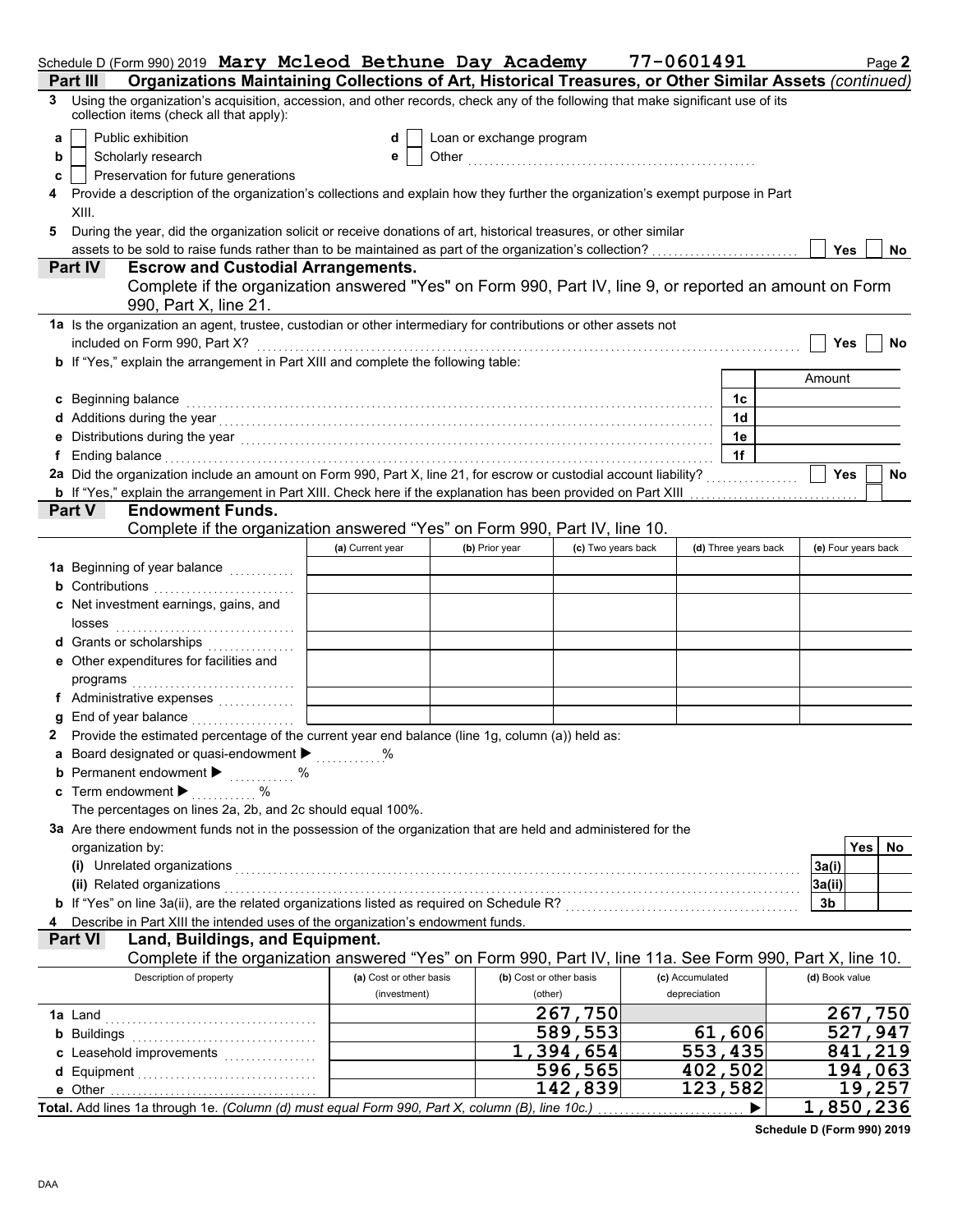| Schedule D (Form 990) 2019 Mary Mcleod Bethune Day Academy                                                                                                                                                                          |                         |                          |                          | 77-0601491      |                      | Page 2                  |
|-------------------------------------------------------------------------------------------------------------------------------------------------------------------------------------------------------------------------------------|-------------------------|--------------------------|--------------------------|-----------------|----------------------|-------------------------|
| Organizations Maintaining Collections of Art, Historical Treasures, or Other Similar Assets (continued)<br>Part III                                                                                                                 |                         |                          |                          |                 |                      |                         |
| Using the organization's acquisition, accession, and other records, check any of the following that make significant use of its<br>3<br>collection items (check all that apply):                                                    |                         |                          |                          |                 |                      |                         |
| Public exhibition<br>a                                                                                                                                                                                                              | d                       | Loan or exchange program |                          |                 |                      |                         |
| Scholarly research<br>b                                                                                                                                                                                                             | е                       |                          |                          |                 |                      |                         |
| Preservation for future generations<br>c                                                                                                                                                                                            |                         |                          |                          |                 |                      |                         |
| Provide a description of the organization's collections and explain how they further the organization's exempt purpose in Part                                                                                                      |                         |                          |                          |                 |                      |                         |
| XIII.                                                                                                                                                                                                                               |                         |                          |                          |                 |                      |                         |
| During the year, did the organization solicit or receive donations of art, historical treasures, or other similar<br>5                                                                                                              |                         |                          |                          |                 |                      |                         |
|                                                                                                                                                                                                                                     |                         |                          |                          |                 |                      | <b>Yes</b><br><b>No</b> |
| Part IV<br><b>Escrow and Custodial Arrangements.</b>                                                                                                                                                                                |                         |                          |                          |                 |                      |                         |
| Complete if the organization answered "Yes" on Form 990, Part IV, line 9, or reported an amount on Form<br>990, Part X, line 21.                                                                                                    |                         |                          |                          |                 |                      |                         |
| 1a Is the organization an agent, trustee, custodian or other intermediary for contributions or other assets not                                                                                                                     |                         |                          |                          |                 |                      |                         |
| included on Form 990, Part X?                                                                                                                                                                                                       |                         |                          |                          |                 |                      | Yes<br>No               |
| b If "Yes," explain the arrangement in Part XIII and complete the following table:                                                                                                                                                  |                         |                          |                          |                 |                      |                         |
|                                                                                                                                                                                                                                     |                         |                          |                          |                 |                      | Amount                  |
| c Beginning balance                                                                                                                                                                                                                 |                         |                          |                          |                 | 1c                   |                         |
| Additions during the year with the contract of the set of the set of the set of the set of the set of the set of the set of the set of the set of the set of the set of the set of the set of the set of the set of the set of      |                         |                          |                          |                 | 1 <sub>d</sub>       |                         |
|                                                                                                                                                                                                                                     |                         |                          |                          |                 | 1e                   |                         |
| Ending balance <b>constructs</b> and the construction of the construction of the construction of the construction of the construction of the construction of the construction of the construction of the construction of the constr |                         |                          |                          |                 | 1f                   |                         |
| 2a Did the organization include an amount on Form 990, Part X, line 21, for escrow or custodial account liability?                                                                                                                  |                         |                          |                          |                 |                      | <b>Yes</b><br>No        |
| <b>b</b> If "Yes," explain the arrangement in Part XIII. Check here if the explanation has been provided on Part XIII                                                                                                               |                         |                          |                          |                 |                      |                         |
| <b>Endowment Funds.</b><br>Part V                                                                                                                                                                                                   |                         |                          |                          |                 |                      |                         |
| Complete if the organization answered "Yes" on Form 990, Part IV, line 10.                                                                                                                                                          |                         |                          |                          |                 |                      |                         |
|                                                                                                                                                                                                                                     | (a) Current year        | (b) Prior year           | (c) Two years back       |                 | (d) Three years back | (e) Four years back     |
| 1a Beginning of year balance <i>minimizing</i>                                                                                                                                                                                      |                         |                          |                          |                 |                      |                         |
| <b>b</b> Contributions <b>contributions</b>                                                                                                                                                                                         |                         |                          |                          |                 |                      |                         |
| c Net investment earnings, gains, and                                                                                                                                                                                               |                         |                          |                          |                 |                      |                         |
| losses                                                                                                                                                                                                                              |                         |                          |                          |                 |                      |                         |
| <b>d</b> Grants or scholarships<br>.                                                                                                                                                                                                |                         |                          |                          |                 |                      |                         |
| e Other expenditures for facilities and                                                                                                                                                                                             |                         |                          |                          |                 |                      |                         |
|                                                                                                                                                                                                                                     |                         |                          |                          |                 |                      |                         |
| f Administrative expenses                                                                                                                                                                                                           |                         |                          |                          |                 |                      |                         |
| End of year balance with containing and all the set of the set of the set of the set of the set of the set of the set of the set of the set of the set of the set of the set of the set of the set of the set of the set of th      |                         |                          |                          |                 |                      |                         |
| 2 Provide the estimated percentage of the current year end balance (line 1g, column (a)) held as:                                                                                                                                   |                         |                          |                          |                 |                      |                         |
| a Board designated or quasi-endowment >                                                                                                                                                                                             |                         |                          |                          |                 |                      |                         |
| <b>b</b> Permanent endowment $\blacktriangleright$<br>$\%$<br>.                                                                                                                                                                     |                         |                          |                          |                 |                      |                         |
| c Term endowment $\blacktriangleright$                                                                                                                                                                                              |                         |                          |                          |                 |                      |                         |
| The percentages on lines 2a, 2b, and 2c should equal 100%.                                                                                                                                                                          |                         |                          |                          |                 |                      |                         |
| 3a Are there endowment funds not in the possession of the organization that are held and administered for the                                                                                                                       |                         |                          |                          |                 |                      |                         |
| organization by:                                                                                                                                                                                                                    |                         |                          |                          |                 |                      | Yes<br>No               |
| (i) Unrelated organizations <b>constructions</b> and all the construction of the construction of the construction of the construction of the construction of the construction of the construction of the construction of the constr |                         |                          |                          |                 |                      | 3a(i)                   |
| (ii) Related organizations                                                                                                                                                                                                          |                         |                          |                          |                 |                      | 3a(ii)                  |
| b If "Yes" on line 3a(ii), are the related organizations listed as required on Schedule R? [[[[[[[[[[[[[[[[[[[                                                                                                                      |                         |                          |                          |                 |                      | 3b                      |
| Describe in Part XIII the intended uses of the organization's endowment funds.                                                                                                                                                      |                         |                          |                          |                 |                      |                         |
| Land, Buildings, and Equipment.<br><b>Part VI</b>                                                                                                                                                                                   |                         |                          |                          |                 |                      |                         |
| Complete if the organization answered "Yes" on Form 990, Part IV, line 11a. See Form 990, Part X, line 10.                                                                                                                          |                         |                          |                          |                 |                      |                         |
| Description of property                                                                                                                                                                                                             | (a) Cost or other basis |                          | (b) Cost or other basis  | (c) Accumulated |                      | (d) Book value          |
|                                                                                                                                                                                                                                     | (investment)            |                          | (other)                  | depreciation    |                      |                         |
|                                                                                                                                                                                                                                     |                         |                          | 267,750                  |                 |                      | 267,750                 |
| <b>b</b> Buildings <b>contained b</b> Buildings <b>contained b</b> Buildings <b>contained b b</b>                                                                                                                                   |                         |                          | $\overline{589}$ , 553   |                 | 61,606               | 527,947                 |
| c Leasehold improvements                                                                                                                                                                                                            |                         |                          | $\overline{1,394}$ , 654 |                 | 553,435              | 841,219                 |
|                                                                                                                                                                                                                                     |                         |                          | $\overline{5}$ 96, 565   |                 | 402,502              | 194,063                 |
| e Other                                                                                                                                                                                                                             |                         |                          | $\overline{1}$ 42,839    |                 | 123,582              | 19,257                  |
| Total. Add lines 1a through 1e. (Column (d) must equal Form 990, Part X, column (B), line 10c.)                                                                                                                                     |                         |                          |                          |                 |                      | 1,850,236               |

**Schedule D (Form 990) 2019**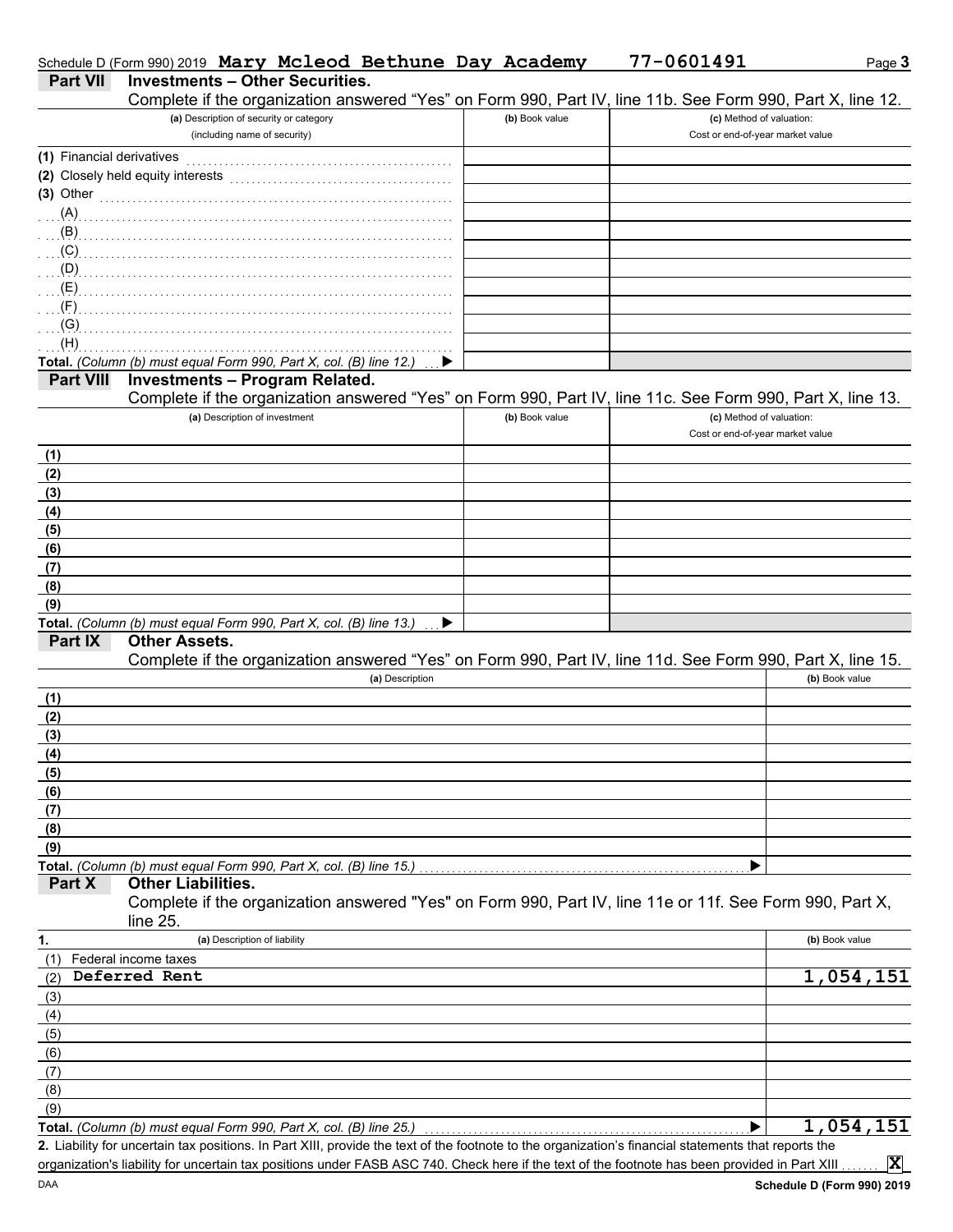|                           | Schedule D (Form 990) 2019 Mary Mcleod Bethune Day Academy                                                                                           |                | 77-0601491                       | Page 3         |
|---------------------------|------------------------------------------------------------------------------------------------------------------------------------------------------|----------------|----------------------------------|----------------|
| <b>Part VII</b>           | <b>Investments - Other Securities.</b><br>Complete if the organization answered "Yes" on Form 990, Part IV, line 11b. See Form 990, Part X, line 12. |                |                                  |                |
|                           | (a) Description of security or category                                                                                                              | (b) Book value | (c) Method of valuation:         |                |
|                           | (including name of security)                                                                                                                         |                | Cost or end-of-year market value |                |
| (1) Financial derivatives |                                                                                                                                                      |                |                                  |                |
|                           | (2) Closely held equity interests                                                                                                                    |                |                                  |                |
| $(3)$ Other               |                                                                                                                                                      |                |                                  |                |
| (A)                       |                                                                                                                                                      |                |                                  |                |
| (B)                       |                                                                                                                                                      |                |                                  |                |
| (C)                       |                                                                                                                                                      |                |                                  |                |
| (D)                       |                                                                                                                                                      |                |                                  |                |
| (E)                       |                                                                                                                                                      |                |                                  |                |
| (F)<br>(G)                |                                                                                                                                                      |                |                                  |                |
| (H)                       |                                                                                                                                                      |                |                                  |                |
|                           | Total. (Column (b) must equal Form 990, Part X, col. (B) line 12.)                                                                                   |                |                                  |                |
| <b>Part VIII</b>          | <b>Investments - Program Related.</b>                                                                                                                |                |                                  |                |
|                           | Complete if the organization answered "Yes" on Form 990, Part IV, line 11c. See Form 990, Part X, line 13.                                           |                |                                  |                |
|                           | (a) Description of investment                                                                                                                        | (b) Book value | (c) Method of valuation:         |                |
|                           |                                                                                                                                                      |                | Cost or end-of-year market value |                |
| (1)                       |                                                                                                                                                      |                |                                  |                |
| (2)                       |                                                                                                                                                      |                |                                  |                |
| (3)                       |                                                                                                                                                      |                |                                  |                |
| (4)                       |                                                                                                                                                      |                |                                  |                |
| (5)                       |                                                                                                                                                      |                |                                  |                |
| (6)                       |                                                                                                                                                      |                |                                  |                |
| (7)                       |                                                                                                                                                      |                |                                  |                |
| (8)                       |                                                                                                                                                      |                |                                  |                |
| (9)                       |                                                                                                                                                      |                |                                  |                |
| Part IX                   | Total. (Column (b) must equal Form 990, Part X, col. (B) line 13.)<br>▶<br><b>Other Assets.</b>                                                      |                |                                  |                |
|                           | Complete if the organization answered "Yes" on Form 990, Part IV, line 11d. See Form 990, Part X, line 15.                                           |                |                                  |                |
|                           | (a) Description                                                                                                                                      |                |                                  | (b) Book value |
| (1)                       |                                                                                                                                                      |                |                                  |                |
| (2)                       |                                                                                                                                                      |                |                                  |                |
| (3)                       |                                                                                                                                                      |                |                                  |                |
| (4)                       |                                                                                                                                                      |                |                                  |                |
| (5)                       |                                                                                                                                                      |                |                                  |                |
| (6)                       |                                                                                                                                                      |                |                                  |                |
| (7)                       |                                                                                                                                                      |                |                                  |                |
| (8)                       |                                                                                                                                                      |                |                                  |                |
| (9)                       |                                                                                                                                                      |                |                                  |                |
|                           | Total. (Column (b) must equal Form 990, Part X, col. (B) line 15.)                                                                                   |                |                                  |                |
| Part X                    | <b>Other Liabilities.</b>                                                                                                                            |                |                                  |                |
|                           | Complete if the organization answered "Yes" on Form 990, Part IV, line 11e or 11f. See Form 990, Part X,                                             |                |                                  |                |
|                           | line 25.                                                                                                                                             |                |                                  |                |
| 1.                        | (a) Description of liability                                                                                                                         |                |                                  | (b) Book value |
| (1)                       | Federal income taxes<br>Deferred Rent                                                                                                                |                |                                  | 1,054,151      |
| (2)                       |                                                                                                                                                      |                |                                  |                |
| (3)<br>(4)                |                                                                                                                                                      |                |                                  |                |
| (5)                       |                                                                                                                                                      |                |                                  |                |
| (6)                       |                                                                                                                                                      |                |                                  |                |
| (7)                       |                                                                                                                                                      |                |                                  |                |
| (8)                       |                                                                                                                                                      |                |                                  |                |
| (9)                       |                                                                                                                                                      |                |                                  |                |
|                           | Total. (Column (b) must equal Form 990, Part X, col. (B) line 25.)                                                                                   |                | ▶                                | 1,054,151      |
|                           | 2. Liability for uncertain tax positions. In Part XIII, provide the text of the footnote to the organization's financial statements that reports the |                |                                  |                |
|                           | organization's liability for uncertain tax positions under FASB ASC 740. Check here if the text of the footnote has been provided in Part XIII       |                |                                  | $ {\bf x} $    |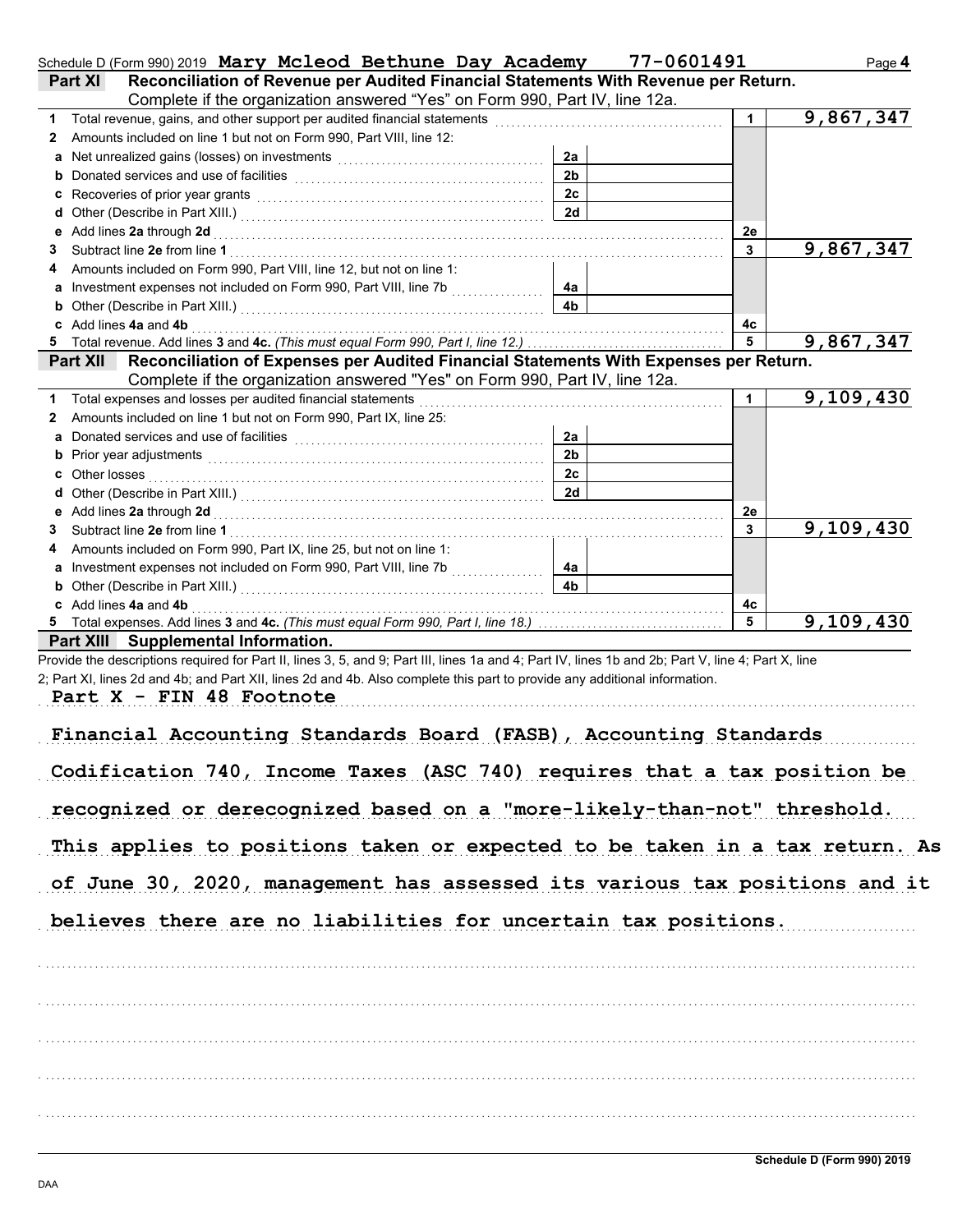|   | Schedule D (Form 990) 2019 Mary Mcleod Bethune Day Academy                                                                                                                                                                     |                | 77-0601491   | Page 4                    |
|---|--------------------------------------------------------------------------------------------------------------------------------------------------------------------------------------------------------------------------------|----------------|--------------|---------------------------|
|   | Reconciliation of Revenue per Audited Financial Statements With Revenue per Return.<br>Part XI                                                                                                                                 |                |              |                           |
|   | Complete if the organization answered "Yes" on Form 990, Part IV, line 12a.                                                                                                                                                    |                |              |                           |
| 1 | Total revenue, gains, and other support per audited financial statements                                                                                                                                                       |                | $\mathbf{1}$ | 9,867,347                 |
| 2 | Amounts included on line 1 but not on Form 990, Part VIII, line 12:                                                                                                                                                            |                |              |                           |
|   | Net unrealized gains (losses) on investments [11] with the substitution of the state of the state of the state of the state of the state of the state of the state of the state of the state of the state of the state of the  | 2a             |              |                           |
| b |                                                                                                                                                                                                                                | 2 <sub>b</sub> |              |                           |
|   |                                                                                                                                                                                                                                | 2c             |              |                           |
|   | d Other (Describe in Part XIII.) [11] [2010] [2010] [2010] [2010] [2010] [2010] [2010] [2010] [2010] [2010] [2010] [2010] [2010] [2010] [2010] [2010] [2010] [2010] [2010] [2010] [2010] [2010] [2010] [2010] [2010] [2010] [2 | 2d             |              |                           |
|   | Add lines 2a through 2d                                                                                                                                                                                                        |                | 2e           |                           |
| 3 |                                                                                                                                                                                                                                |                | 3            | 9,867,347                 |
|   | Amounts included on Form 990, Part VIII, line 12, but not on line 1:                                                                                                                                                           |                |              |                           |
|   |                                                                                                                                                                                                                                | 4a             |              |                           |
|   | <b>b</b> Other (Describe in Part XIII.) <b>CONSERVING (2018)</b>                                                                                                                                                               | 4b             |              |                           |
|   | c Add lines 4a and 4b                                                                                                                                                                                                          |                | 4с           |                           |
|   | Total revenue. Add lines 3 and 4c. (This must equal Form 990, Part I, line 12.)                                                                                                                                                |                | 5            | 9,867,347                 |
|   | Reconciliation of Expenses per Audited Financial Statements With Expenses per Return.<br><b>Part XII</b>                                                                                                                       |                |              |                           |
|   | Complete if the organization answered "Yes" on Form 990, Part IV, line 12a.                                                                                                                                                    |                |              |                           |
| 1 | Total expenses and losses per audited financial statements                                                                                                                                                                     |                | 1            | 9,109,430                 |
| 2 | Amounts included on line 1 but not on Form 990, Part IX, line 25:                                                                                                                                                              |                |              |                           |
|   |                                                                                                                                                                                                                                | 2a             |              |                           |
|   |                                                                                                                                                                                                                                | 2 <sub>b</sub> |              |                           |
|   | c Other losses                                                                                                                                                                                                                 | 2c             |              |                           |
|   |                                                                                                                                                                                                                                | 2d             |              |                           |
|   |                                                                                                                                                                                                                                |                | 2e           |                           |
| 3 | Subtract line 2e from line 1                                                                                                                                                                                                   |                | $\mathbf{3}$ | $\overline{9}$ , 109, 430 |
|   | Amounts included on Form 990, Part IX, line 25, but not on line 1:                                                                                                                                                             |                |              |                           |
|   |                                                                                                                                                                                                                                | 4a             |              |                           |
|   | <b>b</b> Other (Describe in Part XIII.) <b>CONSIDENT DESCRIPTION DESCRIPTION DESCRIPTION DESCRIPTION DESCRIPTION DESCRIPTION DESCRIPTION DESCRIPTION DESCRIPTION DESCRIPTION DESCRIPTION DESCRIPTION DESCRI</b>                | 4b             |              |                           |
|   | c Add lines 4a and 4b                                                                                                                                                                                                          |                | 4с           |                           |
|   |                                                                                                                                                                                                                                |                | 5            | 9,109,430                 |
|   | Part XIII Supplemental Information.                                                                                                                                                                                            |                |              |                           |
|   | Provide the descriptions required for Part II, lines 3, 5, and 9; Part III, lines 1a and 4; Part IV, lines 1b and 2b; Part V, line 4; Part X, line                                                                             |                |              |                           |
|   | 2; Part XI, lines 2d and 4b; and Part XII, lines 2d and 4b. Also complete this part to provide any additional information.                                                                                                     |                |              |                           |
|   | Part X - FIN 48 Footnote                                                                                                                                                                                                       |                |              |                           |
|   |                                                                                                                                                                                                                                |                |              |                           |
|   | Financial Accounting Standards Board (FASB), Accounting Standards                                                                                                                                                              |                |              |                           |
|   |                                                                                                                                                                                                                                |                |              |                           |
|   | Codification 740, Income Taxes (ASC 740) requires that a tax position be                                                                                                                                                       |                |              |                           |
|   |                                                                                                                                                                                                                                |                |              |                           |
|   | recognized or derecognized based on a "more-likely-than-not" threshold.                                                                                                                                                        |                |              |                           |
|   |                                                                                                                                                                                                                                |                |              |                           |
|   | This applies to positions taken or expected to be taken in a tax return. As                                                                                                                                                    |                |              |                           |
|   |                                                                                                                                                                                                                                |                |              |                           |
|   | of June 30, 2020, management has assessed its various tax positions and it                                                                                                                                                     |                |              |                           |
|   |                                                                                                                                                                                                                                |                |              |                           |
|   | believes there are no liabilities for uncertain tax positions.                                                                                                                                                                 |                |              |                           |
|   |                                                                                                                                                                                                                                |                |              |                           |
|   |                                                                                                                                                                                                                                |                |              |                           |
|   |                                                                                                                                                                                                                                |                |              |                           |
|   |                                                                                                                                                                                                                                |                |              |                           |
|   |                                                                                                                                                                                                                                |                |              |                           |
|   |                                                                                                                                                                                                                                |                |              |                           |
|   |                                                                                                                                                                                                                                |                |              |                           |
|   |                                                                                                                                                                                                                                |                |              |                           |
|   |                                                                                                                                                                                                                                |                |              |                           |
|   |                                                                                                                                                                                                                                |                |              |                           |
|   |                                                                                                                                                                                                                                |                |              |                           |
|   |                                                                                                                                                                                                                                |                |              |                           |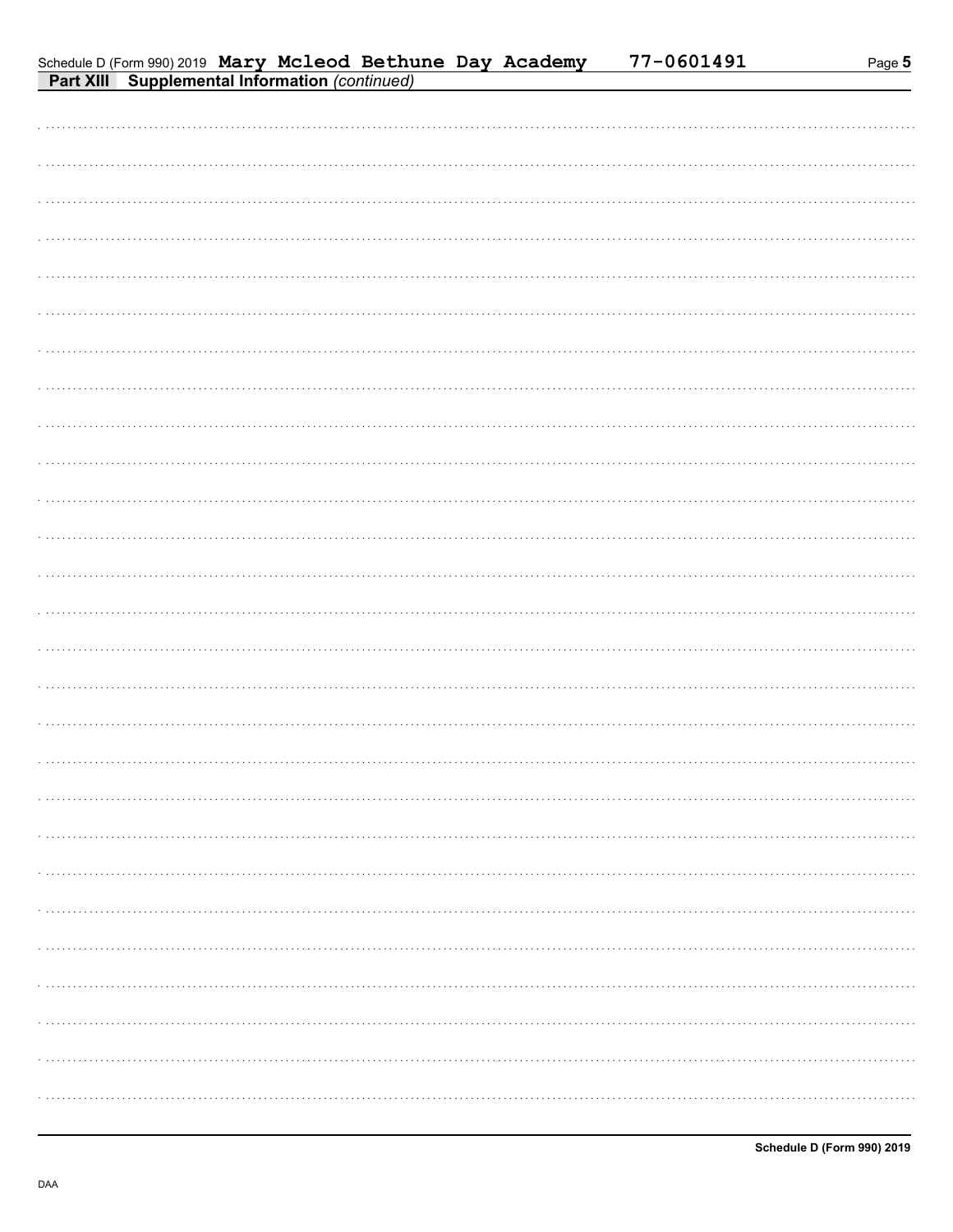| Schedule D (Form 990) 2019 Mary Mcleod Bethune Day Academy |  |  | 77-0601491 |
|------------------------------------------------------------|--|--|------------|
| <b>Part XIII Supplemental Information (continued)</b>      |  |  |            |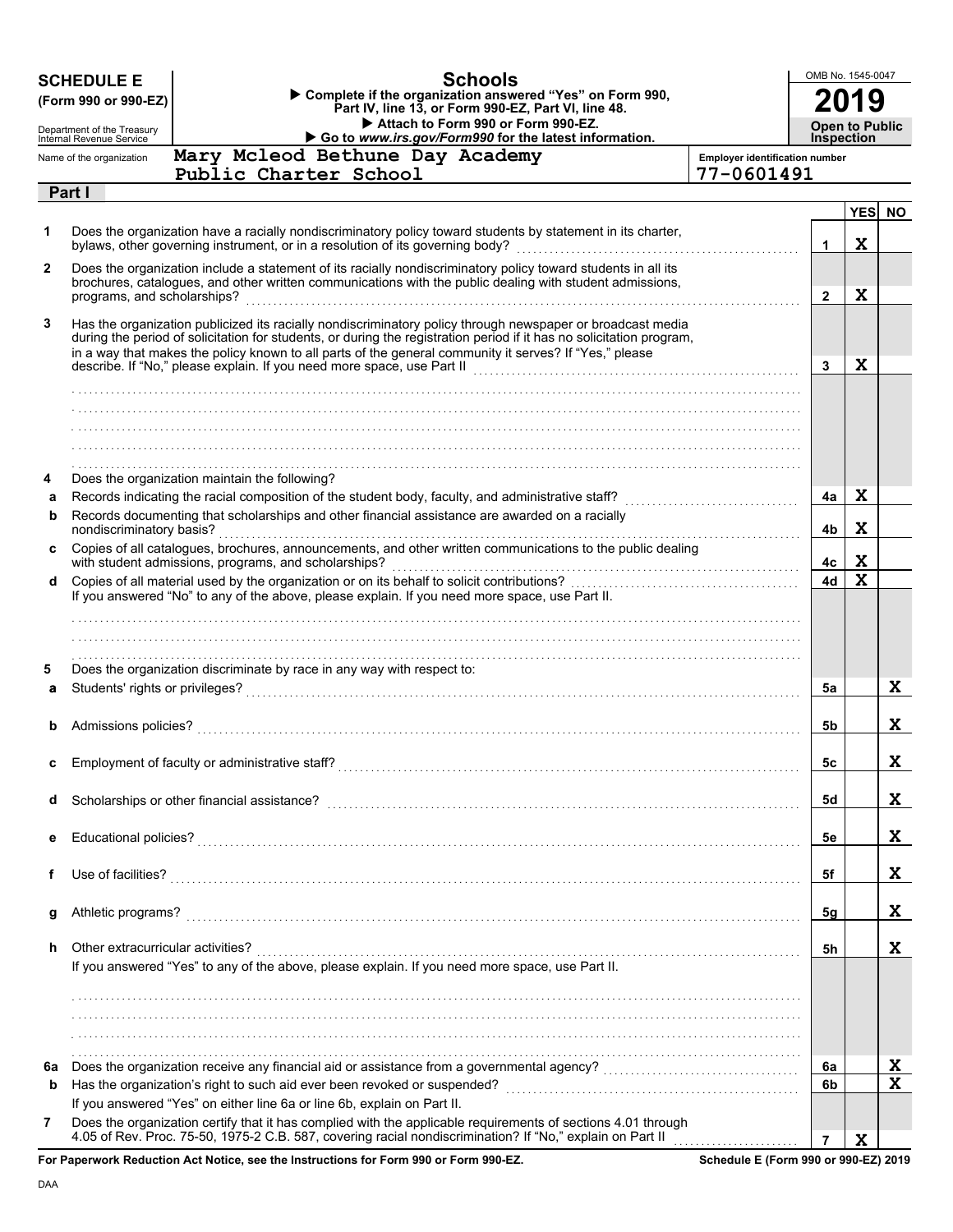|    | <b>SCHEDULE E</b><br>(Form 990 or 990-EZ)                                                                                                                                                                                                                | <b>Schools</b><br>Complete if the organization answered "Yes" on Form 990,<br>Part IV, line 13, or Form 990-EZ, Part VI, line 48.                                                                                                                                                                                                                                                                                                                                                                         |                                       | OMB No. 1545-0047     |             |                  |  |
|----|----------------------------------------------------------------------------------------------------------------------------------------------------------------------------------------------------------------------------------------------------------|-----------------------------------------------------------------------------------------------------------------------------------------------------------------------------------------------------------------------------------------------------------------------------------------------------------------------------------------------------------------------------------------------------------------------------------------------------------------------------------------------------------|---------------------------------------|-----------------------|-------------|------------------|--|
|    | Department of the Treasury<br>Internal Revenue Service                                                                                                                                                                                                   | Attach to Form 990 or Form 990-EZ.                                                                                                                                                                                                                                                                                                                                                                                                                                                                        |                                       | <b>Open to Public</b> |             |                  |  |
|    | Name of the organization                                                                                                                                                                                                                                 | Go to www.irs.gov/Form990 for the latest information.<br>Mary Mcleod Bethune Day Academy                                                                                                                                                                                                                                                                                                                                                                                                                  | <b>Employer identification number</b> | <b>Inspection</b>     |             |                  |  |
|    |                                                                                                                                                                                                                                                          | Public Charter School                                                                                                                                                                                                                                                                                                                                                                                                                                                                                     | 77-0601491                            |                       |             |                  |  |
|    | Part I                                                                                                                                                                                                                                                   |                                                                                                                                                                                                                                                                                                                                                                                                                                                                                                           |                                       |                       |             |                  |  |
|    |                                                                                                                                                                                                                                                          |                                                                                                                                                                                                                                                                                                                                                                                                                                                                                                           |                                       |                       | <b>YES</b>  | <b>NO</b>        |  |
| 1  |                                                                                                                                                                                                                                                          | Does the organization have a racially nondiscriminatory policy toward students by statement in its charter,<br>bylaws, other governing instrument, or in a resolution of its governing body?                                                                                                                                                                                                                                                                                                              |                                       | 1                     | X           |                  |  |
| 2  | Does the organization include a statement of its racially nondiscriminatory policy toward students in all its<br>brochures, catalogues, and other written communications with the public dealing with student admissions,<br>programs, and scholarships? |                                                                                                                                                                                                                                                                                                                                                                                                                                                                                                           |                                       |                       |             |                  |  |
| 3  |                                                                                                                                                                                                                                                          | Has the organization publicized its racially nondiscriminatory policy through newspaper or broadcast media<br>during the period of solicitation for students, or during the registration period if it has no solicitation program,<br>in a way that makes the policy known to all parts of the general community it serves? If "Yes," please<br>describe. If "No," please explain. If you need more space, use Part II contract the contract of "No," please explain. If you need more space, use Part II |                                       | 3                     | X           |                  |  |
|    |                                                                                                                                                                                                                                                          |                                                                                                                                                                                                                                                                                                                                                                                                                                                                                                           |                                       |                       |             |                  |  |
|    |                                                                                                                                                                                                                                                          |                                                                                                                                                                                                                                                                                                                                                                                                                                                                                                           |                                       |                       |             |                  |  |
|    |                                                                                                                                                                                                                                                          |                                                                                                                                                                                                                                                                                                                                                                                                                                                                                                           |                                       |                       |             |                  |  |
|    |                                                                                                                                                                                                                                                          |                                                                                                                                                                                                                                                                                                                                                                                                                                                                                                           |                                       |                       |             |                  |  |
| 4  |                                                                                                                                                                                                                                                          | Does the organization maintain the following?                                                                                                                                                                                                                                                                                                                                                                                                                                                             |                                       |                       |             |                  |  |
| а  |                                                                                                                                                                                                                                                          | Records indicating the racial composition of the student body, faculty, and administrative staff? [[[[[[[[[[[                                                                                                                                                                                                                                                                                                                                                                                             |                                       | 4a                    | X           |                  |  |
| b  |                                                                                                                                                                                                                                                          | Records documenting that scholarships and other financial assistance are awarded on a racially                                                                                                                                                                                                                                                                                                                                                                                                            |                                       |                       |             |                  |  |
|    | nondiscriminatory basis?                                                                                                                                                                                                                                 |                                                                                                                                                                                                                                                                                                                                                                                                                                                                                                           |                                       | 4b                    | X           |                  |  |
| C  |                                                                                                                                                                                                                                                          | Copies of all catalogues, brochures, announcements, and other written communications to the public dealing<br>with student admissions, programs, and scholarships?<br>With student admissions, programs, and scholarships?                                                                                                                                                                                                                                                                                |                                       | 4c                    | X           |                  |  |
| d  |                                                                                                                                                                                                                                                          |                                                                                                                                                                                                                                                                                                                                                                                                                                                                                                           |                                       | 4d                    | $\mathbf x$ |                  |  |
|    |                                                                                                                                                                                                                                                          | If you answered "No" to any of the above, please explain. If you need more space, use Part II.                                                                                                                                                                                                                                                                                                                                                                                                            |                                       |                       |             |                  |  |
|    |                                                                                                                                                                                                                                                          |                                                                                                                                                                                                                                                                                                                                                                                                                                                                                                           |                                       |                       |             |                  |  |
|    |                                                                                                                                                                                                                                                          |                                                                                                                                                                                                                                                                                                                                                                                                                                                                                                           |                                       |                       |             |                  |  |
| 5  |                                                                                                                                                                                                                                                          | Does the organization discriminate by race in any way with respect to:                                                                                                                                                                                                                                                                                                                                                                                                                                    |                                       |                       |             |                  |  |
| a  |                                                                                                                                                                                                                                                          |                                                                                                                                                                                                                                                                                                                                                                                                                                                                                                           |                                       | 5a                    |             | X                |  |
|    |                                                                                                                                                                                                                                                          |                                                                                                                                                                                                                                                                                                                                                                                                                                                                                                           |                                       |                       |             |                  |  |
| b  | Admissions policies?                                                                                                                                                                                                                                     |                                                                                                                                                                                                                                                                                                                                                                                                                                                                                                           |                                       | 5b                    |             | X                |  |
|    |                                                                                                                                                                                                                                                          |                                                                                                                                                                                                                                                                                                                                                                                                                                                                                                           |                                       |                       |             |                  |  |
|    |                                                                                                                                                                                                                                                          |                                                                                                                                                                                                                                                                                                                                                                                                                                                                                                           |                                       | 5c                    |             | Δ.               |  |
|    |                                                                                                                                                                                                                                                          |                                                                                                                                                                                                                                                                                                                                                                                                                                                                                                           |                                       |                       |             |                  |  |
| d  |                                                                                                                                                                                                                                                          |                                                                                                                                                                                                                                                                                                                                                                                                                                                                                                           |                                       | 5d                    |             | X                |  |
| е  |                                                                                                                                                                                                                                                          |                                                                                                                                                                                                                                                                                                                                                                                                                                                                                                           |                                       | 5e                    |             | X                |  |
|    |                                                                                                                                                                                                                                                          |                                                                                                                                                                                                                                                                                                                                                                                                                                                                                                           |                                       |                       |             |                  |  |
| f  | Use of facilities?                                                                                                                                                                                                                                       |                                                                                                                                                                                                                                                                                                                                                                                                                                                                                                           |                                       | 5f                    |             | X                |  |
|    |                                                                                                                                                                                                                                                          |                                                                                                                                                                                                                                                                                                                                                                                                                                                                                                           |                                       |                       |             |                  |  |
| g  | Athletic programs?                                                                                                                                                                                                                                       |                                                                                                                                                                                                                                                                                                                                                                                                                                                                                                           |                                       | 5g                    |             | X                |  |
|    |                                                                                                                                                                                                                                                          |                                                                                                                                                                                                                                                                                                                                                                                                                                                                                                           |                                       |                       |             |                  |  |
| h  | Other extracurricular activities?                                                                                                                                                                                                                        |                                                                                                                                                                                                                                                                                                                                                                                                                                                                                                           |                                       | 5h                    |             | X                |  |
|    |                                                                                                                                                                                                                                                          | If you answered "Yes" to any of the above, please explain. If you need more space, use Part II.                                                                                                                                                                                                                                                                                                                                                                                                           |                                       |                       |             |                  |  |
|    |                                                                                                                                                                                                                                                          |                                                                                                                                                                                                                                                                                                                                                                                                                                                                                                           |                                       |                       |             |                  |  |
|    |                                                                                                                                                                                                                                                          |                                                                                                                                                                                                                                                                                                                                                                                                                                                                                                           |                                       |                       |             |                  |  |
|    |                                                                                                                                                                                                                                                          |                                                                                                                                                                                                                                                                                                                                                                                                                                                                                                           |                                       |                       |             |                  |  |
|    |                                                                                                                                                                                                                                                          |                                                                                                                                                                                                                                                                                                                                                                                                                                                                                                           |                                       |                       |             |                  |  |
| 6a |                                                                                                                                                                                                                                                          |                                                                                                                                                                                                                                                                                                                                                                                                                                                                                                           |                                       | 6a                    |             | X<br>$\mathbf x$ |  |
| b  |                                                                                                                                                                                                                                                          | If you answered "Yes" on either line 6a or line 6b, explain on Part II.                                                                                                                                                                                                                                                                                                                                                                                                                                   |                                       | 6b                    |             |                  |  |
| 7  |                                                                                                                                                                                                                                                          | Does the organization certify that it has complied with the applicable requirements of sections 4.01 through                                                                                                                                                                                                                                                                                                                                                                                              |                                       |                       |             |                  |  |
|    |                                                                                                                                                                                                                                                          | 4.05 of Rev. Proc. 75-50, 1975-2 C.B. 587, covering racial nondiscrimination? If "No," explain on Part II                                                                                                                                                                                                                                                                                                                                                                                                 |                                       | $\overline{7}$        | X           |                  |  |
|    |                                                                                                                                                                                                                                                          |                                                                                                                                                                                                                                                                                                                                                                                                                                                                                                           |                                       |                       |             |                  |  |

**For Paperwork Reduction Act Notice, see the Instructions for Form 990 or Form 990-EZ.**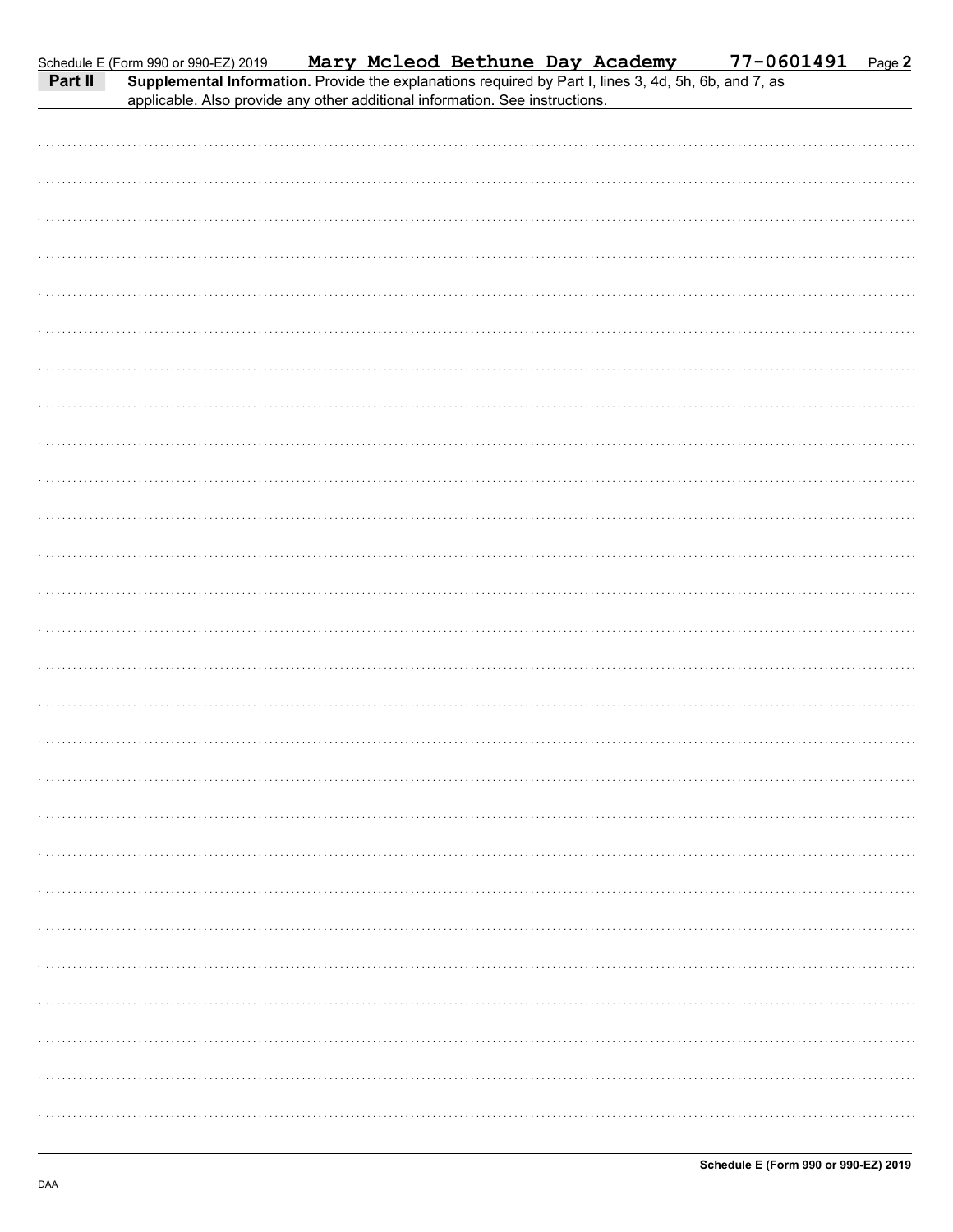|         | Schedule E (Form 990 or 990-EZ) 2019                                                                                                                                                  |  | Mary Mcleod Bethune Day Academy |  | 77-0601491 | Page 2 |
|---------|---------------------------------------------------------------------------------------------------------------------------------------------------------------------------------------|--|---------------------------------|--|------------|--------|
| Part II | Supplemental Information. Provide the explanations required by Part I, lines 3, 4d, 5h, 6b, and 7, as<br>applicable. Also provide any other additional information. See instructions. |  |                                 |  |            |        |
|         |                                                                                                                                                                                       |  |                                 |  |            |        |
|         |                                                                                                                                                                                       |  |                                 |  |            |        |
|         |                                                                                                                                                                                       |  |                                 |  |            |        |
|         |                                                                                                                                                                                       |  |                                 |  |            |        |
|         |                                                                                                                                                                                       |  |                                 |  |            |        |
|         |                                                                                                                                                                                       |  |                                 |  |            |        |
|         |                                                                                                                                                                                       |  |                                 |  |            |        |
|         |                                                                                                                                                                                       |  |                                 |  |            |        |
|         |                                                                                                                                                                                       |  |                                 |  |            |        |
|         |                                                                                                                                                                                       |  |                                 |  |            |        |
|         |                                                                                                                                                                                       |  |                                 |  |            |        |
|         |                                                                                                                                                                                       |  |                                 |  |            |        |
|         |                                                                                                                                                                                       |  |                                 |  |            |        |
|         |                                                                                                                                                                                       |  |                                 |  |            |        |
|         |                                                                                                                                                                                       |  |                                 |  |            |        |
|         |                                                                                                                                                                                       |  |                                 |  |            |        |
|         |                                                                                                                                                                                       |  |                                 |  |            |        |
|         |                                                                                                                                                                                       |  |                                 |  |            |        |
|         |                                                                                                                                                                                       |  |                                 |  |            |        |
|         |                                                                                                                                                                                       |  |                                 |  |            |        |
|         |                                                                                                                                                                                       |  |                                 |  |            |        |
|         |                                                                                                                                                                                       |  |                                 |  |            |        |
|         |                                                                                                                                                                                       |  |                                 |  |            |        |
|         |                                                                                                                                                                                       |  |                                 |  |            |        |
|         |                                                                                                                                                                                       |  |                                 |  |            |        |
|         |                                                                                                                                                                                       |  |                                 |  |            |        |
|         |                                                                                                                                                                                       |  |                                 |  |            |        |
|         |                                                                                                                                                                                       |  |                                 |  |            |        |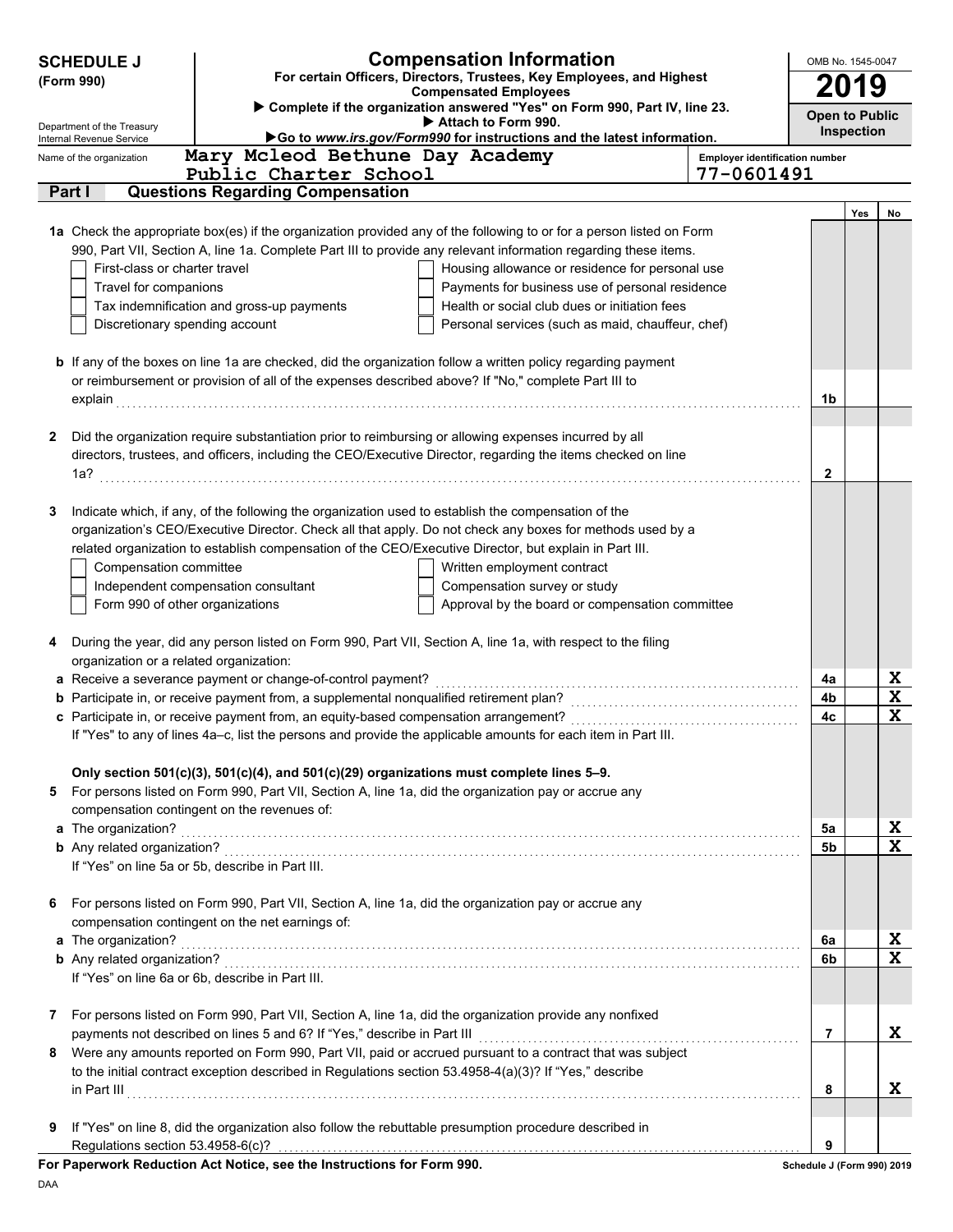| 2019<br><b>Compensated Employees</b><br>> Complete if the organization answered "Yes" on Form 990, Part IV, line 23.<br><b>Open to Public</b><br>Attach to Form 990.<br>Inspection<br>Go to www.irs.gov/Form990 for instructions and the latest information.<br>Internal Revenue Service<br>Mary Mcleod Bethune Day Academy<br><b>Employer identification number</b><br>Public Charter School<br>77-0601491<br>Part I<br><b>Questions Regarding Compensation</b><br>Yes<br>No<br>1a Check the appropriate box(es) if the organization provided any of the following to or for a person listed on Form<br>990, Part VII, Section A, line 1a. Complete Part III to provide any relevant information regarding these items.<br>First-class or charter travel<br>Housing allowance or residence for personal use<br>Payments for business use of personal residence<br>Travel for companions<br>Tax indemnification and gross-up payments<br>Health or social club dues or initiation fees<br>Discretionary spending account<br>Personal services (such as maid, chauffeur, chef)<br><b>b</b> If any of the boxes on line 1a are checked, did the organization follow a written policy regarding payment<br>or reimbursement or provision of all of the expenses described above? If "No," complete Part III to<br>1b<br>Did the organization require substantiation prior to reimbursing or allowing expenses incurred by all<br>2<br>directors, trustees, and officers, including the CEO/Executive Director, regarding the items checked on line<br>$\mathbf{2}$<br>Indicate which, if any, of the following the organization used to establish the compensation of the<br>3<br>organization's CEO/Executive Director. Check all that apply. Do not check any boxes for methods used by a<br>related organization to establish compensation of the CEO/Executive Director, but explain in Part III.<br>Compensation committee<br>Written employment contract<br>Independent compensation consultant<br>Compensation survey or study<br>Form 990 of other organizations<br>Approval by the board or compensation committee<br>During the year, did any person listed on Form 990, Part VII, Section A, line 1a, with respect to the filing<br>4<br>organization or a related organization:<br>X<br>a Receive a severance payment or change-of-control payment?<br>4a<br>X<br>4b<br>X<br>4c<br>If "Yes" to any of lines 4a-c, list the persons and provide the applicable amounts for each item in Part III.<br>Only section 501(c)(3), 501(c)(4), and 501(c)(29) organizations must complete lines 5-9.<br>For persons listed on Form 990, Part VII, Section A, line 1a, did the organization pay or accrue any<br>5<br>compensation contingent on the revenues of:<br>X<br>a The organization? encourance and a set of the contract of the contract of the organization?<br>5a<br>X<br>5 <sub>b</sub><br>If "Yes" on line 5a or 5b, describe in Part III.<br>For persons listed on Form 990, Part VII, Section A, line 1a, did the organization pay or accrue any<br>6<br>compensation contingent on the net earnings of:<br>X<br>a The organization?<br>6a<br>X<br>6b<br>If "Yes" on line 6a or 6b, describe in Part III.<br>For persons listed on Form 990, Part VII, Section A, line 1a, did the organization provide any nonfixed<br>7<br>X<br>payments not described on lines 5 and 6? If "Yes," describe in Part III<br>7<br>Were any amounts reported on Form 990, Part VII, paid or accrued pursuant to a contract that was subject<br>8<br>to the initial contract exception described in Regulations section 53.4958-4(a)(3)? If "Yes," describe<br>X<br>in Part III<br>8<br>If "Yes" on line 8, did the organization also follow the rebuttable presumption procedure described in<br>9<br>9<br>$\mathbf{r}$ and $\mathbf{r}$ and $\mathbf{r}$ | <b>Compensation Information</b><br><b>SCHEDULE J</b><br>For certain Officers, Directors, Trustees, Key Employees, and Highest |  |  |  | OMB No. 1545-0047 |  |
|----------------------------------------------------------------------------------------------------------------------------------------------------------------------------------------------------------------------------------------------------------------------------------------------------------------------------------------------------------------------------------------------------------------------------------------------------------------------------------------------------------------------------------------------------------------------------------------------------------------------------------------------------------------------------------------------------------------------------------------------------------------------------------------------------------------------------------------------------------------------------------------------------------------------------------------------------------------------------------------------------------------------------------------------------------------------------------------------------------------------------------------------------------------------------------------------------------------------------------------------------------------------------------------------------------------------------------------------------------------------------------------------------------------------------------------------------------------------------------------------------------------------------------------------------------------------------------------------------------------------------------------------------------------------------------------------------------------------------------------------------------------------------------------------------------------------------------------------------------------------------------------------------------------------------------------------------------------------------------------------------------------------------------------------------------------------------------------------------------------------------------------------------------------------------------------------------------------------------------------------------------------------------------------------------------------------------------------------------------------------------------------------------------------------------------------------------------------------------------------------------------------------------------------------------------------------------------------------------------------------------------------------------------------------------------------------------------------------------------------------------------------------------------------------------------------------------------------------------------------------------------------------------------------------------------------------------------------------------------------------------------------------------------------------------------------------------------------------------------------------------------------------------------------------------------------------------------------------------------------------------------------------------------------------------------------------------------------------------------------------------------------------------------------------------------------------------------------------------------------------------------------------------------------------------------------------------------------------------------------------------------------------------------------------------------------------------------------------------------------------------------------------------------------------------------------------------------------------------------|-------------------------------------------------------------------------------------------------------------------------------|--|--|--|-------------------|--|
|                                                                                                                                                                                                                                                                                                                                                                                                                                                                                                                                                                                                                                                                                                                                                                                                                                                                                                                                                                                                                                                                                                                                                                                                                                                                                                                                                                                                                                                                                                                                                                                                                                                                                                                                                                                                                                                                                                                                                                                                                                                                                                                                                                                                                                                                                                                                                                                                                                                                                                                                                                                                                                                                                                                                                                                                                                                                                                                                                                                                                                                                                                                                                                                                                                                                                                                                                                                                                                                                                                                                                                                                                                                                                                                                                                                                                                                          | (Form 990)                                                                                                                    |  |  |  |                   |  |
|                                                                                                                                                                                                                                                                                                                                                                                                                                                                                                                                                                                                                                                                                                                                                                                                                                                                                                                                                                                                                                                                                                                                                                                                                                                                                                                                                                                                                                                                                                                                                                                                                                                                                                                                                                                                                                                                                                                                                                                                                                                                                                                                                                                                                                                                                                                                                                                                                                                                                                                                                                                                                                                                                                                                                                                                                                                                                                                                                                                                                                                                                                                                                                                                                                                                                                                                                                                                                                                                                                                                                                                                                                                                                                                                                                                                                                                          |                                                                                                                               |  |  |  |                   |  |
|                                                                                                                                                                                                                                                                                                                                                                                                                                                                                                                                                                                                                                                                                                                                                                                                                                                                                                                                                                                                                                                                                                                                                                                                                                                                                                                                                                                                                                                                                                                                                                                                                                                                                                                                                                                                                                                                                                                                                                                                                                                                                                                                                                                                                                                                                                                                                                                                                                                                                                                                                                                                                                                                                                                                                                                                                                                                                                                                                                                                                                                                                                                                                                                                                                                                                                                                                                                                                                                                                                                                                                                                                                                                                                                                                                                                                                                          | Department of the Treasury                                                                                                    |  |  |  |                   |  |
|                                                                                                                                                                                                                                                                                                                                                                                                                                                                                                                                                                                                                                                                                                                                                                                                                                                                                                                                                                                                                                                                                                                                                                                                                                                                                                                                                                                                                                                                                                                                                                                                                                                                                                                                                                                                                                                                                                                                                                                                                                                                                                                                                                                                                                                                                                                                                                                                                                                                                                                                                                                                                                                                                                                                                                                                                                                                                                                                                                                                                                                                                                                                                                                                                                                                                                                                                                                                                                                                                                                                                                                                                                                                                                                                                                                                                                                          | Name of the organization                                                                                                      |  |  |  |                   |  |
|                                                                                                                                                                                                                                                                                                                                                                                                                                                                                                                                                                                                                                                                                                                                                                                                                                                                                                                                                                                                                                                                                                                                                                                                                                                                                                                                                                                                                                                                                                                                                                                                                                                                                                                                                                                                                                                                                                                                                                                                                                                                                                                                                                                                                                                                                                                                                                                                                                                                                                                                                                                                                                                                                                                                                                                                                                                                                                                                                                                                                                                                                                                                                                                                                                                                                                                                                                                                                                                                                                                                                                                                                                                                                                                                                                                                                                                          |                                                                                                                               |  |  |  |                   |  |
|                                                                                                                                                                                                                                                                                                                                                                                                                                                                                                                                                                                                                                                                                                                                                                                                                                                                                                                                                                                                                                                                                                                                                                                                                                                                                                                                                                                                                                                                                                                                                                                                                                                                                                                                                                                                                                                                                                                                                                                                                                                                                                                                                                                                                                                                                                                                                                                                                                                                                                                                                                                                                                                                                                                                                                                                                                                                                                                                                                                                                                                                                                                                                                                                                                                                                                                                                                                                                                                                                                                                                                                                                                                                                                                                                                                                                                                          |                                                                                                                               |  |  |  |                   |  |
|                                                                                                                                                                                                                                                                                                                                                                                                                                                                                                                                                                                                                                                                                                                                                                                                                                                                                                                                                                                                                                                                                                                                                                                                                                                                                                                                                                                                                                                                                                                                                                                                                                                                                                                                                                                                                                                                                                                                                                                                                                                                                                                                                                                                                                                                                                                                                                                                                                                                                                                                                                                                                                                                                                                                                                                                                                                                                                                                                                                                                                                                                                                                                                                                                                                                                                                                                                                                                                                                                                                                                                                                                                                                                                                                                                                                                                                          |                                                                                                                               |  |  |  |                   |  |
|                                                                                                                                                                                                                                                                                                                                                                                                                                                                                                                                                                                                                                                                                                                                                                                                                                                                                                                                                                                                                                                                                                                                                                                                                                                                                                                                                                                                                                                                                                                                                                                                                                                                                                                                                                                                                                                                                                                                                                                                                                                                                                                                                                                                                                                                                                                                                                                                                                                                                                                                                                                                                                                                                                                                                                                                                                                                                                                                                                                                                                                                                                                                                                                                                                                                                                                                                                                                                                                                                                                                                                                                                                                                                                                                                                                                                                                          |                                                                                                                               |  |  |  |                   |  |
|                                                                                                                                                                                                                                                                                                                                                                                                                                                                                                                                                                                                                                                                                                                                                                                                                                                                                                                                                                                                                                                                                                                                                                                                                                                                                                                                                                                                                                                                                                                                                                                                                                                                                                                                                                                                                                                                                                                                                                                                                                                                                                                                                                                                                                                                                                                                                                                                                                                                                                                                                                                                                                                                                                                                                                                                                                                                                                                                                                                                                                                                                                                                                                                                                                                                                                                                                                                                                                                                                                                                                                                                                                                                                                                                                                                                                                                          |                                                                                                                               |  |  |  |                   |  |
|                                                                                                                                                                                                                                                                                                                                                                                                                                                                                                                                                                                                                                                                                                                                                                                                                                                                                                                                                                                                                                                                                                                                                                                                                                                                                                                                                                                                                                                                                                                                                                                                                                                                                                                                                                                                                                                                                                                                                                                                                                                                                                                                                                                                                                                                                                                                                                                                                                                                                                                                                                                                                                                                                                                                                                                                                                                                                                                                                                                                                                                                                                                                                                                                                                                                                                                                                                                                                                                                                                                                                                                                                                                                                                                                                                                                                                                          |                                                                                                                               |  |  |  |                   |  |
|                                                                                                                                                                                                                                                                                                                                                                                                                                                                                                                                                                                                                                                                                                                                                                                                                                                                                                                                                                                                                                                                                                                                                                                                                                                                                                                                                                                                                                                                                                                                                                                                                                                                                                                                                                                                                                                                                                                                                                                                                                                                                                                                                                                                                                                                                                                                                                                                                                                                                                                                                                                                                                                                                                                                                                                                                                                                                                                                                                                                                                                                                                                                                                                                                                                                                                                                                                                                                                                                                                                                                                                                                                                                                                                                                                                                                                                          |                                                                                                                               |  |  |  |                   |  |
|                                                                                                                                                                                                                                                                                                                                                                                                                                                                                                                                                                                                                                                                                                                                                                                                                                                                                                                                                                                                                                                                                                                                                                                                                                                                                                                                                                                                                                                                                                                                                                                                                                                                                                                                                                                                                                                                                                                                                                                                                                                                                                                                                                                                                                                                                                                                                                                                                                                                                                                                                                                                                                                                                                                                                                                                                                                                                                                                                                                                                                                                                                                                                                                                                                                                                                                                                                                                                                                                                                                                                                                                                                                                                                                                                                                                                                                          |                                                                                                                               |  |  |  |                   |  |
|                                                                                                                                                                                                                                                                                                                                                                                                                                                                                                                                                                                                                                                                                                                                                                                                                                                                                                                                                                                                                                                                                                                                                                                                                                                                                                                                                                                                                                                                                                                                                                                                                                                                                                                                                                                                                                                                                                                                                                                                                                                                                                                                                                                                                                                                                                                                                                                                                                                                                                                                                                                                                                                                                                                                                                                                                                                                                                                                                                                                                                                                                                                                                                                                                                                                                                                                                                                                                                                                                                                                                                                                                                                                                                                                                                                                                                                          |                                                                                                                               |  |  |  |                   |  |
|                                                                                                                                                                                                                                                                                                                                                                                                                                                                                                                                                                                                                                                                                                                                                                                                                                                                                                                                                                                                                                                                                                                                                                                                                                                                                                                                                                                                                                                                                                                                                                                                                                                                                                                                                                                                                                                                                                                                                                                                                                                                                                                                                                                                                                                                                                                                                                                                                                                                                                                                                                                                                                                                                                                                                                                                                                                                                                                                                                                                                                                                                                                                                                                                                                                                                                                                                                                                                                                                                                                                                                                                                                                                                                                                                                                                                                                          |                                                                                                                               |  |  |  |                   |  |
|                                                                                                                                                                                                                                                                                                                                                                                                                                                                                                                                                                                                                                                                                                                                                                                                                                                                                                                                                                                                                                                                                                                                                                                                                                                                                                                                                                                                                                                                                                                                                                                                                                                                                                                                                                                                                                                                                                                                                                                                                                                                                                                                                                                                                                                                                                                                                                                                                                                                                                                                                                                                                                                                                                                                                                                                                                                                                                                                                                                                                                                                                                                                                                                                                                                                                                                                                                                                                                                                                                                                                                                                                                                                                                                                                                                                                                                          |                                                                                                                               |  |  |  |                   |  |
|                                                                                                                                                                                                                                                                                                                                                                                                                                                                                                                                                                                                                                                                                                                                                                                                                                                                                                                                                                                                                                                                                                                                                                                                                                                                                                                                                                                                                                                                                                                                                                                                                                                                                                                                                                                                                                                                                                                                                                                                                                                                                                                                                                                                                                                                                                                                                                                                                                                                                                                                                                                                                                                                                                                                                                                                                                                                                                                                                                                                                                                                                                                                                                                                                                                                                                                                                                                                                                                                                                                                                                                                                                                                                                                                                                                                                                                          |                                                                                                                               |  |  |  |                   |  |
|                                                                                                                                                                                                                                                                                                                                                                                                                                                                                                                                                                                                                                                                                                                                                                                                                                                                                                                                                                                                                                                                                                                                                                                                                                                                                                                                                                                                                                                                                                                                                                                                                                                                                                                                                                                                                                                                                                                                                                                                                                                                                                                                                                                                                                                                                                                                                                                                                                                                                                                                                                                                                                                                                                                                                                                                                                                                                                                                                                                                                                                                                                                                                                                                                                                                                                                                                                                                                                                                                                                                                                                                                                                                                                                                                                                                                                                          |                                                                                                                               |  |  |  |                   |  |
|                                                                                                                                                                                                                                                                                                                                                                                                                                                                                                                                                                                                                                                                                                                                                                                                                                                                                                                                                                                                                                                                                                                                                                                                                                                                                                                                                                                                                                                                                                                                                                                                                                                                                                                                                                                                                                                                                                                                                                                                                                                                                                                                                                                                                                                                                                                                                                                                                                                                                                                                                                                                                                                                                                                                                                                                                                                                                                                                                                                                                                                                                                                                                                                                                                                                                                                                                                                                                                                                                                                                                                                                                                                                                                                                                                                                                                                          |                                                                                                                               |  |  |  |                   |  |
|                                                                                                                                                                                                                                                                                                                                                                                                                                                                                                                                                                                                                                                                                                                                                                                                                                                                                                                                                                                                                                                                                                                                                                                                                                                                                                                                                                                                                                                                                                                                                                                                                                                                                                                                                                                                                                                                                                                                                                                                                                                                                                                                                                                                                                                                                                                                                                                                                                                                                                                                                                                                                                                                                                                                                                                                                                                                                                                                                                                                                                                                                                                                                                                                                                                                                                                                                                                                                                                                                                                                                                                                                                                                                                                                                                                                                                                          |                                                                                                                               |  |  |  |                   |  |
|                                                                                                                                                                                                                                                                                                                                                                                                                                                                                                                                                                                                                                                                                                                                                                                                                                                                                                                                                                                                                                                                                                                                                                                                                                                                                                                                                                                                                                                                                                                                                                                                                                                                                                                                                                                                                                                                                                                                                                                                                                                                                                                                                                                                                                                                                                                                                                                                                                                                                                                                                                                                                                                                                                                                                                                                                                                                                                                                                                                                                                                                                                                                                                                                                                                                                                                                                                                                                                                                                                                                                                                                                                                                                                                                                                                                                                                          |                                                                                                                               |  |  |  |                   |  |
|                                                                                                                                                                                                                                                                                                                                                                                                                                                                                                                                                                                                                                                                                                                                                                                                                                                                                                                                                                                                                                                                                                                                                                                                                                                                                                                                                                                                                                                                                                                                                                                                                                                                                                                                                                                                                                                                                                                                                                                                                                                                                                                                                                                                                                                                                                                                                                                                                                                                                                                                                                                                                                                                                                                                                                                                                                                                                                                                                                                                                                                                                                                                                                                                                                                                                                                                                                                                                                                                                                                                                                                                                                                                                                                                                                                                                                                          |                                                                                                                               |  |  |  |                   |  |
|                                                                                                                                                                                                                                                                                                                                                                                                                                                                                                                                                                                                                                                                                                                                                                                                                                                                                                                                                                                                                                                                                                                                                                                                                                                                                                                                                                                                                                                                                                                                                                                                                                                                                                                                                                                                                                                                                                                                                                                                                                                                                                                                                                                                                                                                                                                                                                                                                                                                                                                                                                                                                                                                                                                                                                                                                                                                                                                                                                                                                                                                                                                                                                                                                                                                                                                                                                                                                                                                                                                                                                                                                                                                                                                                                                                                                                                          |                                                                                                                               |  |  |  |                   |  |
|                                                                                                                                                                                                                                                                                                                                                                                                                                                                                                                                                                                                                                                                                                                                                                                                                                                                                                                                                                                                                                                                                                                                                                                                                                                                                                                                                                                                                                                                                                                                                                                                                                                                                                                                                                                                                                                                                                                                                                                                                                                                                                                                                                                                                                                                                                                                                                                                                                                                                                                                                                                                                                                                                                                                                                                                                                                                                                                                                                                                                                                                                                                                                                                                                                                                                                                                                                                                                                                                                                                                                                                                                                                                                                                                                                                                                                                          |                                                                                                                               |  |  |  |                   |  |
|                                                                                                                                                                                                                                                                                                                                                                                                                                                                                                                                                                                                                                                                                                                                                                                                                                                                                                                                                                                                                                                                                                                                                                                                                                                                                                                                                                                                                                                                                                                                                                                                                                                                                                                                                                                                                                                                                                                                                                                                                                                                                                                                                                                                                                                                                                                                                                                                                                                                                                                                                                                                                                                                                                                                                                                                                                                                                                                                                                                                                                                                                                                                                                                                                                                                                                                                                                                                                                                                                                                                                                                                                                                                                                                                                                                                                                                          |                                                                                                                               |  |  |  |                   |  |
|                                                                                                                                                                                                                                                                                                                                                                                                                                                                                                                                                                                                                                                                                                                                                                                                                                                                                                                                                                                                                                                                                                                                                                                                                                                                                                                                                                                                                                                                                                                                                                                                                                                                                                                                                                                                                                                                                                                                                                                                                                                                                                                                                                                                                                                                                                                                                                                                                                                                                                                                                                                                                                                                                                                                                                                                                                                                                                                                                                                                                                                                                                                                                                                                                                                                                                                                                                                                                                                                                                                                                                                                                                                                                                                                                                                                                                                          |                                                                                                                               |  |  |  |                   |  |
|                                                                                                                                                                                                                                                                                                                                                                                                                                                                                                                                                                                                                                                                                                                                                                                                                                                                                                                                                                                                                                                                                                                                                                                                                                                                                                                                                                                                                                                                                                                                                                                                                                                                                                                                                                                                                                                                                                                                                                                                                                                                                                                                                                                                                                                                                                                                                                                                                                                                                                                                                                                                                                                                                                                                                                                                                                                                                                                                                                                                                                                                                                                                                                                                                                                                                                                                                                                                                                                                                                                                                                                                                                                                                                                                                                                                                                                          |                                                                                                                               |  |  |  |                   |  |
|                                                                                                                                                                                                                                                                                                                                                                                                                                                                                                                                                                                                                                                                                                                                                                                                                                                                                                                                                                                                                                                                                                                                                                                                                                                                                                                                                                                                                                                                                                                                                                                                                                                                                                                                                                                                                                                                                                                                                                                                                                                                                                                                                                                                                                                                                                                                                                                                                                                                                                                                                                                                                                                                                                                                                                                                                                                                                                                                                                                                                                                                                                                                                                                                                                                                                                                                                                                                                                                                                                                                                                                                                                                                                                                                                                                                                                                          |                                                                                                                               |  |  |  |                   |  |
|                                                                                                                                                                                                                                                                                                                                                                                                                                                                                                                                                                                                                                                                                                                                                                                                                                                                                                                                                                                                                                                                                                                                                                                                                                                                                                                                                                                                                                                                                                                                                                                                                                                                                                                                                                                                                                                                                                                                                                                                                                                                                                                                                                                                                                                                                                                                                                                                                                                                                                                                                                                                                                                                                                                                                                                                                                                                                                                                                                                                                                                                                                                                                                                                                                                                                                                                                                                                                                                                                                                                                                                                                                                                                                                                                                                                                                                          |                                                                                                                               |  |  |  |                   |  |
|                                                                                                                                                                                                                                                                                                                                                                                                                                                                                                                                                                                                                                                                                                                                                                                                                                                                                                                                                                                                                                                                                                                                                                                                                                                                                                                                                                                                                                                                                                                                                                                                                                                                                                                                                                                                                                                                                                                                                                                                                                                                                                                                                                                                                                                                                                                                                                                                                                                                                                                                                                                                                                                                                                                                                                                                                                                                                                                                                                                                                                                                                                                                                                                                                                                                                                                                                                                                                                                                                                                                                                                                                                                                                                                                                                                                                                                          |                                                                                                                               |  |  |  |                   |  |
|                                                                                                                                                                                                                                                                                                                                                                                                                                                                                                                                                                                                                                                                                                                                                                                                                                                                                                                                                                                                                                                                                                                                                                                                                                                                                                                                                                                                                                                                                                                                                                                                                                                                                                                                                                                                                                                                                                                                                                                                                                                                                                                                                                                                                                                                                                                                                                                                                                                                                                                                                                                                                                                                                                                                                                                                                                                                                                                                                                                                                                                                                                                                                                                                                                                                                                                                                                                                                                                                                                                                                                                                                                                                                                                                                                                                                                                          |                                                                                                                               |  |  |  |                   |  |
|                                                                                                                                                                                                                                                                                                                                                                                                                                                                                                                                                                                                                                                                                                                                                                                                                                                                                                                                                                                                                                                                                                                                                                                                                                                                                                                                                                                                                                                                                                                                                                                                                                                                                                                                                                                                                                                                                                                                                                                                                                                                                                                                                                                                                                                                                                                                                                                                                                                                                                                                                                                                                                                                                                                                                                                                                                                                                                                                                                                                                                                                                                                                                                                                                                                                                                                                                                                                                                                                                                                                                                                                                                                                                                                                                                                                                                                          |                                                                                                                               |  |  |  |                   |  |
|                                                                                                                                                                                                                                                                                                                                                                                                                                                                                                                                                                                                                                                                                                                                                                                                                                                                                                                                                                                                                                                                                                                                                                                                                                                                                                                                                                                                                                                                                                                                                                                                                                                                                                                                                                                                                                                                                                                                                                                                                                                                                                                                                                                                                                                                                                                                                                                                                                                                                                                                                                                                                                                                                                                                                                                                                                                                                                                                                                                                                                                                                                                                                                                                                                                                                                                                                                                                                                                                                                                                                                                                                                                                                                                                                                                                                                                          |                                                                                                                               |  |  |  |                   |  |
|                                                                                                                                                                                                                                                                                                                                                                                                                                                                                                                                                                                                                                                                                                                                                                                                                                                                                                                                                                                                                                                                                                                                                                                                                                                                                                                                                                                                                                                                                                                                                                                                                                                                                                                                                                                                                                                                                                                                                                                                                                                                                                                                                                                                                                                                                                                                                                                                                                                                                                                                                                                                                                                                                                                                                                                                                                                                                                                                                                                                                                                                                                                                                                                                                                                                                                                                                                                                                                                                                                                                                                                                                                                                                                                                                                                                                                                          |                                                                                                                               |  |  |  |                   |  |
|                                                                                                                                                                                                                                                                                                                                                                                                                                                                                                                                                                                                                                                                                                                                                                                                                                                                                                                                                                                                                                                                                                                                                                                                                                                                                                                                                                                                                                                                                                                                                                                                                                                                                                                                                                                                                                                                                                                                                                                                                                                                                                                                                                                                                                                                                                                                                                                                                                                                                                                                                                                                                                                                                                                                                                                                                                                                                                                                                                                                                                                                                                                                                                                                                                                                                                                                                                                                                                                                                                                                                                                                                                                                                                                                                                                                                                                          |                                                                                                                               |  |  |  |                   |  |
|                                                                                                                                                                                                                                                                                                                                                                                                                                                                                                                                                                                                                                                                                                                                                                                                                                                                                                                                                                                                                                                                                                                                                                                                                                                                                                                                                                                                                                                                                                                                                                                                                                                                                                                                                                                                                                                                                                                                                                                                                                                                                                                                                                                                                                                                                                                                                                                                                                                                                                                                                                                                                                                                                                                                                                                                                                                                                                                                                                                                                                                                                                                                                                                                                                                                                                                                                                                                                                                                                                                                                                                                                                                                                                                                                                                                                                                          |                                                                                                                               |  |  |  |                   |  |
|                                                                                                                                                                                                                                                                                                                                                                                                                                                                                                                                                                                                                                                                                                                                                                                                                                                                                                                                                                                                                                                                                                                                                                                                                                                                                                                                                                                                                                                                                                                                                                                                                                                                                                                                                                                                                                                                                                                                                                                                                                                                                                                                                                                                                                                                                                                                                                                                                                                                                                                                                                                                                                                                                                                                                                                                                                                                                                                                                                                                                                                                                                                                                                                                                                                                                                                                                                                                                                                                                                                                                                                                                                                                                                                                                                                                                                                          |                                                                                                                               |  |  |  |                   |  |
|                                                                                                                                                                                                                                                                                                                                                                                                                                                                                                                                                                                                                                                                                                                                                                                                                                                                                                                                                                                                                                                                                                                                                                                                                                                                                                                                                                                                                                                                                                                                                                                                                                                                                                                                                                                                                                                                                                                                                                                                                                                                                                                                                                                                                                                                                                                                                                                                                                                                                                                                                                                                                                                                                                                                                                                                                                                                                                                                                                                                                                                                                                                                                                                                                                                                                                                                                                                                                                                                                                                                                                                                                                                                                                                                                                                                                                                          |                                                                                                                               |  |  |  |                   |  |
|                                                                                                                                                                                                                                                                                                                                                                                                                                                                                                                                                                                                                                                                                                                                                                                                                                                                                                                                                                                                                                                                                                                                                                                                                                                                                                                                                                                                                                                                                                                                                                                                                                                                                                                                                                                                                                                                                                                                                                                                                                                                                                                                                                                                                                                                                                                                                                                                                                                                                                                                                                                                                                                                                                                                                                                                                                                                                                                                                                                                                                                                                                                                                                                                                                                                                                                                                                                                                                                                                                                                                                                                                                                                                                                                                                                                                                                          |                                                                                                                               |  |  |  |                   |  |
|                                                                                                                                                                                                                                                                                                                                                                                                                                                                                                                                                                                                                                                                                                                                                                                                                                                                                                                                                                                                                                                                                                                                                                                                                                                                                                                                                                                                                                                                                                                                                                                                                                                                                                                                                                                                                                                                                                                                                                                                                                                                                                                                                                                                                                                                                                                                                                                                                                                                                                                                                                                                                                                                                                                                                                                                                                                                                                                                                                                                                                                                                                                                                                                                                                                                                                                                                                                                                                                                                                                                                                                                                                                                                                                                                                                                                                                          |                                                                                                                               |  |  |  |                   |  |
|                                                                                                                                                                                                                                                                                                                                                                                                                                                                                                                                                                                                                                                                                                                                                                                                                                                                                                                                                                                                                                                                                                                                                                                                                                                                                                                                                                                                                                                                                                                                                                                                                                                                                                                                                                                                                                                                                                                                                                                                                                                                                                                                                                                                                                                                                                                                                                                                                                                                                                                                                                                                                                                                                                                                                                                                                                                                                                                                                                                                                                                                                                                                                                                                                                                                                                                                                                                                                                                                                                                                                                                                                                                                                                                                                                                                                                                          |                                                                                                                               |  |  |  |                   |  |
|                                                                                                                                                                                                                                                                                                                                                                                                                                                                                                                                                                                                                                                                                                                                                                                                                                                                                                                                                                                                                                                                                                                                                                                                                                                                                                                                                                                                                                                                                                                                                                                                                                                                                                                                                                                                                                                                                                                                                                                                                                                                                                                                                                                                                                                                                                                                                                                                                                                                                                                                                                                                                                                                                                                                                                                                                                                                                                                                                                                                                                                                                                                                                                                                                                                                                                                                                                                                                                                                                                                                                                                                                                                                                                                                                                                                                                                          |                                                                                                                               |  |  |  |                   |  |
|                                                                                                                                                                                                                                                                                                                                                                                                                                                                                                                                                                                                                                                                                                                                                                                                                                                                                                                                                                                                                                                                                                                                                                                                                                                                                                                                                                                                                                                                                                                                                                                                                                                                                                                                                                                                                                                                                                                                                                                                                                                                                                                                                                                                                                                                                                                                                                                                                                                                                                                                                                                                                                                                                                                                                                                                                                                                                                                                                                                                                                                                                                                                                                                                                                                                                                                                                                                                                                                                                                                                                                                                                                                                                                                                                                                                                                                          |                                                                                                                               |  |  |  |                   |  |
|                                                                                                                                                                                                                                                                                                                                                                                                                                                                                                                                                                                                                                                                                                                                                                                                                                                                                                                                                                                                                                                                                                                                                                                                                                                                                                                                                                                                                                                                                                                                                                                                                                                                                                                                                                                                                                                                                                                                                                                                                                                                                                                                                                                                                                                                                                                                                                                                                                                                                                                                                                                                                                                                                                                                                                                                                                                                                                                                                                                                                                                                                                                                                                                                                                                                                                                                                                                                                                                                                                                                                                                                                                                                                                                                                                                                                                                          |                                                                                                                               |  |  |  |                   |  |
|                                                                                                                                                                                                                                                                                                                                                                                                                                                                                                                                                                                                                                                                                                                                                                                                                                                                                                                                                                                                                                                                                                                                                                                                                                                                                                                                                                                                                                                                                                                                                                                                                                                                                                                                                                                                                                                                                                                                                                                                                                                                                                                                                                                                                                                                                                                                                                                                                                                                                                                                                                                                                                                                                                                                                                                                                                                                                                                                                                                                                                                                                                                                                                                                                                                                                                                                                                                                                                                                                                                                                                                                                                                                                                                                                                                                                                                          |                                                                                                                               |  |  |  |                   |  |
|                                                                                                                                                                                                                                                                                                                                                                                                                                                                                                                                                                                                                                                                                                                                                                                                                                                                                                                                                                                                                                                                                                                                                                                                                                                                                                                                                                                                                                                                                                                                                                                                                                                                                                                                                                                                                                                                                                                                                                                                                                                                                                                                                                                                                                                                                                                                                                                                                                                                                                                                                                                                                                                                                                                                                                                                                                                                                                                                                                                                                                                                                                                                                                                                                                                                                                                                                                                                                                                                                                                                                                                                                                                                                                                                                                                                                                                          |                                                                                                                               |  |  |  |                   |  |
|                                                                                                                                                                                                                                                                                                                                                                                                                                                                                                                                                                                                                                                                                                                                                                                                                                                                                                                                                                                                                                                                                                                                                                                                                                                                                                                                                                                                                                                                                                                                                                                                                                                                                                                                                                                                                                                                                                                                                                                                                                                                                                                                                                                                                                                                                                                                                                                                                                                                                                                                                                                                                                                                                                                                                                                                                                                                                                                                                                                                                                                                                                                                                                                                                                                                                                                                                                                                                                                                                                                                                                                                                                                                                                                                                                                                                                                          |                                                                                                                               |  |  |  |                   |  |
|                                                                                                                                                                                                                                                                                                                                                                                                                                                                                                                                                                                                                                                                                                                                                                                                                                                                                                                                                                                                                                                                                                                                                                                                                                                                                                                                                                                                                                                                                                                                                                                                                                                                                                                                                                                                                                                                                                                                                                                                                                                                                                                                                                                                                                                                                                                                                                                                                                                                                                                                                                                                                                                                                                                                                                                                                                                                                                                                                                                                                                                                                                                                                                                                                                                                                                                                                                                                                                                                                                                                                                                                                                                                                                                                                                                                                                                          |                                                                                                                               |  |  |  |                   |  |
|                                                                                                                                                                                                                                                                                                                                                                                                                                                                                                                                                                                                                                                                                                                                                                                                                                                                                                                                                                                                                                                                                                                                                                                                                                                                                                                                                                                                                                                                                                                                                                                                                                                                                                                                                                                                                                                                                                                                                                                                                                                                                                                                                                                                                                                                                                                                                                                                                                                                                                                                                                                                                                                                                                                                                                                                                                                                                                                                                                                                                                                                                                                                                                                                                                                                                                                                                                                                                                                                                                                                                                                                                                                                                                                                                                                                                                                          |                                                                                                                               |  |  |  |                   |  |
|                                                                                                                                                                                                                                                                                                                                                                                                                                                                                                                                                                                                                                                                                                                                                                                                                                                                                                                                                                                                                                                                                                                                                                                                                                                                                                                                                                                                                                                                                                                                                                                                                                                                                                                                                                                                                                                                                                                                                                                                                                                                                                                                                                                                                                                                                                                                                                                                                                                                                                                                                                                                                                                                                                                                                                                                                                                                                                                                                                                                                                                                                                                                                                                                                                                                                                                                                                                                                                                                                                                                                                                                                                                                                                                                                                                                                                                          |                                                                                                                               |  |  |  |                   |  |
|                                                                                                                                                                                                                                                                                                                                                                                                                                                                                                                                                                                                                                                                                                                                                                                                                                                                                                                                                                                                                                                                                                                                                                                                                                                                                                                                                                                                                                                                                                                                                                                                                                                                                                                                                                                                                                                                                                                                                                                                                                                                                                                                                                                                                                                                                                                                                                                                                                                                                                                                                                                                                                                                                                                                                                                                                                                                                                                                                                                                                                                                                                                                                                                                                                                                                                                                                                                                                                                                                                                                                                                                                                                                                                                                                                                                                                                          |                                                                                                                               |  |  |  |                   |  |
|                                                                                                                                                                                                                                                                                                                                                                                                                                                                                                                                                                                                                                                                                                                                                                                                                                                                                                                                                                                                                                                                                                                                                                                                                                                                                                                                                                                                                                                                                                                                                                                                                                                                                                                                                                                                                                                                                                                                                                                                                                                                                                                                                                                                                                                                                                                                                                                                                                                                                                                                                                                                                                                                                                                                                                                                                                                                                                                                                                                                                                                                                                                                                                                                                                                                                                                                                                                                                                                                                                                                                                                                                                                                                                                                                                                                                                                          |                                                                                                                               |  |  |  |                   |  |
|                                                                                                                                                                                                                                                                                                                                                                                                                                                                                                                                                                                                                                                                                                                                                                                                                                                                                                                                                                                                                                                                                                                                                                                                                                                                                                                                                                                                                                                                                                                                                                                                                                                                                                                                                                                                                                                                                                                                                                                                                                                                                                                                                                                                                                                                                                                                                                                                                                                                                                                                                                                                                                                                                                                                                                                                                                                                                                                                                                                                                                                                                                                                                                                                                                                                                                                                                                                                                                                                                                                                                                                                                                                                                                                                                                                                                                                          |                                                                                                                               |  |  |  |                   |  |
|                                                                                                                                                                                                                                                                                                                                                                                                                                                                                                                                                                                                                                                                                                                                                                                                                                                                                                                                                                                                                                                                                                                                                                                                                                                                                                                                                                                                                                                                                                                                                                                                                                                                                                                                                                                                                                                                                                                                                                                                                                                                                                                                                                                                                                                                                                                                                                                                                                                                                                                                                                                                                                                                                                                                                                                                                                                                                                                                                                                                                                                                                                                                                                                                                                                                                                                                                                                                                                                                                                                                                                                                                                                                                                                                                                                                                                                          |                                                                                                                               |  |  |  |                   |  |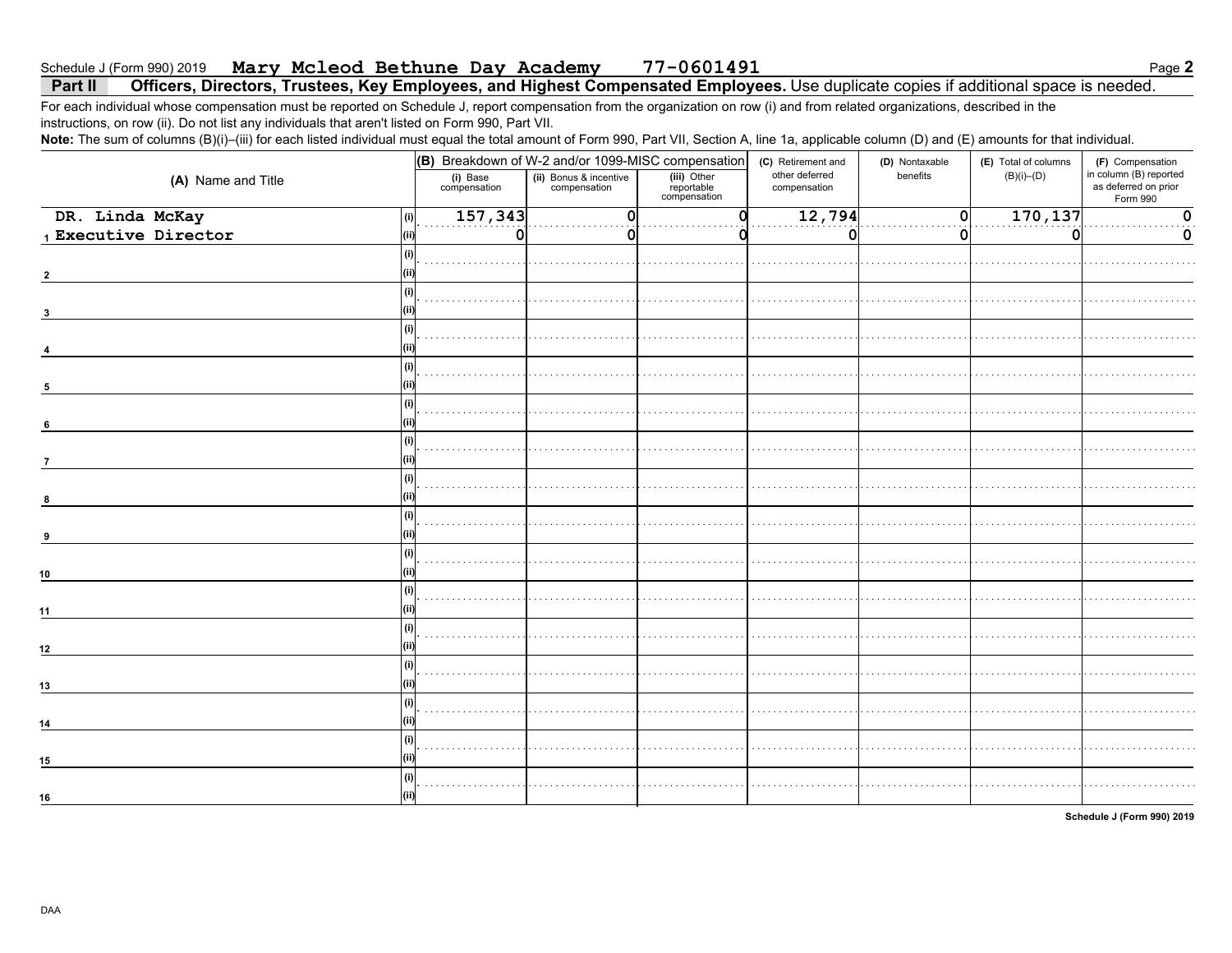#### Mary Mcleod Bethune Day Academy 77-0601491 Schedule J (Form 990) 2019

#### Officers, Directors, Trustees, Key Employees, and Highest Compensated Employees. Use duplicate copies if additional space is needed. Part II

For each individual whose compensation must be reported on Schedule J, report compensation from the organization on row (i) and from related organizations, described in the instructions, on row (ii). Do not list any individuals that aren't listed on Form 990, Part VII.

Note: The sum of columns (B)(i)-(iii) for each listed individual must equal the total amount of Form 990, Part VII, Section A, line 1a, applicable column (D) and (E) amounts for that individual.

|                      | (B) Breakdown of W-2 and/or 1099-MISC compensation |                                        |                                           | (C) Retirement and             | (D) Nontaxable | (E) Total of columns | (F) Compensation                                           |  |
|----------------------|----------------------------------------------------|----------------------------------------|-------------------------------------------|--------------------------------|----------------|----------------------|------------------------------------------------------------|--|
| (A) Name and Title   | (i) Base<br>compensation                           | (ii) Bonus & incentive<br>compensation | (iii) Other<br>reportable<br>compensation | other deferred<br>compensation | benefits       | $(B)(i)$ – $(D)$     | in column (B) reported<br>as deferred on prior<br>Form 990 |  |
| DR. Linda McKay      | 157,343<br>(i)                                     |                                        |                                           | 12,794                         | 0              | 170, 137             | n                                                          |  |
| 1 Executive Director | 0<br>(ii                                           |                                        |                                           | 0                              | 0              | O                    | 0                                                          |  |
|                      |                                                    |                                        |                                           |                                |                |                      |                                                            |  |
|                      |                                                    |                                        |                                           |                                |                |                      |                                                            |  |
|                      |                                                    |                                        |                                           |                                |                |                      |                                                            |  |
| 3                    |                                                    |                                        |                                           |                                |                |                      |                                                            |  |
|                      |                                                    |                                        |                                           |                                |                |                      |                                                            |  |
|                      |                                                    |                                        |                                           |                                |                |                      |                                                            |  |
|                      |                                                    |                                        |                                           |                                |                |                      |                                                            |  |
| 5                    |                                                    |                                        |                                           |                                |                |                      |                                                            |  |
|                      |                                                    |                                        |                                           |                                |                |                      |                                                            |  |
| 6                    |                                                    |                                        |                                           |                                |                |                      |                                                            |  |
|                      | (i)                                                |                                        |                                           |                                |                |                      |                                                            |  |
| $\overline{7}$       |                                                    |                                        |                                           |                                |                |                      |                                                            |  |
|                      |                                                    |                                        |                                           |                                |                |                      |                                                            |  |
| 8                    |                                                    |                                        |                                           |                                |                |                      |                                                            |  |
|                      |                                                    |                                        |                                           |                                |                |                      |                                                            |  |
| 9                    |                                                    |                                        |                                           |                                |                |                      |                                                            |  |
|                      |                                                    |                                        |                                           |                                |                |                      |                                                            |  |
| 10                   |                                                    |                                        |                                           |                                |                |                      |                                                            |  |
|                      |                                                    |                                        |                                           |                                |                |                      |                                                            |  |
| 11                   |                                                    |                                        |                                           |                                |                |                      |                                                            |  |
|                      |                                                    |                                        |                                           |                                |                |                      |                                                            |  |
| 12                   |                                                    |                                        |                                           |                                |                |                      |                                                            |  |
|                      |                                                    |                                        |                                           |                                |                |                      |                                                            |  |
| 13                   |                                                    |                                        |                                           |                                |                |                      |                                                            |  |
|                      |                                                    |                                        |                                           |                                |                |                      |                                                            |  |
| 14                   |                                                    |                                        |                                           |                                |                |                      |                                                            |  |
|                      |                                                    |                                        |                                           |                                |                |                      |                                                            |  |
| 15                   |                                                    |                                        |                                           |                                |                |                      |                                                            |  |
|                      |                                                    |                                        |                                           |                                |                |                      |                                                            |  |
| 16                   |                                                    |                                        |                                           |                                |                |                      |                                                            |  |
|                      |                                                    |                                        |                                           |                                |                |                      |                                                            |  |

Schedule J (Form 990) 2019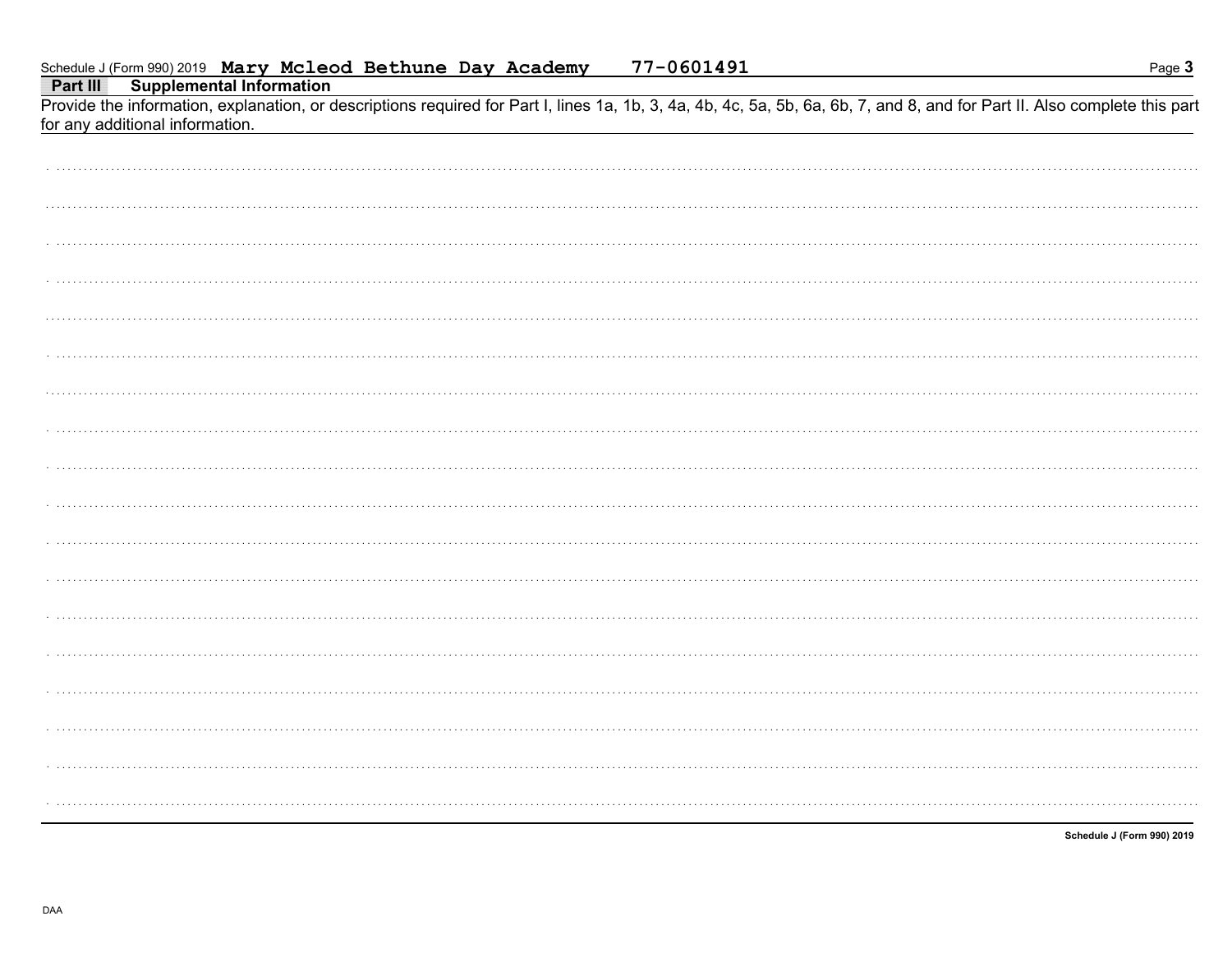Part III **Supplemental Information** 

Provide the information, explanation, or descriptions required for Part I, lines 1a, 1b, 3, 4a, 4b, 4c, 5a, 5b, 6a, 6b, 7, and 8, and for Part II. Also complete this part for any additional information.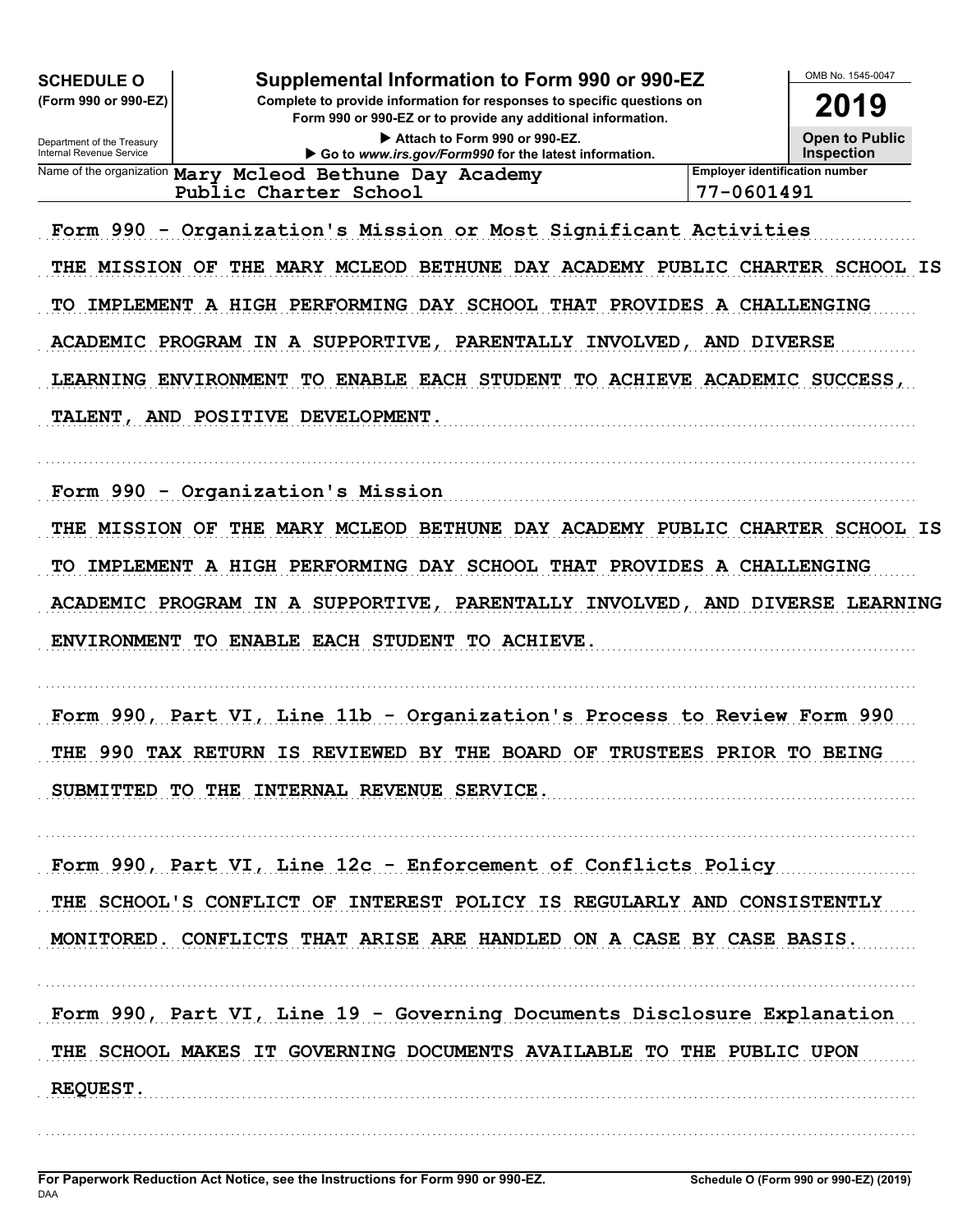| Supplemental Information to Form 990 or 990-EZ<br><b>SCHEDULE O</b><br>(Form 990 or 990-EZ)<br>Complete to provide information for responses to specific questions on<br>Form 990 or 990-EZ or to provide any additional information.<br>Attach to Form 990 or 990-EZ.<br>Department of the Treasury<br>Internal Revenue Service                                                                                                      |                                       | OMB No. 1545-0047<br>2019<br><b>Open to Public</b><br><b>Inspection</b> |
|---------------------------------------------------------------------------------------------------------------------------------------------------------------------------------------------------------------------------------------------------------------------------------------------------------------------------------------------------------------------------------------------------------------------------------------|---------------------------------------|-------------------------------------------------------------------------|
| Go to www.irs.gov/Form990 for the latest information.<br>Name of the organization Mary Mcleod Bethune Day Academy                                                                                                                                                                                                                                                                                                                     | <b>Employer identification number</b> |                                                                         |
| Public Charter School                                                                                                                                                                                                                                                                                                                                                                                                                 | 77-0601491                            |                                                                         |
| Form 990 - Organization's Mission or Most Significant Activities<br>THE MARY MCLEOD BETHUNE DAY ACADEMY PUBLIC CHARTER SCHOOL IS<br><b>MISSION OF</b><br>THE<br>IMPLEMENT A HIGH PERFORMING DAY SCHOOL THAT PROVIDES A CHALLENGING<br>TО<br>ACADEMIC PROGRAM IN A SUPPORTIVE, PARENTALLY INVOLVED, AND DIVERSE<br>TO ENABLE EACH STUDENT TO ACHIEVE ACADEMIC SUCCESS,<br>LEARNING ENVIRONMENT<br>AND POSITIVE DEVELOPMENT.<br>TALENT, |                                       |                                                                         |
| Form 990 - Organization's Mission<br>THE MARY MCLEOD BETHUNE DAY ACADEMY PUBLIC CHARTER SCHOOL IS<br><b>MISSION OF</b><br>THE<br>IMPLEMENT A HIGH PERFORMING DAY SCHOOL THAT PROVIDES A CHALLENGING<br>TO<br>ACADEMIC PROGRAM IN A SUPPORTIVE, PARENTALLY INVOLVED, AND DIVERSE LEARNING<br>TO ENABLE EACH STUDENT<br><b>ENVIRONMENT</b><br><b>TO ACHIEVE.</b>                                                                        |                                       |                                                                         |
| Form 990, Part VI, Line 11b - Organization's Process to Review Form 990                                                                                                                                                                                                                                                                                                                                                               |                                       |                                                                         |
| THE 990 TAX RETURN IS REVIEWED BY THE BOARD OF TRUSTEES PRIOR TO BEING<br>SUBMITTED TO THE INTERNAL REVENUE SERVICE.                                                                                                                                                                                                                                                                                                                  |                                       |                                                                         |
| Form 990, Part VI, Line 12c - Enforcement of Conflicts Policy                                                                                                                                                                                                                                                                                                                                                                         |                                       |                                                                         |
|                                                                                                                                                                                                                                                                                                                                                                                                                                       |                                       |                                                                         |
| THE SCHOOL'S CONFLICT OF INTEREST POLICY IS REGULARLY AND CONSISTENTLY<br>MONITORED. CONFLICTS THAT ARISE ARE HANDLED ON A CASE BY CASE BASIS.                                                                                                                                                                                                                                                                                        |                                       |                                                                         |
| Form 990, Part VI, Line 19 - Governing Documents Disclosure Explanation<br>THE SCHOOL MAKES IT GOVERNING DOCUMENTS AVAILABLE TO THE PUBLIC UPON<br><b>REQUEST.</b>                                                                                                                                                                                                                                                                    |                                       |                                                                         |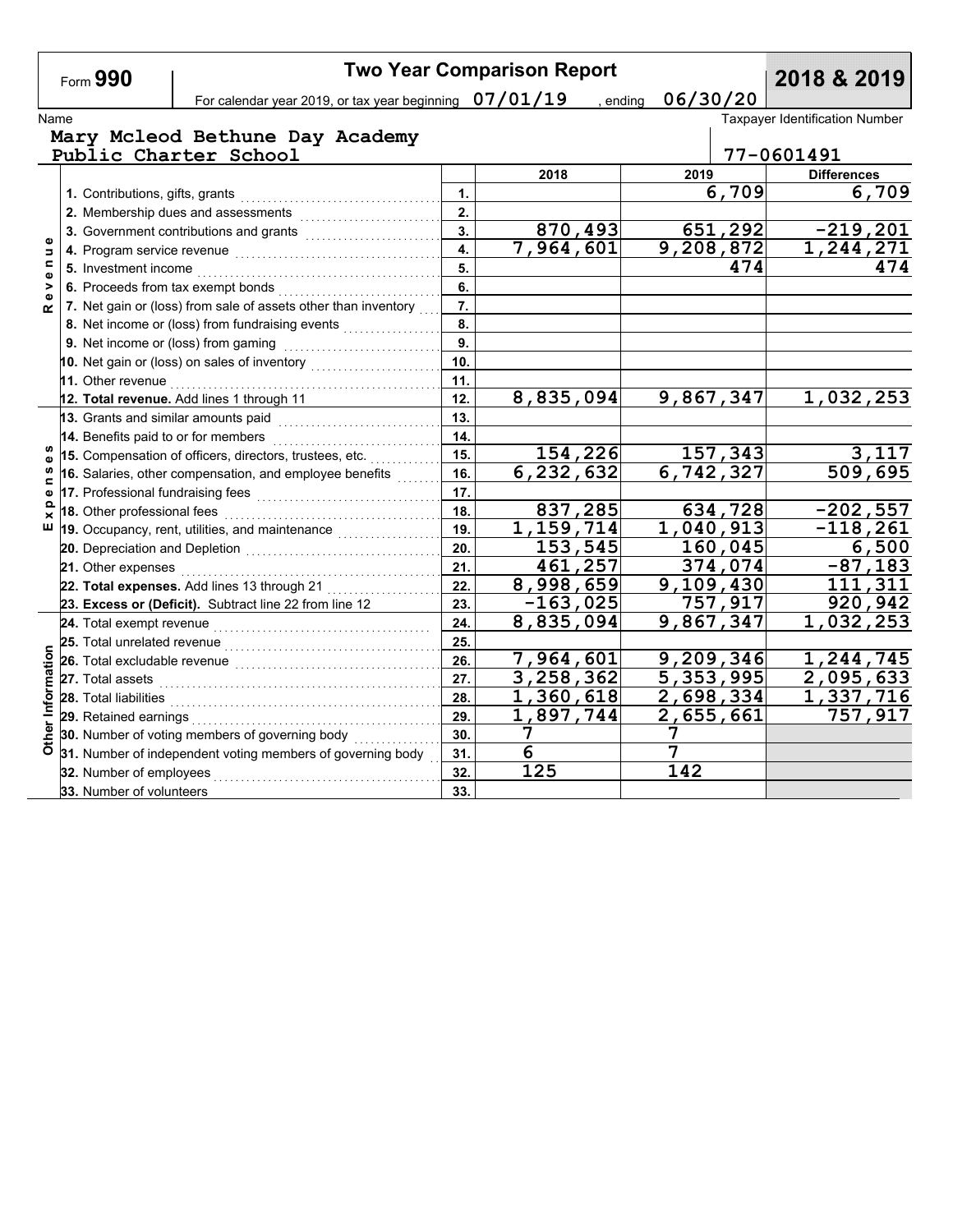|                             | Form 990                    |                                                                          |                  | <b>Two Year Comparison Report</b> |                      |         | 2018 & 2019                           |
|-----------------------------|-----------------------------|--------------------------------------------------------------------------|------------------|-----------------------------------|----------------------|---------|---------------------------------------|
|                             |                             | For calendar year 2019, or tax year beginning $07/01/19$                 |                  |                                   | 06/30/20<br>, ending |         |                                       |
| Name                        |                             |                                                                          |                  |                                   |                      |         | <b>Taxpayer Identification Number</b> |
|                             |                             | Mary Mcleod Bethune Day Academy<br>Public Charter School                 |                  |                                   |                      |         | 77-0601491                            |
|                             |                             |                                                                          |                  | 2018                              | 2019                 |         | <b>Differences</b>                    |
|                             |                             |                                                                          | $\mathbf{1}$     |                                   |                      | 6,709   | 6,709                                 |
|                             |                             | 2. Membership dues and assessments [111] Membership dues and assessments | 2.               |                                   |                      |         |                                       |
|                             |                             |                                                                          | 3.               | 870,493                           |                      | 651,292 | $-219, 201$                           |
| Φ<br>$\Rightarrow$          |                             |                                                                          | $\overline{4}$ . | $\overline{7}$ , 964, 601         | 9,208,872            |         | 1,244,271                             |
| $\blacksquare$<br>$\bullet$ |                             |                                                                          | 5.               |                                   |                      | 474     | 474                                   |
| >                           |                             |                                                                          | 6.               |                                   |                      |         |                                       |
| œ                           |                             | 7. Net gain or (loss) from sale of assets other than inventory           | $\overline{7}$ . |                                   |                      |         |                                       |
|                             |                             | 8. Net income or (loss) from fundraising events                          | 8.               |                                   |                      |         |                                       |
|                             |                             | 9. Net income or (loss) from gaming                                      | 9.               |                                   |                      |         |                                       |
|                             |                             | 10. Net gain or (loss) on sales of inventory                             | 10 <sub>1</sub>  |                                   |                      |         |                                       |
|                             | 11. Other revenue           |                                                                          | 11.              |                                   |                      |         |                                       |
|                             |                             | 12. Total revenue. Add lines 1 through 11                                | 12.              | 8,835,094                         | 9,867,347            |         | 1,032,253                             |
|                             |                             | 13. Grants and similar amounts paid                                      | 13.              |                                   |                      |         |                                       |
|                             |                             | 14. Benefits paid to or for members                                      | 14.              |                                   |                      |         |                                       |
| w<br>$\mathbf{Q}$           |                             | 15. Compensation of officers, directors, trustees, etc.                  | 15.              | 154,226                           |                      | 157,343 | 3,117                                 |
| <b>S</b><br>c               |                             | 16. Salaries, other compensation, and employee benefits                  | 16.              | 6,232,632                         | 6,742,327            |         | 509,695                               |
| Ф                           |                             |                                                                          | 17.              |                                   |                      |         |                                       |
| Q<br>×                      | 18. Other professional fees |                                                                          | 18.              | 837,285                           |                      | 634,728 | $-202,557$                            |
| ш                           |                             | 19. Occupancy, rent, utilities, and maintenance <i>marrouning</i>        | 19.              | 1,159,714                         | 1,040,913            |         | $-118,261$                            |
|                             |                             |                                                                          | 20.              | 153,545                           |                      | 160,045 | 6,500                                 |
|                             |                             |                                                                          | 21.              | 461,257                           |                      | 374,074 | $-87,183$                             |
|                             |                             | 22. Total expenses. Add lines 13 through 21                              | 22.              | 8,998,659                         | 9,109,430            |         | 111,311                               |
|                             |                             | 23. Excess or (Deficit). Subtract line 22 from line 12                   | 23.              | $-163,025$                        |                      | 757,917 | 920,942                               |
|                             |                             |                                                                          | 24.              | $\overline{8}$ , 835, 094         | 9,867,347            |         | 1,032,253                             |
|                             |                             | 25. Total unrelated revenue <sub>…………………………………</sub>                     | 25.              |                                   |                      |         |                                       |
|                             |                             |                                                                          | 26.              | 7,964,601                         | 9,209,346            |         | 1,244,745                             |
|                             |                             |                                                                          | 27.              | 3,258,362                         | 5,353,995            |         | 2,095,633                             |
|                             | 28. Total liabilities       |                                                                          | 28.              | 1,360,618                         | 2,698,334            |         | 1,337,716                             |
| Other Information           |                             |                                                                          | 29.              | 1,897,744                         | 2,655,661            |         | 757,917                               |
|                             |                             | 30. Number of voting members of governing body                           | 30.              | 7                                 | 7                    |         |                                       |
|                             |                             | 31. Number of independent voting members of governing body               | 31.              | 6                                 | 7                    |         |                                       |
|                             | 32. Number of employees     |                                                                          | 32.              | 125                               | 142                  |         |                                       |
|                             | 33. Number of volunteers    |                                                                          | 33.              |                                   |                      |         |                                       |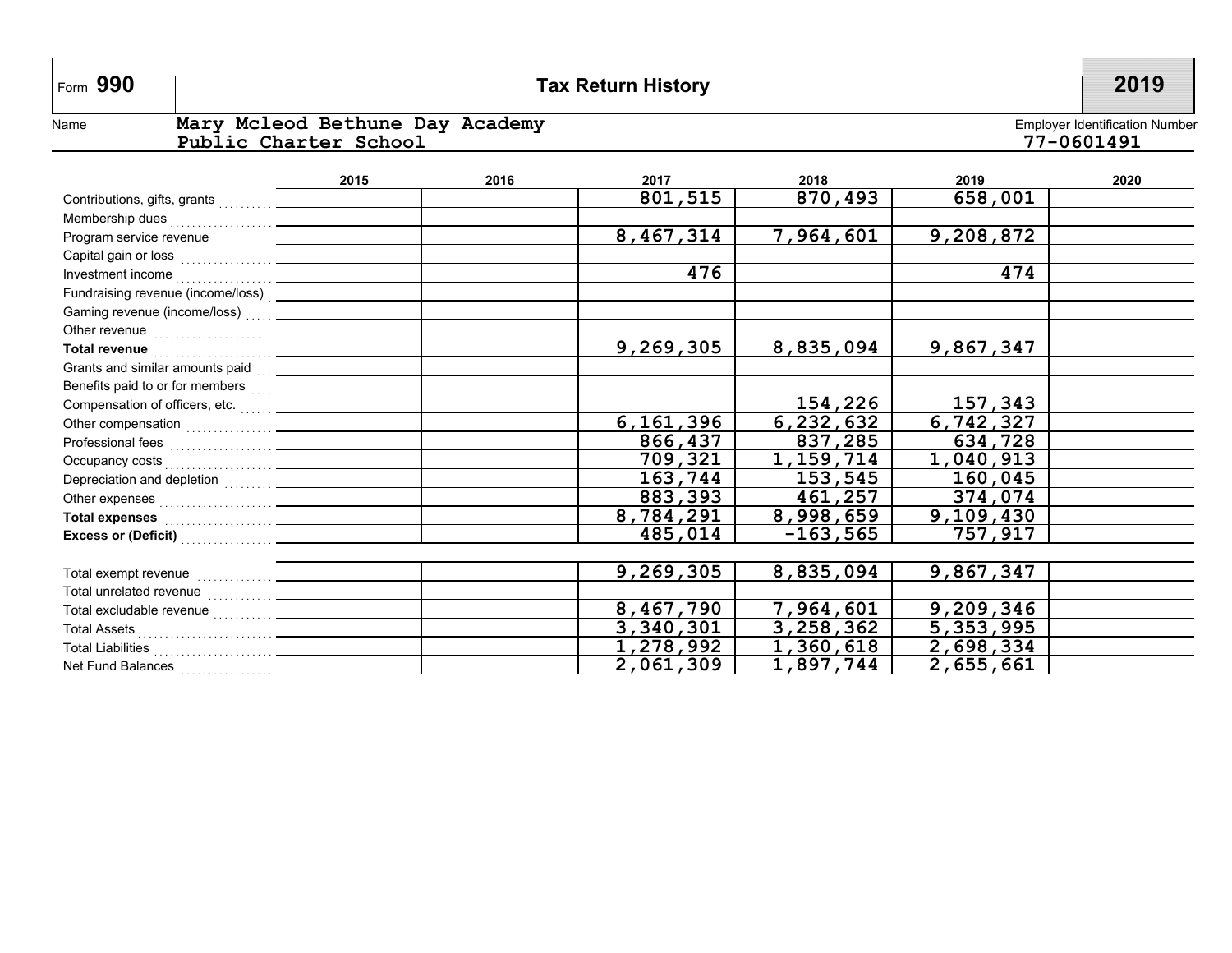# **990 Tax Return History 2019**

Name

#### Employer Identification Number **Mary Mcleod Bethune Day Academy Public Charter School 77-0601491**

Employer Identification Number<br>77-0601491

|                                                                                                                                                                                                                                                           | 2015 | 2016 | 2017      | 2018       | 2019      | 2020 |
|-----------------------------------------------------------------------------------------------------------------------------------------------------------------------------------------------------------------------------------------------------------|------|------|-----------|------------|-----------|------|
|                                                                                                                                                                                                                                                           |      |      | 801,515   | 870,493    | 658,001   |      |
| Membership dues<br><br><u> </u>                                                                                                                                                                                                                           |      |      |           |            |           |      |
| Program service revenue                                                                                                                                                                                                                                   |      |      | 8,467,314 | 7,964,601  | 9,208,872 |      |
|                                                                                                                                                                                                                                                           |      |      |           |            |           |      |
| Investment income<br><u>and the company of the company of the company of the company of the company of the company of the company of the company of the company of the company of the company of the company of the company of the company of the com</u> |      |      | 476       |            | 474       |      |
|                                                                                                                                                                                                                                                           |      |      |           |            |           |      |
|                                                                                                                                                                                                                                                           |      |      |           |            |           |      |
|                                                                                                                                                                                                                                                           |      |      |           |            |           |      |
| Total revenue <b>contract and the contract of the contract of the contract of the contract of the contract of the contract of the contract of the contract of the contract of the contract of the contract of the contract of th</b>                      |      |      | 9,269,305 | 8,835,094  | 9,867,347 |      |
| Grants and similar amounts paid<br><u> and</u> <u>contains and</u> <u>and</u> <b>on on on on on on on on on on on on on on on on on on on on on on on on on on o</b>                                                                                      |      |      |           |            |           |      |
| Benefits paid to or for members  _______________                                                                                                                                                                                                          |      |      |           |            |           |      |
|                                                                                                                                                                                                                                                           |      |      |           | 154,226    | 157,343   |      |
|                                                                                                                                                                                                                                                           |      |      | 6,161,396 | 6,232,632  | 6,742,327 |      |
| Professional fees<br><br><br><br><br><br><br><br><br><br><br><br><br><br><br><br><br><br><br><br><br><br><br>                                                                                                                                             |      |      | 866,437   | 837,285    | 634,728   |      |
|                                                                                                                                                                                                                                                           |      |      | 709,321   | 1,159,714  | 1,040,913 |      |
|                                                                                                                                                                                                                                                           |      |      | 163,744   | 153,545    | 160,045   |      |
|                                                                                                                                                                                                                                                           |      |      | 883,393   | 461,257    | 374,074   |      |
| Total expenses <b>contained contained a set of the set of the set of the set of the set of the set of the set of the set of the set of the set of the set of the set of the set of the set of the set of the set of the set of</b>                        |      |      | 8,784,291 | 8,998,659  | 9,109,430 |      |
|                                                                                                                                                                                                                                                           |      |      | 485,014   | $-163,565$ | 757,917   |      |
|                                                                                                                                                                                                                                                           |      |      |           |            |           |      |
|                                                                                                                                                                                                                                                           |      |      | 9,269,305 | 8,835,094  | 9,867,347 |      |
|                                                                                                                                                                                                                                                           |      |      |           |            |           |      |
|                                                                                                                                                                                                                                                           |      |      | 8,467,790 | 7,964,601  | 9,209,346 |      |
| Total Assets <b>Constantine Construction Constantine Constantine Constantine Constantine Constantine Constantine Constantine Constantine Constantine Constantine Constantine Constantine Constantine Constantine Constantine Con</b>                      |      |      | 3,340,301 | 3,258,362  | 5,353,995 |      |
|                                                                                                                                                                                                                                                           |      |      | 1,278,992 | 1,360,618  | 2,698,334 |      |
| Net Fund Balances                                                                                                                                                                                                                                         |      |      | 2,061,309 | 1,897,744  | 2,655,661 |      |